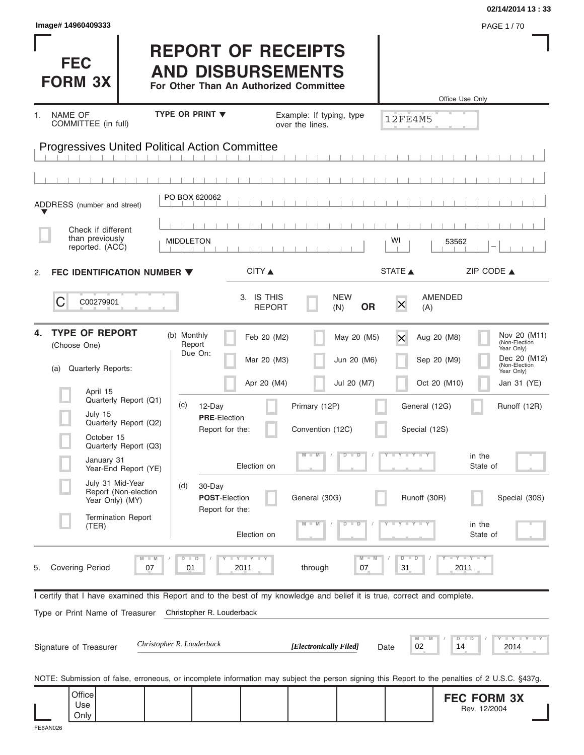| Image# 14960409333                                                                                                                                                                   |                                                                                                 |                                             |                                                                 | 02/14/2014 13:33<br>PAGE 1/70                                                                                      |
|--------------------------------------------------------------------------------------------------------------------------------------------------------------------------------------|-------------------------------------------------------------------------------------------------|---------------------------------------------|-----------------------------------------------------------------|--------------------------------------------------------------------------------------------------------------------|
| <b>FEC</b><br><b>FORM 3X</b>                                                                                                                                                         | <b>REPORT OF RECEIPTS</b><br><b>AND DISBURSEMENTS</b><br>For Other Than An Authorized Committee |                                             |                                                                 | Office Use Only                                                                                                    |
| NAME OF<br>1.<br>COMMITTEE (in full)                                                                                                                                                 | <b>TYPE OR PRINT ▼</b>                                                                          | Example: If typing, type<br>over the lines. | <b>12FE4M5</b>                                                  |                                                                                                                    |
| <b>Progressives United Political Action Committee</b>                                                                                                                                |                                                                                                 |                                             |                                                                 |                                                                                                                    |
|                                                                                                                                                                                      |                                                                                                 |                                             |                                                                 |                                                                                                                    |
| ADDRESS (number and street)                                                                                                                                                          | PO BOX 620062                                                                                   |                                             |                                                                 |                                                                                                                    |
| Check if different<br>than previously<br>reported. (ACC)                                                                                                                             | <b>MIDDLETON</b>                                                                                |                                             | WI                                                              | 53562                                                                                                              |
| FEC IDENTIFICATION NUMBER $\blacktriangledown$<br>2.                                                                                                                                 | CITY                                                                                            |                                             | STATE A                                                         | ZIP CODE $\triangle$                                                                                               |
| С<br>C00279901                                                                                                                                                                       | 3. IS THIS<br><b>REPORT</b>                                                                     | <b>NEW</b><br><b>OR</b><br>(N)              | AMENDED<br>$\times$<br>(A)                                      |                                                                                                                    |
| <b>TYPE OF REPORT</b><br>4.<br>(Choose One)<br>Quarterly Reports:<br>(a)                                                                                                             | (b) Monthly<br>Feb 20 (M2)<br>Report<br>Due On:<br>Mar 20 (M3)<br>Apr 20 (M4)                   | May 20 (M5)<br>Jun 20 (M6)<br>Jul 20 (M7)   | Aug 20 (M8)<br>$\mathsf{\times}$<br>Sep 20 (M9)<br>Oct 20 (M10) | Nov 20 (M11)<br>(Non-Election<br>Year Only)<br>Dec 20 (M12)<br>(Non-Election<br>Year Only)<br>Jan 31 (YE)          |
| April 15<br>Quarterly Report (Q1)<br>July 15<br>Quarterly Report (Q2)<br>October 15<br>Quarterly Report (Q3)                                                                         | (c)<br>12-Day<br><b>PRE-Election</b><br>Report for the:                                         | Primary (12P)<br>Convention (12C)           | General (12G)<br>Special (12S)                                  | Runoff (12R)                                                                                                       |
| January 31<br>Year-End Report (YE)                                                                                                                                                   | Election on                                                                                     | $\overline{D}$<br>$\Box$<br>$\blacksquare$  | $Y + Y + Y$                                                     | in the<br>State of                                                                                                 |
| July 31 Mid-Year<br>Report (Non-election<br>Year Only) (MY)                                                                                                                          | (d)<br>30-Day<br><b>POST-Election</b><br>Report for the:                                        | General (30G)                               | Runoff (30R)                                                    | Special (30S)                                                                                                      |
| <b>Termination Report</b><br>(TER)                                                                                                                                                   | Election on                                                                                     | $\overline{D}$<br>D                         |                                                                 | in the<br>State of                                                                                                 |
| $M - M$<br><b>Covering Period</b><br>07<br>5.                                                                                                                                        | $T - Y = T - Y$<br>$D$ $D$<br>2011<br>01                                                        | $M - M$<br>through<br>07                    | $\widehat{D}$<br>$\Box$<br>31                                   | $+Y+Y+Y$<br>2011                                                                                                   |
| I certify that I have examined this Report and to the best of my knowledge and belief it is true, correct and complete.<br>Type or Print Name of Treasurer<br>Signature of Treasurer | Christopher R. Louderback<br>Christopher R. Louderback                                          | [Electronically Filed]                      | M<br>02<br>Date                                                 | $\overline{Y}$ $\overline{Y}$ $\overline{Y}$ $\overline{Y}$ $\overline{Y}$ $\overline{Y}$<br>$D$ $D$<br>14<br>2014 |
| NOTE: Submission of false, erroneous, or incomplete information may subject the person signing this Report to the penalties of 2 U.S.C. §437g.<br>Office<br>Use<br>Only              |                                                                                                 |                                             |                                                                 | <b>FEC FORM 3X</b><br>Rev. 12/2004                                                                                 |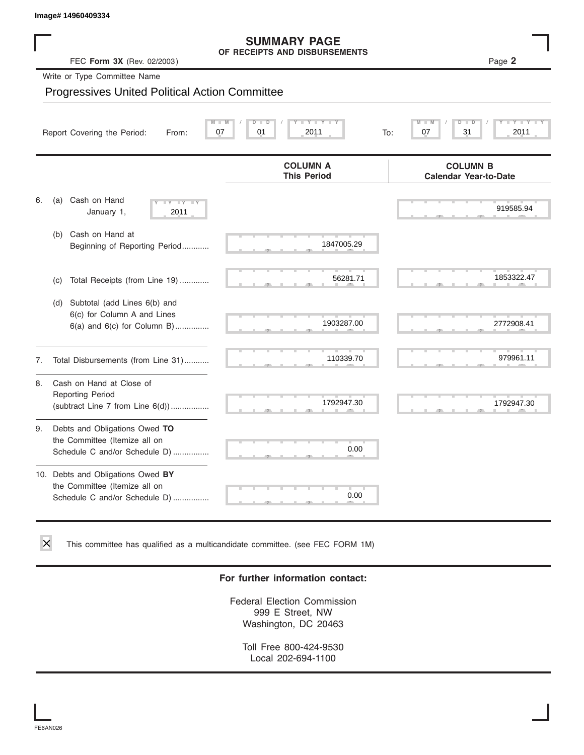## **SUMMARY PAGE**

|    | Image# 14960409334                                                                                  |                                                      |                                                 |
|----|-----------------------------------------------------------------------------------------------------|------------------------------------------------------|-------------------------------------------------|
|    | FEC Form 3X (Rev. 02/2003)                                                                          | <b>SUMMARY PAGE</b><br>OF RECEIPTS AND DISBURSEMENTS | Page 2                                          |
|    | Write or Type Committee Name                                                                        |                                                      |                                                 |
|    | <b>Progressives United Political Action Committee</b>                                               |                                                      |                                                 |
|    | Report Covering the Period:<br>From:                                                                | Y L<br>D<br>$\overline{D}$<br>07<br>01<br>2011       | $\overline{D}$<br>07<br>31<br>2011<br>To:       |
|    |                                                                                                     | <b>COLUMN A</b><br><b>This Period</b>                | <b>COLUMN B</b><br><b>Calendar Year-to-Date</b> |
| 6. | Cash on Hand<br>(a)<br>January 1,<br>2011                                                           |                                                      | 919585.94                                       |
|    | Cash on Hand at<br>(b)<br>Beginning of Reporting Period                                             | 1847005.29                                           |                                                 |
|    | Total Receipts (from Line 19)<br>(c)                                                                | 56281.71                                             | 1853322.47                                      |
|    | (d) Subtotal (add Lines 6(b) and<br>6(c) for Column A and Lines<br>$6(a)$ and $6(c)$ for Column B)  | 1903287.00                                           | 2772908.41                                      |
| 7. | Total Disbursements (from Line 31)                                                                  | 110339.70                                            | 979961.11                                       |
| 8. | Cash on Hand at Close of<br><b>Reporting Period</b><br>(subtract Line $7$ from Line $6(d)$ )        | 1792947.30                                           | 1792947.30                                      |
| 9. | Debts and Obligations Owed TO<br>the Committee (Itemize all on<br>Schedule C and/or Schedule D)     | 0.00                                                 |                                                 |
|    | 10. Debts and Obligations Owed BY<br>the Committee (Itemize all on<br>Schedule C and/or Schedule D) | 0.00                                                 |                                                 |

This committee has qualified as a multicandidate committee. (see FEC FORM 1M)

#### **For further information contact:**

Federal Election Commission 999 E Street, NW Washington, DC 20463

Toll Free 800-424-9530 Local 202-694-1100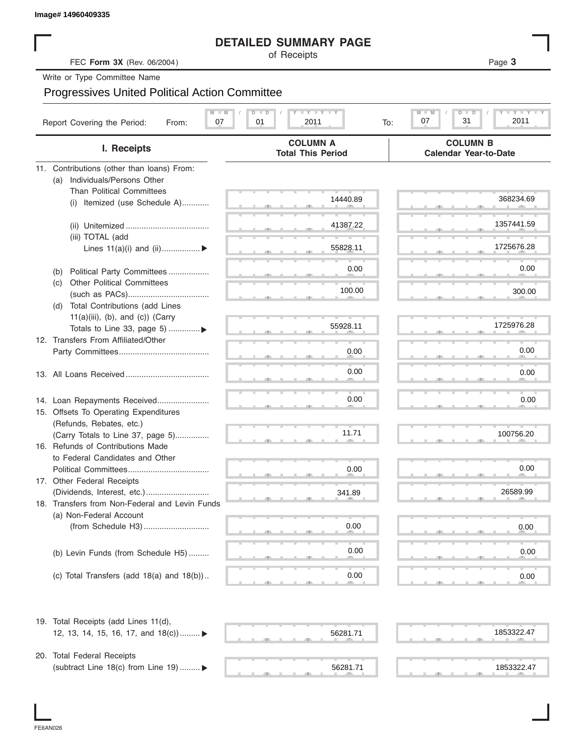#### **DETAILED SUMMARY PAGE**

|                                                       | <b>DETAILED SUMMARY PAGE</b><br>of Receipts   |                                                             |
|-------------------------------------------------------|-----------------------------------------------|-------------------------------------------------------------|
| FEC Form 3X (Rev. 06/2004)                            |                                               | Page 3                                                      |
| Write or Type Committee Name                          |                                               |                                                             |
| <b>Progressives United Political Action Committee</b> |                                               |                                                             |
| Report Covering the Period:<br>07<br>From:            | <b>LYLYLY</b><br>$D$ $D$<br>01<br>2011<br>To: | $Y - Y -$<br>$M - M$<br>$D$ $\Box$<br>ъ<br>31<br>2011<br>07 |
| I. Receipts                                           | <b>COLUMN A</b><br><b>Total This Period</b>   | <b>COLUMN B</b><br><b>Calendar Year-to-Date</b>             |
| 11. Contributions (other than loans) From:            |                                               |                                                             |
| Individuals/Persons Other<br>(a)                      |                                               |                                                             |
| <b>Than Political Committees</b>                      | 14440.89                                      | 368234.69                                                   |
| Itemized (use Schedule A)<br>(i)                      |                                               |                                                             |
|                                                       | 41387.22                                      | 1357441.59                                                  |
| (iii) TOTAL (add                                      |                                               |                                                             |
| Lines $11(a)(i)$ and $(ii)$                           | 55828.11                                      | 1725676.28                                                  |
| Political Party Committees<br>(b)                     | 0.00                                          | 0.00                                                        |
| <b>Other Political Committees</b><br>(C)              |                                               |                                                             |
|                                                       | 100.00                                        | 300.00                                                      |
| Total Contributions (add Lines<br>(d)                 |                                               |                                                             |
| $11(a)(iii)$ , (b), and (c)) (Carry                   |                                               | 1725976.28                                                  |
| Totals to Line 33, page 5) ▶                          | 55928.11                                      |                                                             |
| 12. Transfers From Affiliated/Other                   |                                               | 0.00                                                        |
|                                                       | 0.00                                          |                                                             |
|                                                       | 0.00                                          | 0.00                                                        |
|                                                       |                                               |                                                             |
| 14. Loan Repayments Received                          | 0.00                                          | 0.00                                                        |
| 15. Offsets To Operating Expenditures                 |                                               |                                                             |
| (Refunds, Rebates, etc.)                              |                                               |                                                             |
| (Carry Totals to Line 37, page 5)                     | 11.71                                         | 100756.20                                                   |
| 16. Refunds of Contributions Made                     |                                               |                                                             |
| to Federal Candidates and Other                       |                                               | 0.00                                                        |
| Political Committees<br>17. Other Federal Receipts    | 0.00                                          |                                                             |
|                                                       | 341.89                                        | 26589.99                                                    |
| 18. Transfers from Non-Federal and Levin Funds        |                                               |                                                             |
| (a) Non-Federal Account                               |                                               |                                                             |
|                                                       | 0.00                                          | 0.00                                                        |
|                                                       |                                               |                                                             |
| (b) Levin Funds (from Schedule H5)                    | 0.00                                          | 0.00                                                        |
|                                                       |                                               |                                                             |
| (c) Total Transfers (add $18(a)$ and $18(b)$ )        | 0.00                                          | 0.00                                                        |
| 19. Total Receipts (add Lines 11(d),                  |                                               |                                                             |
| 12, 13, 14, 15, 16, 17, and 18(c)) ▶                  | 56281.71                                      | 1853322.47                                                  |
| 20. Total Federal Receipts                            |                                               |                                                             |
| (subtract Line 18(c) from Line 19)  ▶                 | 56281.71                                      | 1853322.47                                                  |

 $56281.71$   $1853322$ 

FE6AN026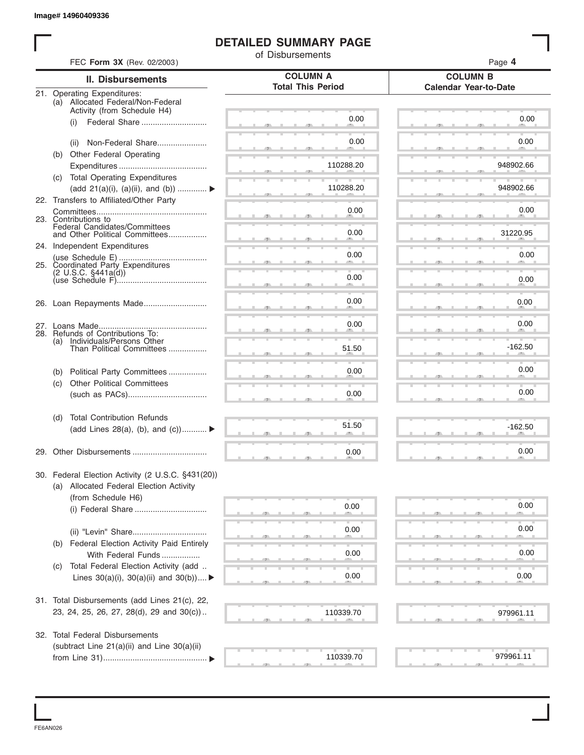#### **DETAILED SUMMARY PAGE**

|     |                                                                             | of Disbursements         |                              |
|-----|-----------------------------------------------------------------------------|--------------------------|------------------------------|
|     | FEC Form 3X (Rev. 02/2003)                                                  | <b>COLUMN A</b>          | Page 4<br><b>COLUMN B</b>    |
|     | II. Disbursements<br>21. Operating Expenditures:                            | <b>Total This Period</b> | <b>Calendar Year-to-Date</b> |
|     | (a) Allocated Federal/Non-Federal                                           |                          |                              |
|     | Activity (from Schedule H4)                                                 | 0.00                     | 0.00                         |
|     | Federal Share<br>(i)                                                        |                          |                              |
|     | (ii) Non-Federal Share                                                      | 0.00                     | 0.00                         |
|     | (b) Other Federal Operating                                                 |                          |                              |
|     |                                                                             | 110288.20                | 948902.66                    |
|     | (c) Total Operating Expenditures                                            | 110288.20                | 948902.66                    |
|     | (add 21(a)(i), (a)(ii), and (b))<br>22. Transfers to Affiliated/Other Party |                          |                              |
|     |                                                                             | 0.00                     | 0.00                         |
|     | 23. Contributions to<br>Federal Candidates/Committees                       |                          |                              |
|     | and Other Political Committees                                              | 0.00                     | 31220.95                     |
|     | 24. Independent Expenditures                                                |                          |                              |
|     | 25. Coordinated Party Expenditures                                          | 0.00                     | 0.00                         |
|     |                                                                             | 0.00                     | 0.00                         |
|     |                                                                             |                          |                              |
|     |                                                                             | 0.00                     | 0.00                         |
|     |                                                                             |                          |                              |
|     |                                                                             | 0.00                     | 0.00                         |
| (a) | 28. Refunds of Contributions To:<br>Individuals/Persons Other               |                          |                              |
|     | Than Political Committees                                                   | 51.50                    | $-162.50$                    |
| (b) | Political Party Committees                                                  | 0.00                     | 0.00                         |
| (c) | <b>Other Political Committees</b>                                           |                          |                              |
|     |                                                                             | 0.00                     | 0.00                         |
|     | <b>Total Contribution Refunds</b>                                           |                          |                              |
| (d) | (add Lines 28(a), (b), and (c))                                             | 51.50                    | $-162.50$                    |
|     |                                                                             |                          |                              |
|     |                                                                             | 0.00                     | 0.00                         |
|     | 30. Federal Election Activity (2 U.S.C. §431(20))                           |                          |                              |
|     | (a) Allocated Federal Election Activity                                     |                          |                              |
|     | (from Schedule H6)                                                          |                          |                              |
|     |                                                                             | 0.00                     | 0.00                         |
|     |                                                                             |                          |                              |
|     |                                                                             | 0.00                     | 0.00                         |
| (b) | Federal Election Activity Paid Entirely<br>With Federal Funds               | 0.00                     | 0.00                         |
| (C) | Total Federal Election Activity (add                                        |                          |                              |
|     | Lines $30(a)(i)$ , $30(a)(ii)$ and $30(b))$                                 | 0.00                     | 0.00                         |
|     |                                                                             |                          |                              |
|     | 31. Total Disbursements (add Lines 21(c), 22,                               |                          |                              |
|     | 23, 24, 25, 26, 27, 28(d), 29 and 30(c))                                    | 110339.70                | 979961.11                    |
|     | 32. Total Federal Disbursements                                             |                          |                              |
|     | (subtract Line 21(a)(ii) and Line 30(a)(ii)                                 |                          |                              |
|     |                                                                             | 110339.70                | 979961.11                    |

FE6AN026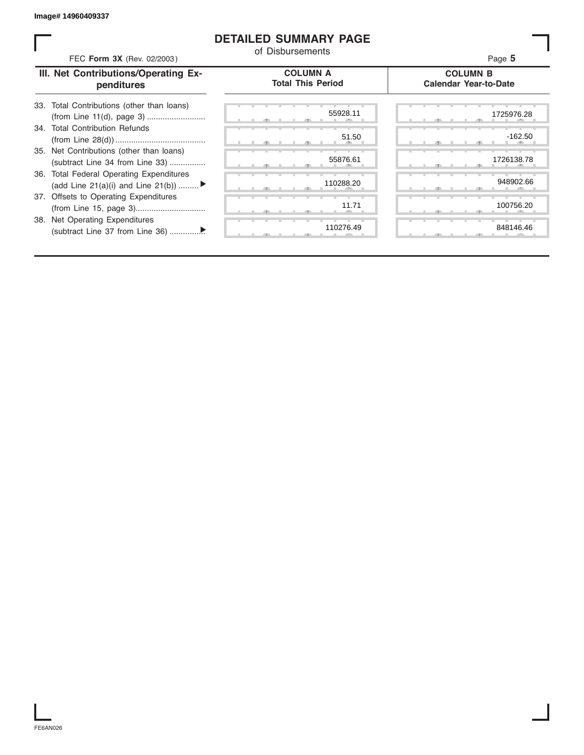#### **DETAILED SUMMARY PAGE**

| FEC Form 3X (Rev. 02/2003)                                                     | <b>DETAILED SUMMARY PAGE</b><br>of Disbursements | Page 5                                          |
|--------------------------------------------------------------------------------|--------------------------------------------------|-------------------------------------------------|
| III. Net Contributions/Operating Ex-<br>penditures                             | <b>COLUMN A</b><br><b>Total This Period</b>      | <b>COLUMN B</b><br><b>Calendar Year-to-Date</b> |
| Total Contributions (other than loans)<br>33.                                  | 55928.11                                         | 1725976.28                                      |
| 34. Total Contribution Refunds                                                 | 51.50                                            | $-162.50$                                       |
| 35. Net Contributions (other than loans)<br>(subtract Line 34 from Line 33)    | 55876.61                                         | 1726138.78                                      |
| 36. Total Federal Operating Expenditures<br>(add Line 21(a)(i) and Line 21(b)) | 110288.20                                        | 948902.66                                       |
| 37. Offsets to Operating Expenditures                                          | 11.71                                            | 100756.20                                       |
| 38. Net Operating Expenditures                                                 | 110276.49                                        | 848146.46                                       |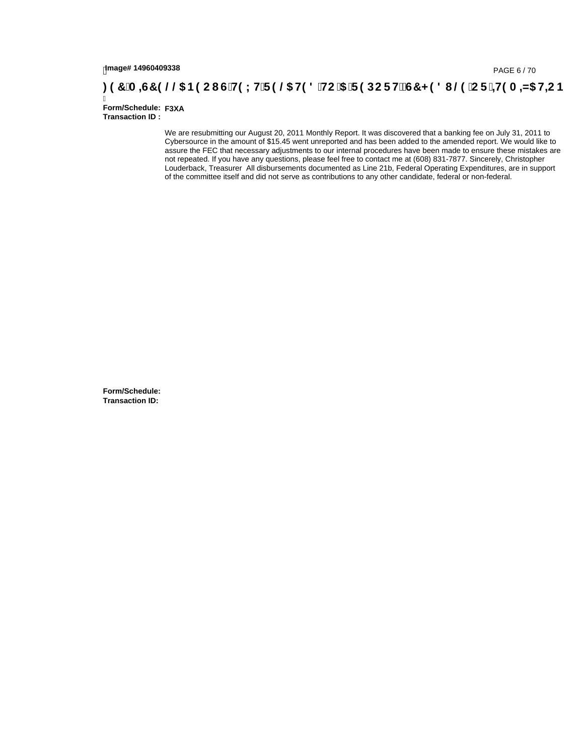# tmage#14960409338<br>DAGE 6/70, PAGE 6/70<br>**DAGE 7 (A ⊨G7 9 @05 B9 C I G`H9 L H`F 9 @5 H9 8 `HC`5 `F 9 DC F Hž G7 < 9 8 I @9 `C F `<del>I I</del>9 A ⊨N5 H=C B**

Ī **Form/Schedule: F3XATransaction ID :** 

> We are resubmitting our August 20, 2011 Monthly Report. It was discovered that a banking fee on July 31, 2011 to Cybersource in the amount of \$15.45 went unreported and has been added to the amended report. We would like to assure the FEC that necessary adjustments to our internal procedures have been made to ensure these mistakes are not repeated. If you have any questions, please feel free to contact me at (608) 831-7877. Sincerely, Christopher Louderback, Treasurer All disbursements documented as Line 21b, Federal Operating Expenditures, are in support of the committee itself and did not serve as contributions to any other candidate, federal or non-federal.

**Form/Schedule: Transaction ID:**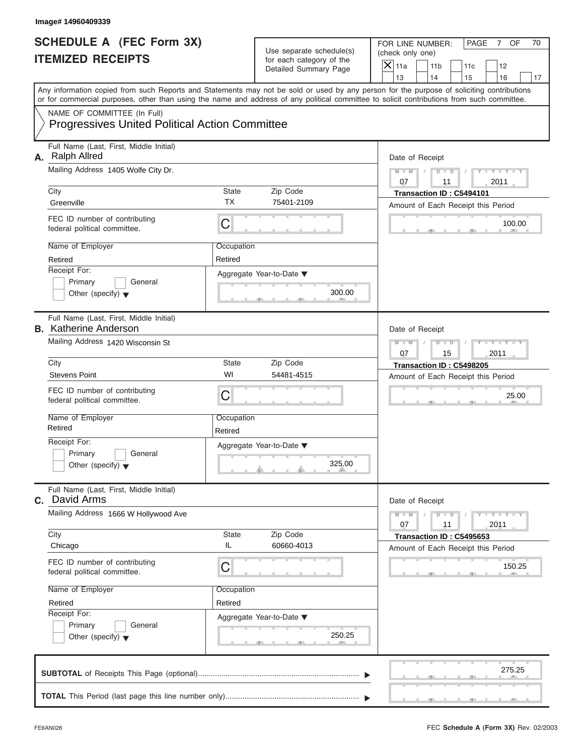FOR LINE NUMBER: PAGE 7 OF<br>(check only one)

| SCHEDULE A (FEC Form 3X)<br><b>ITEMIZED RECEIPTS</b>                                                                                                                                                                                                                                                                                                      | Use separate schedule(s)<br>for each category of the<br>Detailed Summary Page | FOR LINE NUMBER:<br>PAGE<br>7 OF<br>70<br>(check only one)<br>$\overline{X}$ 11a<br>11 <sub>b</sub><br>11c<br>12                                                 |
|-----------------------------------------------------------------------------------------------------------------------------------------------------------------------------------------------------------------------------------------------------------------------------------------------------------------------------------------------------------|-------------------------------------------------------------------------------|------------------------------------------------------------------------------------------------------------------------------------------------------------------|
| Any information copied from such Reports and Statements may not be sold or used by any person for the purpose of soliciting contributions                                                                                                                                                                                                                 |                                                                               | 13<br>14<br>15<br>16<br>17                                                                                                                                       |
| or for commercial purposes, other than using the name and address of any political committee to solicit contributions from such committee.<br>NAME OF COMMITTEE (In Full)<br><b>Progressives United Political Action Committee</b>                                                                                                                        |                                                                               |                                                                                                                                                                  |
| Full Name (Last, First, Middle Initial)<br>A. Ralph Allred<br>Mailing Address 1405 Wolfe City Dr.<br>City<br>State<br><b>TX</b><br>Greenville<br>FEC ID number of contributing<br>C<br>federal political committee.<br>Name of Employer<br>Occupation<br>Retired<br>Retired<br>Receipt For:<br>Primary<br>General<br>Other (specify) $\blacktriangledown$ | Zip Code<br>75401-2109<br>Aggregate Year-to-Date ▼<br>300.00                  | Date of Receipt<br>$Y - Y - I$<br>$M - M$<br>D<br>$\overline{D}$<br>2011<br>07<br>11<br>Transaction ID: C5494101<br>Amount of Each Receipt this Period<br>100.00 |
| Full Name (Last, First, Middle Initial)<br><b>B.</b> Katherine Anderson<br>Mailing Address 1420 Wisconsin St<br>City<br>State<br>WI<br><b>Stevens Point</b><br>FEC ID number of contributing<br>C<br>federal political committee.                                                                                                                         | Zip Code<br>54481-4515                                                        | Date of Receipt<br>$M - M$<br>$\Box$<br>$\Box$<br>15<br>2011<br>07<br>Transaction ID: C5498205<br>Amount of Each Receipt this Period<br>25.00                    |
| Name of Employer<br>Occupation<br>Retired<br>Retired<br>Receipt For:<br>Primary<br>General<br>Other (specify) $\blacktriangledown$                                                                                                                                                                                                                        | Aggregate Year-to-Date ▼<br>325.00<br>A                                       |                                                                                                                                                                  |
| Full Name (Last, First, Middle Initial)<br>David Arms<br>С.<br>Mailing Address 1666 W Hollywood Ave<br>City<br>State                                                                                                                                                                                                                                      | Zip Code                                                                      | Date of Receipt<br>$M - M$<br>$Y = Y =$<br>D<br>T<br>$\overline{\phantom{a}}$<br>07<br>2011<br>11<br>Transaction ID: C5495653                                    |
| IL<br>Chicago<br>FEC ID number of contributing<br>C<br>federal political committee.<br>Name of Employer<br>Occupation<br>Retired<br>Retired<br>Receipt For:<br>Primary<br>General<br>Other (specify) $\blacktriangledown$                                                                                                                                 | 60660-4013<br>Aggregate Year-to-Date ▼<br>250.25                              | Amount of Each Receipt this Period<br>150.25                                                                                                                     |
|                                                                                                                                                                                                                                                                                                                                                           |                                                                               | 275.25                                                                                                                                                           |

S S S , , .

×.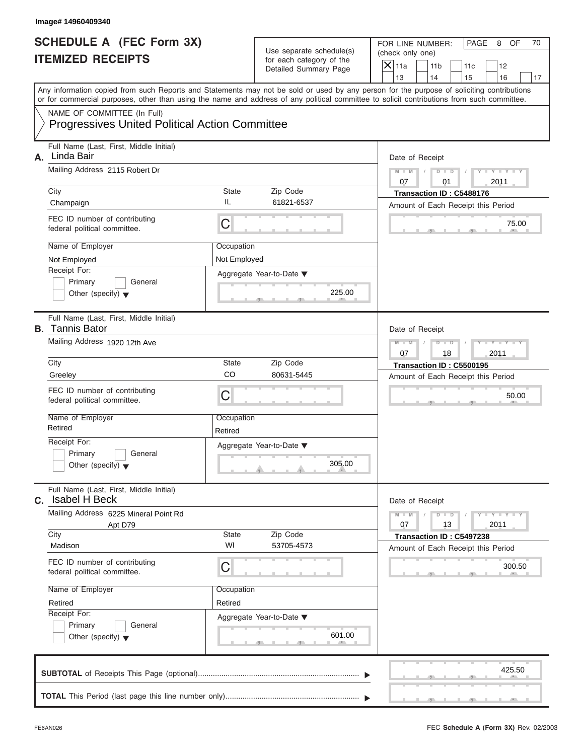FOR LINE NUMBER: PAGE 8 OF<br>(check only one)

|    | SCHEDULE A (FEC Form 3X)<br><b>ITEMIZED RECEIPTS</b>                                                                                                                                                                                                                                    |                            | Use separate schedule(s)<br>for each category of the<br>Detailed Summary Page | FOR LINE NUMBER:<br>PAGE<br>8<br>OF<br>70<br>(check only one)<br>$\overline{X}$ 11a<br>11 <sub>b</sub><br>11c<br>12               |
|----|-----------------------------------------------------------------------------------------------------------------------------------------------------------------------------------------------------------------------------------------------------------------------------------------|----------------------------|-------------------------------------------------------------------------------|-----------------------------------------------------------------------------------------------------------------------------------|
|    |                                                                                                                                                                                                                                                                                         |                            |                                                                               | 13<br>14<br>15<br>16<br>17                                                                                                        |
|    | Any information copied from such Reports and Statements may not be sold or used by any person for the purpose of soliciting contributions<br>or for commercial purposes, other than using the name and address of any political committee to solicit contributions from such committee. |                            |                                                                               |                                                                                                                                   |
|    | NAME OF COMMITTEE (In Full)<br><b>Progressives United Political Action Committee</b>                                                                                                                                                                                                    |                            |                                                                               |                                                                                                                                   |
| А. | Full Name (Last, First, Middle Initial)<br>Linda Bair<br>Mailing Address 2115 Robert Dr                                                                                                                                                                                                 |                            |                                                                               | Date of Receipt<br>$M - M$<br>D<br>$\Box$                                                                                         |
|    | City<br>Champaign                                                                                                                                                                                                                                                                       | <b>State</b><br>IL         | Zip Code<br>61821-6537                                                        | 07<br>01<br>2011<br>Transaction ID: C5488176                                                                                      |
|    | FEC ID number of contributing<br>federal political committee.                                                                                                                                                                                                                           | C                          |                                                                               | Amount of Each Receipt this Period<br>75.00                                                                                       |
|    | Name of Employer<br>Not Employed<br>Receipt For:<br>Primary<br>General<br>Other (specify) $\blacktriangledown$                                                                                                                                                                          | Occupation<br>Not Employed | Aggregate Year-to-Date ▼<br>225.00                                            |                                                                                                                                   |
|    | Full Name (Last, First, Middle Initial)<br><b>B.</b> Tannis Bator<br>Mailing Address 1920 12th Ave                                                                                                                                                                                      |                            |                                                                               | Date of Receipt<br>$M - M$<br>D<br>$\Box$                                                                                         |
|    | City<br>Greeley                                                                                                                                                                                                                                                                         | <b>State</b><br>CO         | Zip Code<br>80631-5445                                                        | 18<br>2011<br>07<br>Transaction ID: C5500195<br>Amount of Each Receipt this Period                                                |
|    | FEC ID number of contributing<br>federal political committee.                                                                                                                                                                                                                           | C                          |                                                                               | 50.00                                                                                                                             |
|    | Name of Employer<br>Retired                                                                                                                                                                                                                                                             | Occupation<br>Retired      |                                                                               |                                                                                                                                   |
|    | Receipt For:<br>General<br>Primary<br>Other (specify) $\blacktriangledown$                                                                                                                                                                                                              |                            | Aggregate Year-to-Date ▼<br>305.00<br>and in                                  |                                                                                                                                   |
| С. | Full Name (Last, First, Middle Initial)<br><b>Isabel H Beck</b>                                                                                                                                                                                                                         |                            |                                                                               | Date of Receipt                                                                                                                   |
|    | Mailing Address 6225 Mineral Point Rd<br>Apt D79<br>City                                                                                                                                                                                                                                | State                      | Zip Code                                                                      | $M - M$<br>$\mathbf{I} = \mathbf{Y}$ and $\mathbf{Y} = \mathbf{I}$<br>D<br>$\Box$<br>07<br>13<br>2011<br>Transaction ID: C5497238 |
|    | Madison                                                                                                                                                                                                                                                                                 | WI                         | 53705-4573                                                                    | Amount of Each Receipt this Period                                                                                                |
|    | FEC ID number of contributing<br>federal political committee.                                                                                                                                                                                                                           | C                          |                                                                               | 300.50                                                                                                                            |
|    | Name of Employer                                                                                                                                                                                                                                                                        | Occupation                 |                                                                               |                                                                                                                                   |
|    | Retired<br>Receipt For:<br>Primary<br>General<br>Other (specify) $\blacktriangledown$                                                                                                                                                                                                   | Retired                    | Aggregate Year-to-Date ▼<br>601.00                                            |                                                                                                                                   |
|    |                                                                                                                                                                                                                                                                                         |                            |                                                                               | 425.50                                                                                                                            |
|    |                                                                                                                                                                                                                                                                                         |                            |                                                                               |                                                                                                                                   |

S S S , , .

a.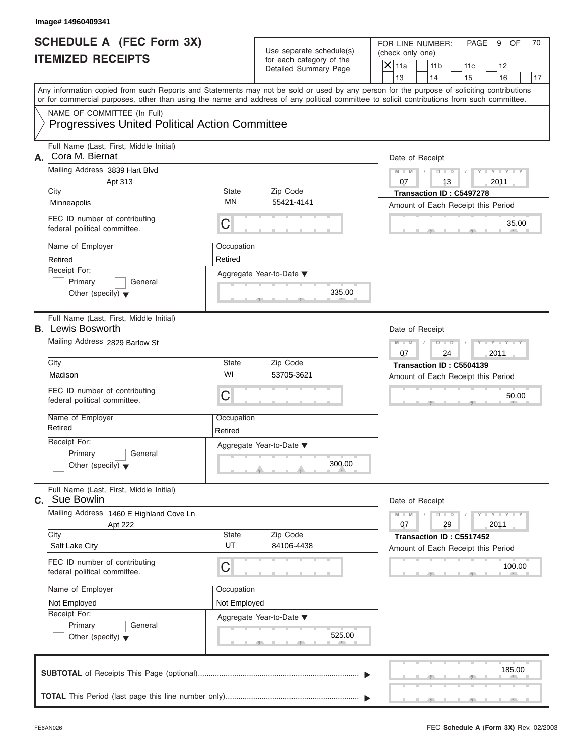FOR LINE NUMBER: PAGE 9 OF<br>(check only one)

|    | SCHEDULE A (FEC Form 3X)<br><b>ITEMIZED RECEIPTS</b>                                                                                       |                       | Use separate schedule(s)<br>for each category of the<br>Detailed Summary Page | FOR LINE NUMBER:<br>PAGE<br>9<br>OF<br>70<br>(check only one)<br>$\overline{X}$ 11a<br>11 <sub>b</sub><br>11c<br>12 |
|----|--------------------------------------------------------------------------------------------------------------------------------------------|-----------------------|-------------------------------------------------------------------------------|---------------------------------------------------------------------------------------------------------------------|
|    | Any information copied from such Reports and Statements may not be sold or used by any person for the purpose of soliciting contributions  |                       |                                                                               | 13<br>14<br>15<br>16<br>17                                                                                          |
|    | or for commercial purposes, other than using the name and address of any political committee to solicit contributions from such committee. |                       |                                                                               |                                                                                                                     |
|    | NAME OF COMMITTEE (In Full)<br><b>Progressives United Political Action Committee</b>                                                       |                       |                                                                               |                                                                                                                     |
| А. | Full Name (Last, First, Middle Initial)<br>Cora M. Biernat                                                                                 |                       |                                                                               | Date of Receipt                                                                                                     |
|    | Mailing Address 3839 Hart Blyd<br>Apt 313<br>City                                                                                          | State                 | Zip Code                                                                      | $Y - Y - I$<br>$M - M$<br>D<br>$\Box$<br>2011<br>13<br>07<br>Transaction ID: C5497278                               |
|    | Minneapolis                                                                                                                                | ΜN                    | 55421-4141                                                                    | Amount of Each Receipt this Period                                                                                  |
|    | FEC ID number of contributing<br>federal political committee.                                                                              | C                     |                                                                               | 35.00                                                                                                               |
|    | Name of Employer<br>Retired                                                                                                                | Occupation<br>Retired |                                                                               |                                                                                                                     |
|    | Receipt For:                                                                                                                               |                       | Aggregate Year-to-Date ▼                                                      |                                                                                                                     |
|    | General<br>Primary<br>Other (specify) $\blacktriangledown$                                                                                 |                       | 335.00                                                                        |                                                                                                                     |
|    | Full Name (Last, First, Middle Initial)<br><b>B.</b> Lewis Bosworth                                                                        |                       |                                                                               | Date of Receipt                                                                                                     |
|    | Mailing Address 2829 Barlow St                                                                                                             |                       | $M - M$<br>$D$ $D$<br>2011<br>07<br>24                                        |                                                                                                                     |
|    | City                                                                                                                                       | State<br>WI           | Zip Code                                                                      | Transaction ID: C5504139                                                                                            |
|    | Madison                                                                                                                                    |                       | 53705-3621                                                                    | Amount of Each Receipt this Period                                                                                  |
|    | FEC ID number of contributing<br>federal political committee.                                                                              | C                     |                                                                               | 50.00                                                                                                               |
|    | Name of Employer<br>Retired                                                                                                                | Occupation            |                                                                               |                                                                                                                     |
|    | Receipt For:                                                                                                                               | Retired               |                                                                               |                                                                                                                     |
|    | General<br>Primary                                                                                                                         |                       | Aggregate Year-to-Date ▼                                                      |                                                                                                                     |
|    | Other (specify) $\blacktriangledown$                                                                                                       |                       | 300.00<br>A                                                                   |                                                                                                                     |
|    | Full Name (Last, First, Middle Initial)<br>C. Sue Bowlin                                                                                   |                       |                                                                               | Date of Receipt                                                                                                     |
|    | Mailing Address 1460 E Highland Cove Ln                                                                                                    |                       |                                                                               | $Y = Y =$<br>$M - M$<br>T<br>D<br>$\overline{\phantom{a}}$<br>07                                                    |
|    | Apt 222<br>City                                                                                                                            | State                 | Zip Code                                                                      | 29<br>2011<br>Transaction ID: C5517452                                                                              |
|    | Salt Lake City                                                                                                                             | UT                    | 84106-4438                                                                    | Amount of Each Receipt this Period                                                                                  |
|    | FEC ID number of contributing<br>federal political committee.                                                                              | C                     |                                                                               | 100.00                                                                                                              |
|    | Name of Employer                                                                                                                           | Occupation            |                                                                               |                                                                                                                     |
|    | Not Employed                                                                                                                               | Not Employed          |                                                                               |                                                                                                                     |
|    | Receipt For:                                                                                                                               |                       | Aggregate Year-to-Date ▼                                                      |                                                                                                                     |
|    | Primary<br>General<br>Other (specify) $\blacktriangledown$                                                                                 |                       | 525.00                                                                        |                                                                                                                     |
|    |                                                                                                                                            |                       |                                                                               | 185.00                                                                                                              |
|    |                                                                                                                                            |                       |                                                                               |                                                                                                                     |

 $S = 1 - 1 - 2$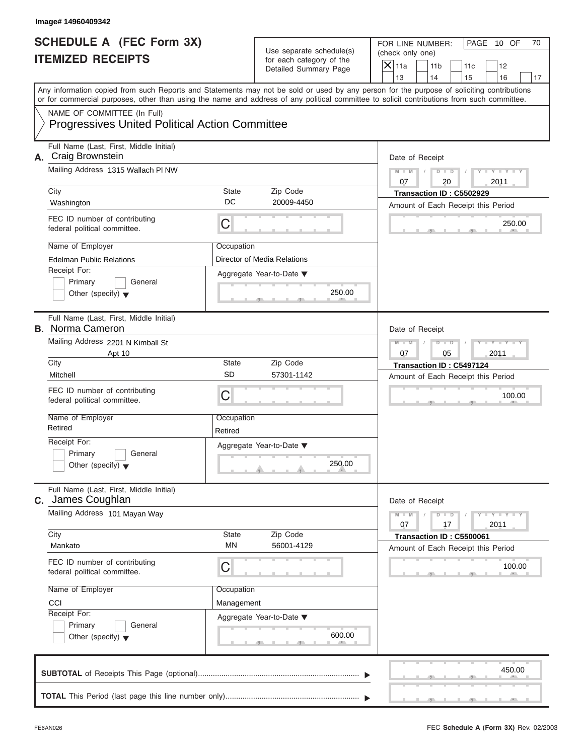|                                                             | Image# 14960409342                                                                                                                                                                                                                                                                                                  |                                                                               |                                                                   |                                                                                                                                                                         |
|-------------------------------------------------------------|---------------------------------------------------------------------------------------------------------------------------------------------------------------------------------------------------------------------------------------------------------------------------------------------------------------------|-------------------------------------------------------------------------------|-------------------------------------------------------------------|-------------------------------------------------------------------------------------------------------------------------------------------------------------------------|
| <b>SCHEDULE A (FEC Form 3X)</b><br><b>ITEMIZED RECEIPTS</b> |                                                                                                                                                                                                                                                                                                                     | Use separate schedule(s)<br>for each category of the<br>Detailed Summary Page |                                                                   | FOR LINE NUMBER:<br>PAGE 10 OF<br>70<br>(check only one)<br>$\mathsf{X}$ 11a<br>11 <sub>b</sub><br>11c<br>12                                                            |
|                                                             | or for commercial purposes, other than using the name and address of any political committee to solicit contributions from such committee.                                                                                                                                                                          |                                                                               |                                                                   | 13<br>14<br>15<br>16<br>17<br>Any information copied from such Reports and Statements may not be sold or used by any person for the purpose of soliciting contributions |
|                                                             | NAME OF COMMITTEE (In Full)<br><b>Progressives United Political Action Committee</b>                                                                                                                                                                                                                                |                                                                               |                                                                   |                                                                                                                                                                         |
|                                                             | Full Name (Last, First, Middle Initial)<br>A. Craig Brownstein<br>Mailing Address 1315 Wallach PI NW<br>City                                                                                                                                                                                                        | State                                                                         | Zip Code                                                          | Date of Receipt<br>$D$ $\Box$ $D$<br>Y TYT<br>$M - M$<br>07<br>20<br>2011<br>Transaction ID: C5502929                                                                   |
|                                                             | Washington<br>FEC ID number of contributing<br>federal political committee.                                                                                                                                                                                                                                         | DC<br>C                                                                       | 20009-4450                                                        | Amount of Each Receipt this Period<br>250.00                                                                                                                            |
|                                                             | Name of Employer<br><b>Edelman Public Relations</b><br>Receipt For:<br>Primary<br>General<br>Other (specify) $\blacktriangledown$                                                                                                                                                                                   | Occupation                                                                    | Director of Media Relations<br>Aggregate Year-to-Date ▼<br>250.00 |                                                                                                                                                                         |
|                                                             | Full Name (Last, First, Middle Initial)<br><b>B.</b> Norma Cameron<br>Mailing Address 2201 N Kimball St<br>Apt 10<br>City<br>Mitchell<br>FEC ID number of contributing<br>federal political committee.<br>Name of Employer<br>Retired<br>Receipt For:<br>Primary<br>General<br>Other (specify) $\blacktriangledown$ | State<br><b>SD</b><br>C<br>Occupation<br>Retired                              | Zip Code<br>57301-1142<br>Aggregate Year-to-Date ▼<br>250.00      | Date of Receipt<br>Y TYT<br>$M - M$<br>$D$ $D$<br>2011<br>07<br>05<br>Transaction ID: C5497124<br>Amount of Each Receipt this Period<br>100.00                          |
| С.                                                          | Full Name (Last, First, Middle Initial)<br>James Coughlan<br>Mailing Address 101 Mayan Way<br>City                                                                                                                                                                                                                  | State                                                                         | Zip Code                                                          | Date of Receipt<br>$M - M$<br>$Y = Y$<br>$D$ $D$<br>2011<br>07<br>17<br>Transaction ID: C5500061                                                                        |
|                                                             | Mankato<br>FEC ID number of contributing<br>federal political committee.<br>Name of Employer<br>CCI<br>Receipt For:<br>Primary<br>General<br>Other (specify) $\blacktriangledown$                                                                                                                                   | <b>MN</b><br>С<br>Occupation<br>Management                                    | 56001-4129<br>Aggregate Year-to-Date ▼<br>600.00                  | Amount of Each Receipt this Period<br>100.00                                                                                                                            |
|                                                             |                                                                                                                                                                                                                                                                                                                     |                                                                               |                                                                   | 450.00                                                                                                                                                                  |
|                                                             |                                                                                                                                                                                                                                                                                                                     |                                                                               |                                                                   |                                                                                                                                                                         |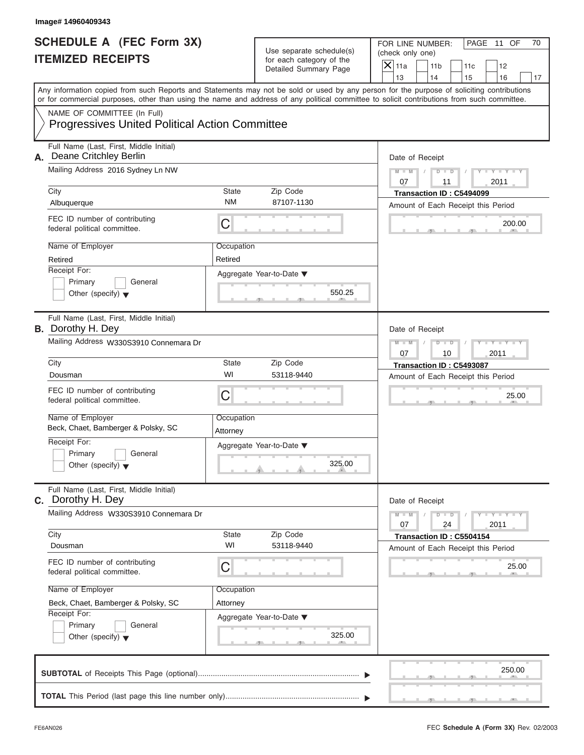|    | Image# 14960409343                                                                                                                         |                                                        |                                                                               |                                                                                                                                                                         |
|----|--------------------------------------------------------------------------------------------------------------------------------------------|--------------------------------------------------------|-------------------------------------------------------------------------------|-------------------------------------------------------------------------------------------------------------------------------------------------------------------------|
|    | <b>SCHEDULE A (FEC Form 3X)</b><br><b>ITEMIZED RECEIPTS</b>                                                                                |                                                        | Use separate schedule(s)<br>for each category of the<br>Detailed Summary Page | FOR LINE NUMBER:<br>PAGE 11 OF<br>70<br>(check only one)<br>$\mathsf{X}$ 11a<br>11 <sub>b</sub><br>11c<br>12                                                            |
|    | or for commercial purposes, other than using the name and address of any political committee to solicit contributions from such committee. |                                                        |                                                                               | 13<br>14<br>15<br>16<br>17<br>Any information copied from such Reports and Statements may not be sold or used by any person for the purpose of soliciting contributions |
|    | NAME OF COMMITTEE (In Full)<br><b>Progressives United Political Action Committee</b>                                                       |                                                        |                                                                               |                                                                                                                                                                         |
| А. | Full Name (Last, First, Middle Initial)<br>Deane Critchley Berlin<br>Mailing Address 2016 Sydney Ln NW<br>City                             | State                                                  | Zip Code                                                                      | Date of Receipt<br>$D$ $D$<br>Y TYT<br>$M - M$<br>07<br>2011<br>11<br>Transaction ID: C5494099                                                                          |
|    | Albuquerque                                                                                                                                | <b>NM</b>                                              | 87107-1130                                                                    | Amount of Each Receipt this Period                                                                                                                                      |
|    | FEC ID number of contributing<br>federal political committee.                                                                              | С                                                      |                                                                               | 200.00                                                                                                                                                                  |
|    | Name of Employer<br>Retired                                                                                                                | Occupation<br>Retired                                  |                                                                               |                                                                                                                                                                         |
|    | Receipt For:<br>Primary<br>General<br>Other (specify) $\blacktriangledown$                                                                 |                                                        | Aggregate Year-to-Date ▼<br>550.25                                            |                                                                                                                                                                         |
|    | Full Name (Last, First, Middle Initial)<br><b>B.</b> Dorothy H. Dey                                                                        |                                                        |                                                                               | Date of Receipt                                                                                                                                                         |
|    | Mailing Address W330S3910 Connemara Dr                                                                                                     | Y TYT<br>$M - M$<br>$D$ $\Box$ $D$<br>2011<br>07<br>10 |                                                                               |                                                                                                                                                                         |
|    | City                                                                                                                                       | State                                                  | Zip Code                                                                      | Transaction ID: C5493087                                                                                                                                                |
|    | Dousman                                                                                                                                    | WI                                                     | 53118-9440                                                                    | Amount of Each Receipt this Period                                                                                                                                      |
|    | FEC ID number of contributing<br>federal political committee.                                                                              | C                                                      |                                                                               | 25.00                                                                                                                                                                   |
|    | Name of Employer<br>Beck, Chaet, Bamberger & Polsky, SC                                                                                    | Occupation<br>Attorney                                 |                                                                               |                                                                                                                                                                         |
|    | Receipt For:<br>Primary<br>General<br>Other (specify) $\blacktriangledown$                                                                 |                                                        | Aggregate Year-to-Date ▼<br>325.00                                            |                                                                                                                                                                         |
|    | Full Name (Last, First, Middle Initial)<br>C. Dorothy H. Dey                                                                               |                                                        |                                                                               | Date of Receipt                                                                                                                                                         |
|    | Mailing Address W330S3910 Connemara Dr                                                                                                     |                                                        |                                                                               | $M - M$<br>$Y = Y$<br>$D - D$<br>2011<br>07<br>24                                                                                                                       |
|    | City<br>Dousman                                                                                                                            | State<br>WI                                            | Zip Code<br>53118-9440                                                        | Transaction ID: C5504154<br>Amount of Each Receipt this Period                                                                                                          |
|    | FEC ID number of contributing<br>federal political committee.                                                                              | С                                                      |                                                                               | 25.00                                                                                                                                                                   |
|    | Name of Employer                                                                                                                           | Occupation                                             |                                                                               |                                                                                                                                                                         |
|    | Beck, Chaet, Bamberger & Polsky, SC<br>Receipt For:                                                                                        | Attorney                                               |                                                                               |                                                                                                                                                                         |
|    | Primary<br>General<br>Other (specify) $\blacktriangledown$                                                                                 |                                                        | Aggregate Year-to-Date ▼<br>325.00                                            |                                                                                                                                                                         |
|    |                                                                                                                                            |                                                        |                                                                               | 250.00                                                                                                                                                                  |
|    |                                                                                                                                            |                                                        |                                                                               |                                                                                                                                                                         |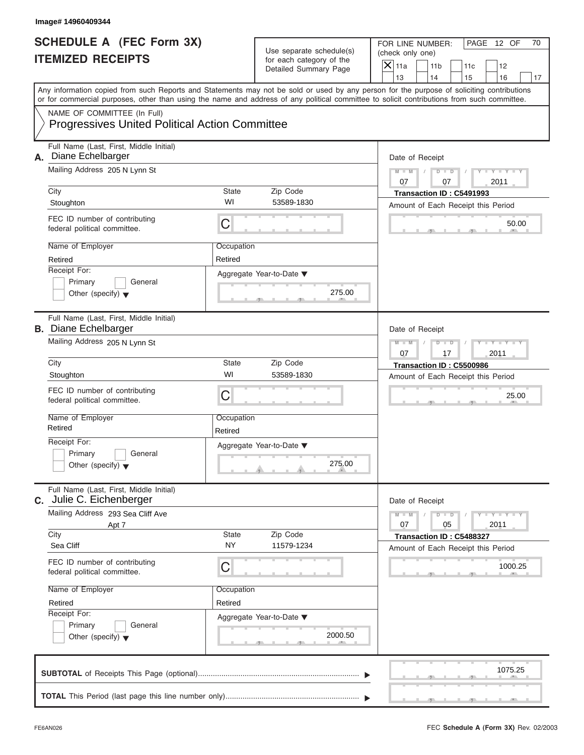| Image# 14960409344                                                                                                                                              |                                                       |                            |                                                                                                                                                                                                                                                                                         |                                      |                                                                                                    |     |                             |    |
|-----------------------------------------------------------------------------------------------------------------------------------------------------------------|-------------------------------------------------------|----------------------------|-----------------------------------------------------------------------------------------------------------------------------------------------------------------------------------------------------------------------------------------------------------------------------------------|--------------------------------------|----------------------------------------------------------------------------------------------------|-----|-----------------------------|----|
| <b>ITEMIZED RECEIPTS</b>                                                                                                                                        | <b>SCHEDULE A (FEC Form 3X)</b>                       |                            | Use separate schedule(s)<br>for each category of the<br>Detailed Summary Page                                                                                                                                                                                                           | (check only one)<br>$\mathsf{X}$ 11a | FOR LINE NUMBER:<br>11 <sub>b</sub>                                                                | 11c | PAGE 12 OF<br>12            | 70 |
|                                                                                                                                                                 |                                                       |                            | Any information copied from such Reports and Statements may not be sold or used by any person for the purpose of soliciting contributions<br>or for commercial purposes, other than using the name and address of any political committee to solicit contributions from such committee. | 13                                   | 14                                                                                                 | 15  | 16                          | 17 |
| NAME OF COMMITTEE (In Full)                                                                                                                                     | <b>Progressives United Political Action Committee</b> |                            |                                                                                                                                                                                                                                                                                         |                                      |                                                                                                    |     |                             |    |
| Full Name (Last, First, Middle Initial)<br>Diane Echelbarger<br>А.<br>Mailing Address 205 N Lynn St<br>City                                                     |                                                       | State<br>WI                | Zip Code<br>53589-1830                                                                                                                                                                                                                                                                  | $M - M$<br>07                        | Date of Receipt<br>$D$ $D$<br>07<br>Transaction ID: C5491993                                       |     | Y TYT<br>2011               |    |
| Stoughton<br>FEC ID number of contributing<br>federal political committee.                                                                                      |                                                       | C                          |                                                                                                                                                                                                                                                                                         |                                      | Amount of Each Receipt this Period                                                                 |     | 50.00                       |    |
| Name of Employer<br>Retired<br>Receipt For:<br>Primary<br>Other (specify) $\blacktriangledown$                                                                  | General                                               | Occupation<br>Retired      | Aggregate Year-to-Date ▼<br>275.00                                                                                                                                                                                                                                                      |                                      |                                                                                                    |     |                             |    |
| Full Name (Last, First, Middle Initial)<br><b>B.</b> Diane Echelbarger<br>Mailing Address 205 N Lynn St                                                         |                                                       |                            |                                                                                                                                                                                                                                                                                         | $M - M$<br>07                        | Date of Receipt<br>$D - I$<br>17                                                                   |     | $Y - Y - Y - Y - Y$<br>2011 |    |
| City<br>Stoughton<br>FEC ID number of contributing<br>federal political committee.                                                                              |                                                       | State<br>WI<br>C           | Zip Code<br>53589-1830                                                                                                                                                                                                                                                                  |                                      | Transaction ID: C5500986<br>Amount of Each Receipt this Period                                     |     | 25.00                       |    |
| Name of Employer<br>Retired<br>Receipt For:<br>Primary<br>Other (specify) $\blacktriangledown$                                                                  | General                                               | Occupation<br>Retired      | Aggregate Year-to-Date ▼<br>275.00                                                                                                                                                                                                                                                      |                                      |                                                                                                    |     |                             |    |
| Full Name (Last, First, Middle Initial)<br><b>C.</b> Julie C. Eichenberger<br>Mailing Address 293 Sea Cliff Ave<br>City<br>Sea Cliff                            | Apt 7                                                 | State<br><b>NY</b>         | Zip Code<br>11579-1234                                                                                                                                                                                                                                                                  | $M - M$<br>07                        | Date of Receipt<br>$D - D$<br>05<br>Transaction ID: C5488327<br>Amount of Each Receipt this Period |     | $Y = Y$<br>2011             |    |
| FEC ID number of contributing<br>federal political committee.<br>Name of Employer<br>Retired<br>Receipt For:<br>Primary<br>Other (specify) $\blacktriangledown$ | General                                               | С<br>Occupation<br>Retired | Aggregate Year-to-Date ▼<br>2000.50                                                                                                                                                                                                                                                     |                                      |                                                                                                    |     | 1000.25                     |    |
|                                                                                                                                                                 |                                                       |                            |                                                                                                                                                                                                                                                                                         |                                      |                                                                                                    |     | 1075.25                     |    |
|                                                                                                                                                                 |                                                       |                            |                                                                                                                                                                                                                                                                                         |                                      |                                                                                                    |     |                             |    |

FEC **Schedule A (Form 3X)** Rev. 02/2003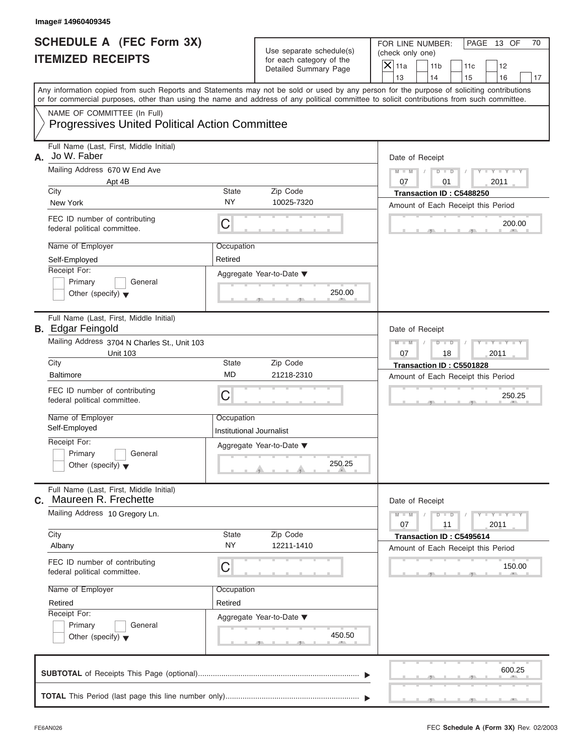| Image# 14960409345                                                                                                                                                                                                                                                                      |                                        |                                                                               |                                                                             |                                                                          |
|-----------------------------------------------------------------------------------------------------------------------------------------------------------------------------------------------------------------------------------------------------------------------------------------|----------------------------------------|-------------------------------------------------------------------------------|-----------------------------------------------------------------------------|--------------------------------------------------------------------------|
| <b>SCHEDULE A (FEC Form 3X)</b><br><b>ITEMIZED RECEIPTS</b>                                                                                                                                                                                                                             |                                        | Use separate schedule(s)<br>for each category of the<br>Detailed Summary Page | FOR LINE NUMBER:<br>(check only one)<br>$\mathsf{X}$ 11a<br>11 <sub>b</sub> | PAGE 13 OF<br>70<br>11c<br>12                                            |
| Any information copied from such Reports and Statements may not be sold or used by any person for the purpose of soliciting contributions<br>or for commercial purposes, other than using the name and address of any political committee to solicit contributions from such committee. |                                        |                                                                               | 13<br>14                                                                    | 15<br>16<br>17                                                           |
| NAME OF COMMITTEE (In Full)<br><b>Progressives United Political Action Committee</b>                                                                                                                                                                                                    |                                        |                                                                               |                                                                             |                                                                          |
| Full Name (Last, First, Middle Initial)<br>Jo W. Faber<br>А.                                                                                                                                                                                                                            |                                        |                                                                               | Date of Receipt                                                             |                                                                          |
| Mailing Address 670 W End Ave                                                                                                                                                                                                                                                           |                                        |                                                                               | $M - M$<br>$D$ $D$                                                          | $Y - Y - Y - Y$                                                          |
| Apt 4B<br>City                                                                                                                                                                                                                                                                          | State                                  | Zip Code                                                                      | 07<br>01<br>Transaction ID: C5488250                                        | 2011                                                                     |
| New York                                                                                                                                                                                                                                                                                | <b>NY</b>                              | 10025-7320                                                                    | Amount of Each Receipt this Period                                          |                                                                          |
| FEC ID number of contributing<br>federal political committee.                                                                                                                                                                                                                           | С                                      |                                                                               |                                                                             | 200.00                                                                   |
| Name of Employer                                                                                                                                                                                                                                                                        | Occupation                             |                                                                               |                                                                             |                                                                          |
| Self-Employed                                                                                                                                                                                                                                                                           | Retired                                |                                                                               |                                                                             |                                                                          |
| Receipt For:<br>Primary<br>General<br>Other (specify) $\blacktriangledown$                                                                                                                                                                                                              |                                        | Aggregate Year-to-Date ▼<br>250.00                                            |                                                                             |                                                                          |
| Full Name (Last, First, Middle Initial)<br><b>B.</b> Edgar Feingold                                                                                                                                                                                                                     |                                        |                                                                               | Date of Receipt                                                             |                                                                          |
| Mailing Address 3704 N Charles St., Unit 103<br><b>Unit 103</b>                                                                                                                                                                                                                         |                                        |                                                                               | $M - M$<br>$D - I$<br>07<br>18                                              | Y T Y T Y T<br>2011                                                      |
| City                                                                                                                                                                                                                                                                                    | State                                  | Zip Code                                                                      | Transaction ID: C5501828                                                    |                                                                          |
| <b>Baltimore</b>                                                                                                                                                                                                                                                                        | MD                                     | 21218-2310                                                                    | Amount of Each Receipt this Period                                          |                                                                          |
| FEC ID number of contributing<br>federal political committee.                                                                                                                                                                                                                           | C                                      |                                                                               |                                                                             | 250.25                                                                   |
| Name of Employer<br>Self-Employed                                                                                                                                                                                                                                                       | Occupation<br>Institutional Journalist |                                                                               |                                                                             |                                                                          |
| Receipt For:<br>Primary<br>General<br>Other (specify) $\blacktriangledown$                                                                                                                                                                                                              |                                        | Aggregate Year-to-Date ▼<br>250.25                                            |                                                                             |                                                                          |
| Full Name (Last, First, Middle Initial)<br>C. Maureen R. Frechette                                                                                                                                                                                                                      |                                        |                                                                               | Date of Receipt                                                             |                                                                          |
| Mailing Address 10 Gregory Ln.                                                                                                                                                                                                                                                          |                                        |                                                                               | $M - M$<br>$D$ $D$<br>07<br>11                                              | $\mathbf{I}$ $\mathbf{Y}$ $\mathbf{I}$ $\mathbf{Y}$ $\mathbf{I}$<br>2011 |
| City<br>Albany                                                                                                                                                                                                                                                                          | <b>State</b><br><b>NY</b>              | Zip Code<br>12211-1410                                                        | Transaction ID: C5495614<br>Amount of Each Receipt this Period              |                                                                          |
| FEC ID number of contributing<br>federal political committee.                                                                                                                                                                                                                           | С                                      |                                                                               |                                                                             | 150.00                                                                   |
| Name of Employer                                                                                                                                                                                                                                                                        | Occupation                             |                                                                               |                                                                             |                                                                          |
| Retired                                                                                                                                                                                                                                                                                 | Retired                                |                                                                               |                                                                             |                                                                          |
| Receipt For:<br>Primary<br>General                                                                                                                                                                                                                                                      |                                        | Aggregate Year-to-Date ▼                                                      |                                                                             |                                                                          |
| Other (specify) $\blacktriangledown$                                                                                                                                                                                                                                                    |                                        | 450.50                                                                        |                                                                             |                                                                          |
|                                                                                                                                                                                                                                                                                         |                                        |                                                                               |                                                                             | 600.25                                                                   |
|                                                                                                                                                                                                                                                                                         |                                        |                                                                               |                                                                             |                                                                          |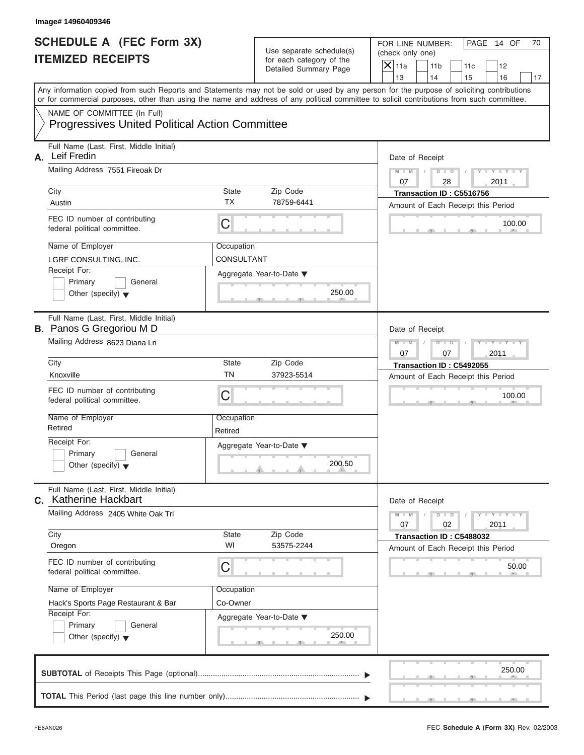| Image# 14960409346                                                                                                                                                                                                                                                                                                                        |                                                     |                                                                               |                                                                                                                                                                         |
|-------------------------------------------------------------------------------------------------------------------------------------------------------------------------------------------------------------------------------------------------------------------------------------------------------------------------------------------|-----------------------------------------------------|-------------------------------------------------------------------------------|-------------------------------------------------------------------------------------------------------------------------------------------------------------------------|
| <b>SCHEDULE A (FEC Form 3X)</b><br><b>ITEMIZED RECEIPTS</b>                                                                                                                                                                                                                                                                               |                                                     | Use separate schedule(s)<br>for each category of the<br>Detailed Summary Page | FOR LINE NUMBER:<br>PAGE 14 OF<br>70<br>(check only one)<br>$\mathsf{X}$ 11a<br>11 <sub>b</sub><br>11c<br>12                                                            |
| or for commercial purposes, other than using the name and address of any political committee to solicit contributions from such committee.                                                                                                                                                                                                |                                                     |                                                                               | 13<br>14<br>15<br>16<br>17<br>Any information copied from such Reports and Statements may not be sold or used by any person for the purpose of soliciting contributions |
| NAME OF COMMITTEE (In Full)<br><b>Progressives United Political Action Committee</b>                                                                                                                                                                                                                                                      |                                                     |                                                                               |                                                                                                                                                                         |
| Full Name (Last, First, Middle Initial)<br>Leif Fredin<br>А.<br>Mailing Address 7551 Fireoak Dr<br>City<br>Austin<br>FEC ID number of contributing<br>federal political committee.<br>Name of Employer<br>LGRF CONSULTING, INC.<br>Receipt For:<br>Primary<br>General                                                                     | State<br><b>TX</b><br>С<br>Occupation<br>CONSULTANT | Zip Code<br>78759-6441<br>Aggregate Year-to-Date ▼                            | Date of Receipt<br>$D$ $D$<br>$Y - Y - Y$<br>$M - M$<br>07<br>28<br>2011<br>Transaction ID: C5516756<br>Amount of Each Receipt this Period<br>100.00                    |
| Other (specify) $\blacktriangledown$<br>Full Name (Last, First, Middle Initial)<br><b>B.</b> Panos G Gregoriou M D<br>Mailing Address 8623 Diana Ln                                                                                                                                                                                       |                                                     | 250.00                                                                        | Date of Receipt<br>$D$ $D$<br>$Y - Y - Y - Y - Y$<br>$M - M$                                                                                                            |
| City<br>Knoxville<br>FEC ID number of contributing<br>federal political committee.<br>Name of Employer<br>Retired<br>Receipt For:<br>Primary<br>General<br>Other (specify) $\blacktriangledown$                                                                                                                                           | State<br><b>TN</b><br>С<br>Occupation<br>Retired    | Zip Code<br>37923-5514<br>Aggregate Year-to-Date ▼<br>200.50                  | 2011<br>07<br>07<br>Transaction ID: C5492055<br>Amount of Each Receipt this Period<br>100.00                                                                            |
| Full Name (Last, First, Middle Initial)<br><b>C.</b> Katherine Hackbart<br>Mailing Address 2405 White Oak Trl<br>City<br>Oregon<br>FEC ID number of contributing<br>federal political committee.<br>Name of Employer<br>Hack's Sports Page Restaurant & Bar<br>Receipt For:<br>Primary<br>General<br>Other (specify) $\blacktriangledown$ | State<br>WI<br>С<br>Occupation<br>Co-Owner          | Zip Code<br>53575-2244<br>Aggregate Year-to-Date ▼<br>250.00                  | Date of Receipt<br>$Y = Y$<br>$M - M$<br>$D$ $D$<br>2011<br>07<br>02<br>Transaction ID: C5488032<br>Amount of Each Receipt this Period<br>50.00                         |
|                                                                                                                                                                                                                                                                                                                                           |                                                     |                                                                               | 250.00                                                                                                                                                                  |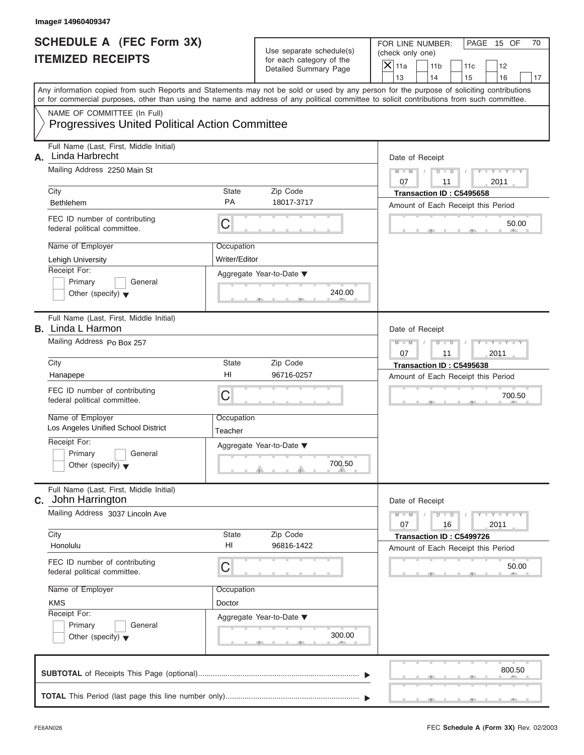|                                                             | Image# 14960409347                                                                                                                         |                       |                                                                               |                                                                                                                                                                         |
|-------------------------------------------------------------|--------------------------------------------------------------------------------------------------------------------------------------------|-----------------------|-------------------------------------------------------------------------------|-------------------------------------------------------------------------------------------------------------------------------------------------------------------------|
| <b>SCHEDULE A (FEC Form 3X)</b><br><b>ITEMIZED RECEIPTS</b> |                                                                                                                                            |                       | Use separate schedule(s)<br>for each category of the<br>Detailed Summary Page | FOR LINE NUMBER:<br>PAGE 15 OF<br>70<br>(check only one)<br>$\mathsf{X}$ 11a<br>11 <sub>b</sub><br>11c<br>12                                                            |
|                                                             |                                                                                                                                            |                       |                                                                               | 13<br>14<br>15<br>16<br>17<br>Any information copied from such Reports and Statements may not be sold or used by any person for the purpose of soliciting contributions |
|                                                             | or for commercial purposes, other than using the name and address of any political committee to solicit contributions from such committee. |                       |                                                                               |                                                                                                                                                                         |
|                                                             | NAME OF COMMITTEE (In Full)<br><b>Progressives United Political Action Committee</b>                                                       |                       |                                                                               |                                                                                                                                                                         |
| А.                                                          | Full Name (Last, First, Middle Initial)<br>Linda Harbrecht                                                                                 |                       |                                                                               | Date of Receipt                                                                                                                                                         |
|                                                             | Mailing Address 2250 Main St                                                                                                               |                       |                                                                               | $M - M$<br>$D$ $D$<br>$Y - Y - Y$<br>07<br>2011<br>11                                                                                                                   |
|                                                             | City                                                                                                                                       | State                 | Zip Code                                                                      | Transaction ID: C5495658                                                                                                                                                |
|                                                             | <b>Bethlehem</b>                                                                                                                           | <b>PA</b>             | 18017-3717                                                                    | Amount of Each Receipt this Period                                                                                                                                      |
|                                                             | FEC ID number of contributing<br>federal political committee.                                                                              | C                     |                                                                               | 50.00                                                                                                                                                                   |
|                                                             | Name of Employer                                                                                                                           | Occupation            |                                                                               |                                                                                                                                                                         |
|                                                             | Lehigh University                                                                                                                          | Writer/Editor         |                                                                               |                                                                                                                                                                         |
|                                                             | Receipt For:                                                                                                                               |                       | Aggregate Year-to-Date ▼                                                      |                                                                                                                                                                         |
|                                                             | Primary<br>General<br>Other (specify) $\blacktriangledown$                                                                                 |                       | 240.00                                                                        |                                                                                                                                                                         |
|                                                             | Full Name (Last, First, Middle Initial)<br><b>B.</b> Linda L Harmon                                                                        |                       |                                                                               | Date of Receipt                                                                                                                                                         |
|                                                             | Mailing Address Po Box 257                                                                                                                 |                       |                                                                               | $D - I - D$<br>$Y - Y - Y - Y - Y$<br>$M - M$<br>2011<br>07<br>11                                                                                                       |
|                                                             | City                                                                                                                                       | State                 | Zip Code                                                                      | Transaction ID: C5495638                                                                                                                                                |
|                                                             | Hanapepe                                                                                                                                   | HI                    | 96716-0257                                                                    | Amount of Each Receipt this Period                                                                                                                                      |
|                                                             | FEC ID number of contributing<br>federal political committee.                                                                              | C                     |                                                                               | 700.50                                                                                                                                                                  |
|                                                             | Name of Employer<br>Los Angeles Unified School District                                                                                    | Occupation<br>Teacher |                                                                               |                                                                                                                                                                         |
|                                                             | Receipt For:                                                                                                                               |                       | Aggregate Year-to-Date ▼                                                      |                                                                                                                                                                         |
|                                                             | Primary<br>General<br>Other (specify) $\blacktriangledown$                                                                                 |                       | 700.50                                                                        |                                                                                                                                                                         |
|                                                             | Full Name (Last, First, Middle Initial)<br><b>C.</b> John Harrington                                                                       |                       |                                                                               | Date of Receipt                                                                                                                                                         |
|                                                             | Mailing Address 3037 Lincoln Ave                                                                                                           |                       |                                                                               | $M - M$<br>$Y = Y$<br>$D$ $D$<br>2011<br>07<br>16                                                                                                                       |
|                                                             | City<br>Honolulu                                                                                                                           | State<br>HI           | Zip Code<br>96816-1422                                                        | Transaction ID: C5499726<br>Amount of Each Receipt this Period                                                                                                          |
|                                                             | FEC ID number of contributing<br>federal political committee.                                                                              | С                     |                                                                               | 50.00                                                                                                                                                                   |
|                                                             | Name of Employer                                                                                                                           |                       |                                                                               |                                                                                                                                                                         |
|                                                             | <b>KMS</b>                                                                                                                                 | Doctor                |                                                                               |                                                                                                                                                                         |
|                                                             | Receipt For:                                                                                                                               |                       | Aggregate Year-to-Date ▼                                                      |                                                                                                                                                                         |
|                                                             | Primary<br>General<br>Other (specify) $\blacktriangledown$                                                                                 |                       | 300.00                                                                        |                                                                                                                                                                         |
|                                                             |                                                                                                                                            |                       |                                                                               | 800.50                                                                                                                                                                  |
|                                                             |                                                                                                                                            |                       |                                                                               |                                                                                                                                                                         |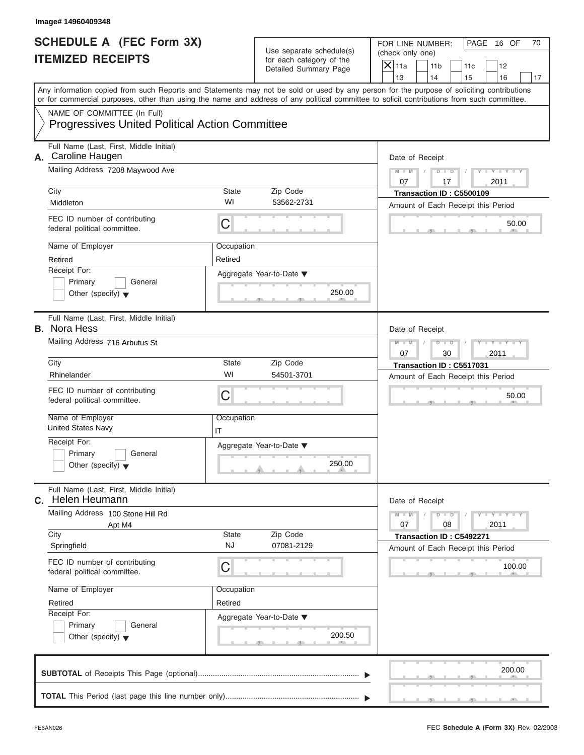|                                                             | Image# 14960409348                                                                                                                                                                                                                                                                      |                    |                                                                               |                                                                                                              |
|-------------------------------------------------------------|-----------------------------------------------------------------------------------------------------------------------------------------------------------------------------------------------------------------------------------------------------------------------------------------|--------------------|-------------------------------------------------------------------------------|--------------------------------------------------------------------------------------------------------------|
| <b>SCHEDULE A (FEC Form 3X)</b><br><b>ITEMIZED RECEIPTS</b> |                                                                                                                                                                                                                                                                                         |                    | Use separate schedule(s)<br>for each category of the<br>Detailed Summary Page | FOR LINE NUMBER:<br>PAGE 16 OF<br>70<br>(check only one)<br>$\mathsf{X}$ 11a<br>11 <sub>b</sub><br>11c<br>12 |
|                                                             |                                                                                                                                                                                                                                                                                         |                    |                                                                               | 13<br>14<br>15<br>16<br>17                                                                                   |
|                                                             | Any information copied from such Reports and Statements may not be sold or used by any person for the purpose of soliciting contributions<br>or for commercial purposes, other than using the name and address of any political committee to solicit contributions from such committee. |                    |                                                                               |                                                                                                              |
|                                                             | NAME OF COMMITTEE (In Full)<br><b>Progressives United Political Action Committee</b>                                                                                                                                                                                                    |                    |                                                                               |                                                                                                              |
|                                                             | Full Name (Last, First, Middle Initial)<br>A. Caroline Haugen                                                                                                                                                                                                                           |                    |                                                                               | Date of Receipt                                                                                              |
|                                                             | Mailing Address 7208 Maywood Ave                                                                                                                                                                                                                                                        |                    |                                                                               | $M - M$<br>$D$ $D$<br>$Y - Y - Y$<br>07<br>2011<br>17                                                        |
|                                                             | City                                                                                                                                                                                                                                                                                    | State              | Zip Code                                                                      | Transaction ID: C5500109                                                                                     |
|                                                             | Middleton                                                                                                                                                                                                                                                                               | WI                 | 53562-2731                                                                    | Amount of Each Receipt this Period                                                                           |
|                                                             | FEC ID number of contributing<br>federal political committee.                                                                                                                                                                                                                           | C                  |                                                                               | 50.00                                                                                                        |
|                                                             | Name of Employer                                                                                                                                                                                                                                                                        | Occupation         |                                                                               |                                                                                                              |
|                                                             | Retired<br>Receipt For:                                                                                                                                                                                                                                                                 | Retired            |                                                                               |                                                                                                              |
|                                                             | Primary<br>General                                                                                                                                                                                                                                                                      |                    | Aggregate Year-to-Date ▼                                                      |                                                                                                              |
|                                                             | Other (specify) $\blacktriangledown$                                                                                                                                                                                                                                                    |                    | 250.00                                                                        |                                                                                                              |
|                                                             | Full Name (Last, First, Middle Initial)<br><b>B.</b> Nora Hess                                                                                                                                                                                                                          |                    |                                                                               | Date of Receipt                                                                                              |
|                                                             | Mailing Address 716 Arbutus St                                                                                                                                                                                                                                                          |                    |                                                                               | Y TY TY<br>$M - M$<br>$D$ $D$<br>2011<br>07<br>30                                                            |
|                                                             | City                                                                                                                                                                                                                                                                                    | State              | Zip Code                                                                      | Transaction ID: C5517031                                                                                     |
|                                                             | Rhinelander                                                                                                                                                                                                                                                                             | WI                 | 54501-3701                                                                    | Amount of Each Receipt this Period                                                                           |
|                                                             | FEC ID number of contributing<br>federal political committee.                                                                                                                                                                                                                           | C                  |                                                                               | 50.00                                                                                                        |
|                                                             | Name of Employer<br><b>United States Navy</b>                                                                                                                                                                                                                                           | Occupation<br>IT   |                                                                               |                                                                                                              |
|                                                             | Receipt For:                                                                                                                                                                                                                                                                            |                    | Aggregate Year-to-Date ▼                                                      |                                                                                                              |
|                                                             | Primary<br>General<br>Other (specify) $\blacktriangledown$                                                                                                                                                                                                                              |                    | 250.00                                                                        |                                                                                                              |
|                                                             | Full Name (Last, First, Middle Initial)<br>C. Helen Heumann                                                                                                                                                                                                                             |                    |                                                                               | Date of Receipt                                                                                              |
|                                                             | Mailing Address 100 Stone Hill Rd<br>Apt M4                                                                                                                                                                                                                                             |                    |                                                                               | $M - M$<br>$Y = Y$<br>$D - D$<br>2011<br>07<br>08                                                            |
|                                                             | City<br>Springfield                                                                                                                                                                                                                                                                     | State<br><b>NJ</b> | Zip Code<br>07081-2129                                                        | Transaction ID: C5492271<br>Amount of Each Receipt this Period                                               |
|                                                             | FEC ID number of contributing<br>federal political committee.                                                                                                                                                                                                                           | С                  |                                                                               | 100.00                                                                                                       |
|                                                             | Name of Employer                                                                                                                                                                                                                                                                        | Occupation         |                                                                               |                                                                                                              |
|                                                             | Retired                                                                                                                                                                                                                                                                                 | Retired            |                                                                               |                                                                                                              |
|                                                             | Receipt For:<br>Primary<br>General                                                                                                                                                                                                                                                      |                    | Aggregate Year-to-Date ▼                                                      |                                                                                                              |
|                                                             | Other (specify) $\blacktriangledown$                                                                                                                                                                                                                                                    |                    | 200.50                                                                        |                                                                                                              |
|                                                             |                                                                                                                                                                                                                                                                                         |                    |                                                                               | 200.00                                                                                                       |
|                                                             |                                                                                                                                                                                                                                                                                         |                    |                                                                               |                                                                                                              |

S S S , , .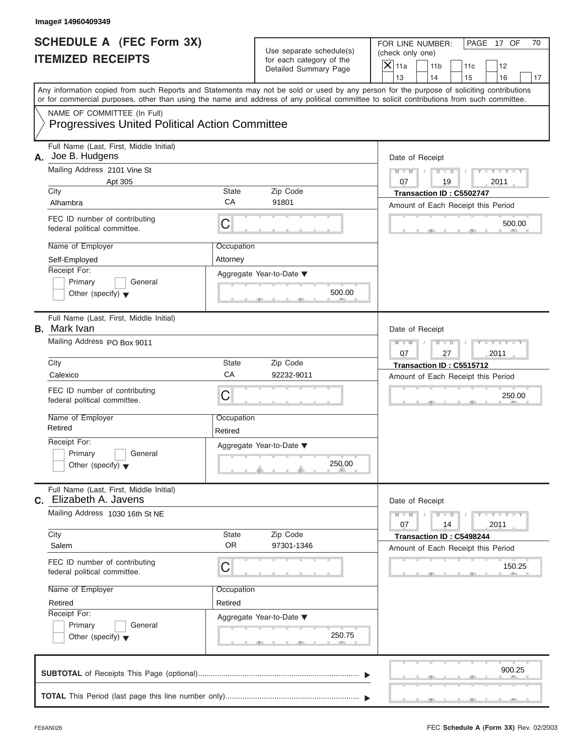| Image# 14960409349                                                                   |                       |                                                      |                                                                                                                                                                                                                                                                                         |
|--------------------------------------------------------------------------------------|-----------------------|------------------------------------------------------|-----------------------------------------------------------------------------------------------------------------------------------------------------------------------------------------------------------------------------------------------------------------------------------------|
| <b>SCHEDULE A (FEC Form 3X)</b><br><b>ITEMIZED RECEIPTS</b>                          |                       | Use separate schedule(s)<br>for each category of the | FOR LINE NUMBER:<br>PAGE 17 OF<br>70<br>(check only one)                                                                                                                                                                                                                                |
|                                                                                      |                       | Detailed Summary Page                                | $\mathsf{X}$ 11a<br>11 <sub>b</sub><br>11c<br>12<br>13<br>14<br>15<br>16<br>17                                                                                                                                                                                                          |
|                                                                                      |                       |                                                      | Any information copied from such Reports and Statements may not be sold or used by any person for the purpose of soliciting contributions<br>or for commercial purposes, other than using the name and address of any political committee to solicit contributions from such committee. |
| NAME OF COMMITTEE (In Full)<br><b>Progressives United Political Action Committee</b> |                       |                                                      |                                                                                                                                                                                                                                                                                         |
| Full Name (Last, First, Middle Initial)<br>Joe B. Hudgens<br>А.                      |                       |                                                      | Date of Receipt                                                                                                                                                                                                                                                                         |
| Mailing Address 2101 Vine St<br>Apt 305                                              |                       |                                                      | $Y - Y - Y - Y - Y$<br>$D$ $\Box$ $D$<br>$M - M$<br>07<br>19<br>2011                                                                                                                                                                                                                    |
| City                                                                                 | State<br>CA           | Zip Code                                             | Transaction ID: C5502747                                                                                                                                                                                                                                                                |
| Alhambra                                                                             |                       | 91801                                                | Amount of Each Receipt this Period                                                                                                                                                                                                                                                      |
| FEC ID number of contributing<br>federal political committee.                        | С                     |                                                      | 500.00                                                                                                                                                                                                                                                                                  |
| Name of Employer                                                                     | Occupation            |                                                      |                                                                                                                                                                                                                                                                                         |
| Self-Employed                                                                        | Attorney              |                                                      |                                                                                                                                                                                                                                                                                         |
| Receipt For:<br>Primary<br>General                                                   |                       | Aggregate Year-to-Date ▼                             |                                                                                                                                                                                                                                                                                         |
| Other (specify) $\blacktriangledown$                                                 |                       | 500.00                                               |                                                                                                                                                                                                                                                                                         |
| Full Name (Last, First, Middle Initial)<br><b>B.</b> Mark Ivan                       |                       |                                                      | Date of Receipt                                                                                                                                                                                                                                                                         |
| Mailing Address PO Box 9011                                                          |                       |                                                      | Y T Y T Y T<br>$M - M$<br>$D$ $D$                                                                                                                                                                                                                                                       |
|                                                                                      |                       |                                                      | 2011<br>07<br>27                                                                                                                                                                                                                                                                        |
| City<br>Calexico                                                                     | State<br>CA           | Zip Code<br>92232-9011                               | Transaction ID: C5515712                                                                                                                                                                                                                                                                |
| FEC ID number of contributing<br>federal political committee.                        | С                     |                                                      | Amount of Each Receipt this Period<br>250.00                                                                                                                                                                                                                                            |
| Name of Employer<br>Retired                                                          | Occupation<br>Retired |                                                      |                                                                                                                                                                                                                                                                                         |
| Receipt For:                                                                         |                       | Aggregate Year-to-Date ▼                             |                                                                                                                                                                                                                                                                                         |
| Primary<br>General<br>Other (specify) $\blacktriangledown$                           |                       | 250.00                                               |                                                                                                                                                                                                                                                                                         |
| Full Name (Last, First, Middle Initial)<br>C. Elizabeth A. Javens                    |                       |                                                      | Date of Receipt                                                                                                                                                                                                                                                                         |
| Mailing Address 1030 16th St NE                                                      |                       |                                                      |                                                                                                                                                                                                                                                                                         |
| City<br>Salem                                                                        | State<br><b>OR</b>    | Zip Code<br>97301-1346                               | Transaction ID: C5498244<br>Amount of Each Receipt this Period                                                                                                                                                                                                                          |
| FEC ID number of contributing<br>federal political committee.                        | С                     |                                                      | 150.25                                                                                                                                                                                                                                                                                  |
| Name of Employer                                                                     | Occupation            |                                                      |                                                                                                                                                                                                                                                                                         |
| Retired                                                                              | Retired               |                                                      |                                                                                                                                                                                                                                                                                         |
| Receipt For:                                                                         |                       | Aggregate Year-to-Date ▼                             |                                                                                                                                                                                                                                                                                         |
| Primary<br>General<br>Other (specify) $\blacktriangledown$                           |                       | 250.75                                               |                                                                                                                                                                                                                                                                                         |
|                                                                                      |                       |                                                      | 900.25                                                                                                                                                                                                                                                                                  |
|                                                                                      |                       |                                                      |                                                                                                                                                                                                                                                                                         |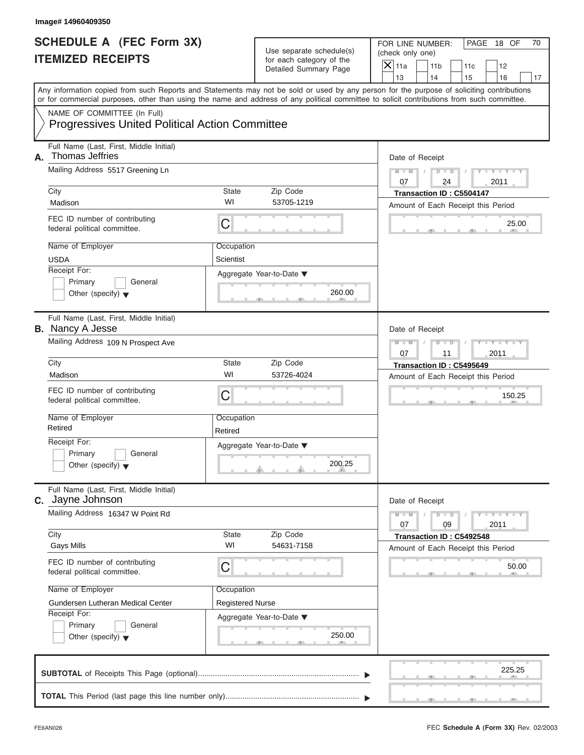|                                                             | Image# 14960409350                                                                                                                                                                                                                                                                      |                         |                                                                               |                                                                                                              |
|-------------------------------------------------------------|-----------------------------------------------------------------------------------------------------------------------------------------------------------------------------------------------------------------------------------------------------------------------------------------|-------------------------|-------------------------------------------------------------------------------|--------------------------------------------------------------------------------------------------------------|
| <b>SCHEDULE A (FEC Form 3X)</b><br><b>ITEMIZED RECEIPTS</b> |                                                                                                                                                                                                                                                                                         |                         | Use separate schedule(s)<br>for each category of the<br>Detailed Summary Page | FOR LINE NUMBER:<br>PAGE 18 OF<br>70<br>(check only one)<br>$\mathsf{X}$ 11a<br>11 <sub>b</sub><br>11c<br>12 |
|                                                             | Any information copied from such Reports and Statements may not be sold or used by any person for the purpose of soliciting contributions<br>or for commercial purposes, other than using the name and address of any political committee to solicit contributions from such committee. |                         |                                                                               | 13<br>14<br>15<br>16<br>17                                                                                   |
|                                                             | NAME OF COMMITTEE (In Full)<br><b>Progressives United Political Action Committee</b>                                                                                                                                                                                                    |                         |                                                                               |                                                                                                              |
| А.                                                          | Full Name (Last, First, Middle Initial)<br>Thomas Jeffries<br>Mailing Address 5517 Greening Ln                                                                                                                                                                                          |                         |                                                                               | Date of Receipt<br>$D$ $D$<br>$Y - Y - Y$<br>$M - M$<br>07<br>24<br>2011                                     |
|                                                             | City<br>Madison                                                                                                                                                                                                                                                                         | State<br>WI             | Zip Code<br>53705-1219                                                        | Transaction ID: C5504147                                                                                     |
|                                                             | FEC ID number of contributing<br>federal political committee.                                                                                                                                                                                                                           | C                       |                                                                               | Amount of Each Receipt this Period<br>25.00                                                                  |
|                                                             | Name of Employer<br><b>USDA</b><br>Receipt For:                                                                                                                                                                                                                                         | Occupation<br>Scientist | Aggregate Year-to-Date ▼                                                      |                                                                                                              |
|                                                             | Primary<br>General<br>Other (specify) $\blacktriangledown$                                                                                                                                                                                                                              |                         | 260.00                                                                        |                                                                                                              |
|                                                             | Full Name (Last, First, Middle Initial)<br><b>B.</b> Nancy A Jesse                                                                                                                                                                                                                      |                         |                                                                               | Date of Receipt                                                                                              |
|                                                             | Mailing Address 109 N Prospect Ave                                                                                                                                                                                                                                                      |                         |                                                                               | Y TY TY<br>$M - M$<br>$D$ $D$<br>2011<br>07<br>11                                                            |
|                                                             | City                                                                                                                                                                                                                                                                                    | State                   | Zip Code                                                                      | Transaction ID: C5495649                                                                                     |
|                                                             | Madison                                                                                                                                                                                                                                                                                 | WI                      | 53726-4024                                                                    | Amount of Each Receipt this Period                                                                           |
|                                                             | FEC ID number of contributing<br>federal political committee.                                                                                                                                                                                                                           | C                       |                                                                               | 150.25                                                                                                       |
|                                                             | Name of Employer<br>Retired                                                                                                                                                                                                                                                             | Occupation<br>Retired   |                                                                               |                                                                                                              |
|                                                             | Receipt For:                                                                                                                                                                                                                                                                            |                         | Aggregate Year-to-Date ▼                                                      |                                                                                                              |
|                                                             | Primary<br>General<br>Other (specify) $\blacktriangledown$                                                                                                                                                                                                                              |                         | 200.25                                                                        |                                                                                                              |
|                                                             | Full Name (Last, First, Middle Initial)<br>C. Jayne Johnson                                                                                                                                                                                                                             |                         |                                                                               | Date of Receipt                                                                                              |
|                                                             | Mailing Address 16347 W Point Rd                                                                                                                                                                                                                                                        |                         |                                                                               | $M - M$<br>$Y = Y$<br>$D - D$<br>2011<br>07<br>09                                                            |
|                                                             | City<br><b>Gays Mills</b>                                                                                                                                                                                                                                                               | State<br>WI             | Zip Code<br>54631-7158                                                        | Transaction ID: C5492548<br>Amount of Each Receipt this Period                                               |
|                                                             | FEC ID number of contributing<br>federal political committee.                                                                                                                                                                                                                           |                         | 50.00                                                                         |                                                                                                              |
|                                                             | Name of Employer                                                                                                                                                                                                                                                                        | Occupation              |                                                                               |                                                                                                              |
|                                                             | Gundersen Lutheran Medical Center<br>Receipt For:                                                                                                                                                                                                                                       | <b>Registered Nurse</b> |                                                                               |                                                                                                              |
|                                                             | Primary<br>General<br>Other (specify) $\blacktriangledown$                                                                                                                                                                                                                              |                         | Aggregate Year-to-Date ▼<br>250.00                                            |                                                                                                              |
|                                                             |                                                                                                                                                                                                                                                                                         |                         |                                                                               | 225.25                                                                                                       |
|                                                             |                                                                                                                                                                                                                                                                                         |                         |                                                                               |                                                                                                              |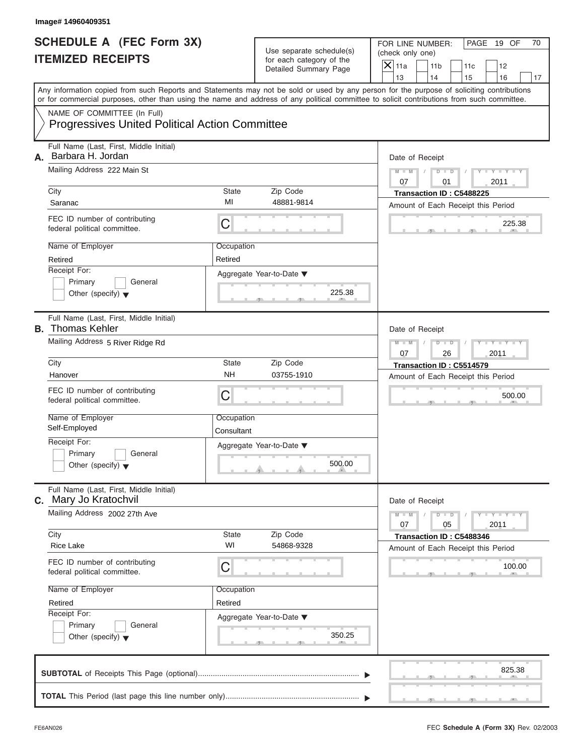| Image# 14960409351                                                                                                                                                                                                                                                                                            |                                                                                                                     |                                                                                                                                                       |
|---------------------------------------------------------------------------------------------------------------------------------------------------------------------------------------------------------------------------------------------------------------------------------------------------------------|---------------------------------------------------------------------------------------------------------------------|-------------------------------------------------------------------------------------------------------------------------------------------------------|
| <b>SCHEDULE A (FEC Form 3X)</b><br><b>ITEMIZED RECEIPTS</b>                                                                                                                                                                                                                                                   | Use separate schedule(s)<br>for each category of the<br>Detailed Summary Page                                       | FOR LINE NUMBER:<br>PAGE 19 OF<br>70<br>(check only one)<br>$\mathsf{X}$ 11a<br>11 <sub>b</sub><br>11c<br>12<br>13<br>14<br>17                        |
| or for commercial purposes, other than using the name and address of any political committee to solicit contributions from such committee.                                                                                                                                                                    |                                                                                                                     | 15<br>16<br>Any information copied from such Reports and Statements may not be sold or used by any person for the purpose of soliciting contributions |
| NAME OF COMMITTEE (In Full)<br><b>Progressives United Political Action Committee</b>                                                                                                                                                                                                                          |                                                                                                                     |                                                                                                                                                       |
| Full Name (Last, First, Middle Initial)<br>Barbara H. Jordan<br>А.<br>Mailing Address 222 Main St<br>City<br>Saranac<br>FEC ID number of contributing<br>federal political committee.<br>Name of Employer<br>Retired                                                                                          | State<br>Zip Code<br>MI<br>48881-9814<br>C<br>Occupation<br>Retired                                                 | Date of Receipt<br>$M - M$<br>$D$ $D$<br>$Y - Y - Y$<br>07<br>2011<br>01<br>Transaction ID: C5488225<br>Amount of Each Receipt this Period<br>225.38  |
| Receipt For:<br>Primary<br>General<br>Other (specify) $\blacktriangledown$                                                                                                                                                                                                                                    | Aggregate Year-to-Date ▼<br>225.38                                                                                  |                                                                                                                                                       |
| Full Name (Last, First, Middle Initial)<br><b>B.</b> Thomas Kehler<br>Mailing Address 5 River Ridge Rd<br>City<br>Hanover<br>FEC ID number of contributing<br>federal political committee.<br>Name of Employer<br>Self-Employed<br>Receipt For:<br>Primary<br>General<br>Other (specify) $\blacktriangledown$ | State<br>Zip Code<br><b>NH</b><br>03755-1910<br>C<br>Occupation<br>Consultant<br>Aggregate Year-to-Date ▼<br>500.00 | Date of Receipt<br>$D - I$<br>Y T Y T Y T<br>$M - M$<br>2011<br>07<br>26<br>Transaction ID: C5514579<br>Amount of Each Receipt this Period<br>500.00  |
| Full Name (Last, First, Middle Initial)<br>C. Mary Jo Kratochvil<br>Mailing Address 2002 27th Ave<br>City<br><b>Rice Lake</b><br>FEC ID number of contributing<br>federal political committee.<br>Name of Employer<br>Retired<br>Receipt For:<br>Primary<br>General<br>Other (specify) $\blacktriangledown$   | Zip Code<br>State<br>WI<br>54868-9328<br>С<br>Occupation<br>Retired<br>Aggregate Year-to-Date ▼<br>350.25           | Date of Receipt<br>$M - M$<br>$Y = Y$<br>$D - D$<br>2011<br>07<br>05<br>Transaction ID: C5488346<br>Amount of Each Receipt this Period<br>100.00      |
|                                                                                                                                                                                                                                                                                                               |                                                                                                                     | 825.38                                                                                                                                                |

S S S , , .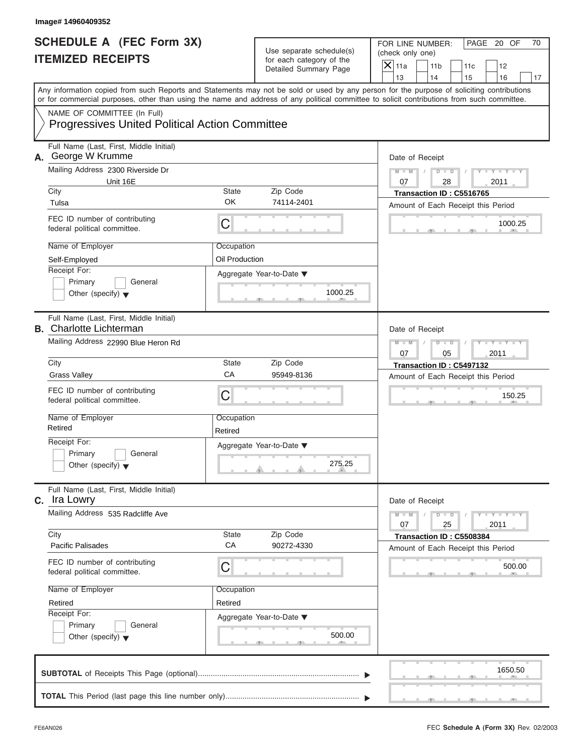| Image# 14960409352                                                                                                                                                                                                                                                                      |                       |                                                                               |                                                                                      |                         |
|-----------------------------------------------------------------------------------------------------------------------------------------------------------------------------------------------------------------------------------------------------------------------------------------|-----------------------|-------------------------------------------------------------------------------|--------------------------------------------------------------------------------------|-------------------------|
| <b>SCHEDULE A (FEC Form 3X)</b><br><b>ITEMIZED RECEIPTS</b>                                                                                                                                                                                                                             |                       | Use separate schedule(s)<br>for each category of the<br>Detailed Summary Page | FOR LINE NUMBER:<br>(check only one)<br>$\overline{X}$ 11a<br>11 <sub>b</sub><br>11c | PAGE 20 OF<br>70<br>12  |
|                                                                                                                                                                                                                                                                                         |                       |                                                                               | 13<br>14<br>15                                                                       | 16<br>17                |
| Any information copied from such Reports and Statements may not be sold or used by any person for the purpose of soliciting contributions<br>or for commercial purposes, other than using the name and address of any political committee to solicit contributions from such committee. |                       |                                                                               |                                                                                      |                         |
| NAME OF COMMITTEE (In Full)<br><b>Progressives United Political Action Committee</b>                                                                                                                                                                                                    |                       |                                                                               |                                                                                      |                         |
| Full Name (Last, First, Middle Initial)<br>A. George W Krumme                                                                                                                                                                                                                           |                       |                                                                               | Date of Receipt                                                                      |                         |
| Mailing Address 2300 Riverside Dr                                                                                                                                                                                                                                                       |                       |                                                                               | $M - M$<br>$D$ $D$                                                                   | $Y - Y - Y$             |
| Unit 16E<br>City                                                                                                                                                                                                                                                                        | State                 | Zip Code                                                                      | 07<br>28                                                                             | 2011                    |
| Tulsa                                                                                                                                                                                                                                                                                   | OK                    | 74114-2401                                                                    | Transaction ID: C5516765<br>Amount of Each Receipt this Period                       |                         |
| FEC ID number of contributing<br>federal political committee.                                                                                                                                                                                                                           | С                     |                                                                               |                                                                                      | 1000.25                 |
| Name of Employer                                                                                                                                                                                                                                                                        | Occupation            |                                                                               |                                                                                      |                         |
| Self-Employed                                                                                                                                                                                                                                                                           | Oil Production        |                                                                               |                                                                                      |                         |
| Receipt For:                                                                                                                                                                                                                                                                            |                       | Aggregate Year-to-Date ▼                                                      |                                                                                      |                         |
| Primary<br>General<br>Other (specify) $\blacktriangledown$                                                                                                                                                                                                                              |                       | 1000.25                                                                       |                                                                                      |                         |
| Full Name (Last, First, Middle Initial)<br><b>B.</b> Charlotte Lichterman                                                                                                                                                                                                               |                       |                                                                               | Date of Receipt                                                                      |                         |
| Mailing Address 22990 Blue Heron Rd                                                                                                                                                                                                                                                     |                       |                                                                               |                                                                                      |                         |
| City                                                                                                                                                                                                                                                                                    | State                 | Zip Code                                                                      | Transaction ID: C5497132                                                             |                         |
| <b>Grass Valley</b>                                                                                                                                                                                                                                                                     | CA                    | 95949-8136                                                                    | Amount of Each Receipt this Period                                                   |                         |
| FEC ID number of contributing<br>federal political committee.                                                                                                                                                                                                                           | С                     |                                                                               |                                                                                      | 150.25                  |
| Name of Employer<br>Retired                                                                                                                                                                                                                                                             | Occupation<br>Retired |                                                                               |                                                                                      |                         |
| Receipt For:                                                                                                                                                                                                                                                                            |                       | Aggregate Year-to-Date ▼                                                      |                                                                                      |                         |
| Primary<br>General<br>Other (specify) $\blacktriangledown$                                                                                                                                                                                                                              |                       | 275.25                                                                        |                                                                                      |                         |
| Full Name (Last, First, Middle Initial)<br><b>C.</b> Ira Lowry                                                                                                                                                                                                                          |                       |                                                                               | Date of Receipt                                                                      |                         |
| Mailing Address 535 Radcliffe Ave                                                                                                                                                                                                                                                       |                       |                                                                               | $M - M$<br>$D$ $D$<br>07<br>25                                                       | $Y + Y + Y + Y$<br>2011 |
| City<br><b>Pacific Palisades</b>                                                                                                                                                                                                                                                        | State<br>CA           | Zip Code<br>90272-4330                                                        | Transaction ID: C5508384<br>Amount of Each Receipt this Period                       |                         |
| FEC ID number of contributing<br>federal political committee.                                                                                                                                                                                                                           | С                     |                                                                               |                                                                                      | 500.00                  |
| Name of Employer                                                                                                                                                                                                                                                                        | Occupation            |                                                                               |                                                                                      |                         |
| Retired                                                                                                                                                                                                                                                                                 | Retired               |                                                                               |                                                                                      |                         |
| Receipt For:                                                                                                                                                                                                                                                                            |                       | Aggregate Year-to-Date ▼                                                      |                                                                                      |                         |
| Primary<br>General<br>Other (specify) $\blacktriangledown$                                                                                                                                                                                                                              |                       | 500.00                                                                        |                                                                                      |                         |
|                                                                                                                                                                                                                                                                                         |                       |                                                                               |                                                                                      | 1650.50                 |
|                                                                                                                                                                                                                                                                                         |                       |                                                                               |                                                                                      |                         |

 $S = 1 - 1 - 2$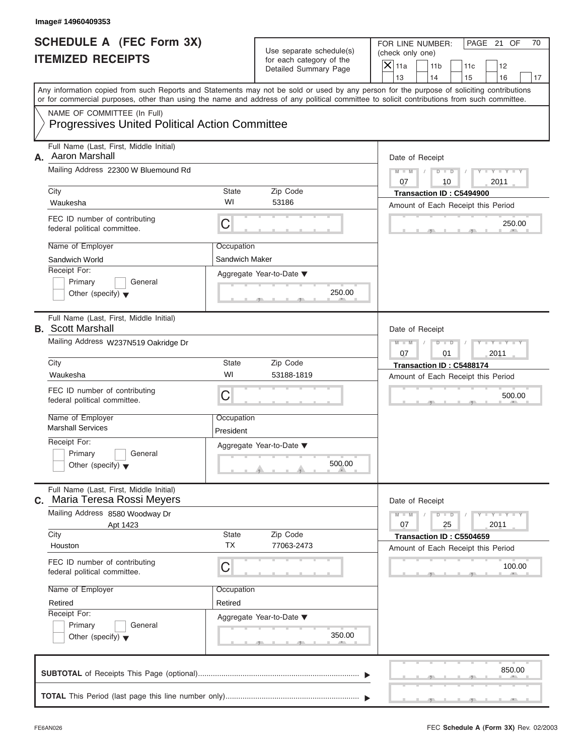| Image# 14960409353                                                                   |                           |                                                                               |                                                                                                                                                                         |  |
|--------------------------------------------------------------------------------------|---------------------------|-------------------------------------------------------------------------------|-------------------------------------------------------------------------------------------------------------------------------------------------------------------------|--|
| <b>SCHEDULE A (FEC Form 3X)</b><br><b>ITEMIZED RECEIPTS</b>                          |                           | Use separate schedule(s)<br>for each category of the<br>Detailed Summary Page | FOR LINE NUMBER:<br>PAGE 21 OF<br>70<br>(check only one)<br>$\mathsf{X}$ 11a<br>11 <sub>b</sub><br>11c<br>12                                                            |  |
|                                                                                      |                           |                                                                               | 13<br>14<br>15<br>16<br>17<br>Any information copied from such Reports and Statements may not be sold or used by any person for the purpose of soliciting contributions |  |
|                                                                                      |                           |                                                                               | or for commercial purposes, other than using the name and address of any political committee to solicit contributions from such committee.                              |  |
| NAME OF COMMITTEE (In Full)<br><b>Progressives United Political Action Committee</b> |                           |                                                                               |                                                                                                                                                                         |  |
| Full Name (Last, First, Middle Initial)<br>Aaron Marshall<br>А.                      |                           |                                                                               | Date of Receipt                                                                                                                                                         |  |
| Mailing Address 22300 W Bluemound Rd                                                 |                           |                                                                               | $Y - Y - Y - Y - Y$<br>$D$ $\Box$ $D$<br>$M - M$<br>07<br>2011<br>10                                                                                                    |  |
| City                                                                                 | State                     | Zip Code                                                                      | Transaction ID: C5494900                                                                                                                                                |  |
| Waukesha                                                                             | WI                        | 53186                                                                         | Amount of Each Receipt this Period                                                                                                                                      |  |
| FEC ID number of contributing<br>federal political committee.                        | С                         |                                                                               | 250.00                                                                                                                                                                  |  |
| Name of Employer                                                                     | Occupation                |                                                                               |                                                                                                                                                                         |  |
| Sandwich World                                                                       | Sandwich Maker            |                                                                               |                                                                                                                                                                         |  |
| Receipt For:                                                                         |                           | Aggregate Year-to-Date ▼                                                      |                                                                                                                                                                         |  |
| Primary<br>General<br>Other (specify) $\blacktriangledown$                           |                           | 250.00                                                                        |                                                                                                                                                                         |  |
| Full Name (Last, First, Middle Initial)<br><b>B.</b> Scott Marshall                  |                           |                                                                               | Date of Receipt                                                                                                                                                         |  |
| Mailing Address W237N519 Oakridge Dr                                                 |                           |                                                                               |                                                                                                                                                                         |  |
|                                                                                      | City<br>State<br>Zip Code |                                                                               |                                                                                                                                                                         |  |
| Waukesha                                                                             | WI                        | 53188-1819                                                                    | Transaction ID: C5488174<br>Amount of Each Receipt this Period                                                                                                          |  |
| FEC ID number of contributing<br>federal political committee.                        | С                         |                                                                               | 500.00                                                                                                                                                                  |  |
| Name of Employer<br><b>Marshall Services</b>                                         | Occupation<br>President   |                                                                               |                                                                                                                                                                         |  |
| Receipt For:<br>Primary<br>General<br>Other (specify) $\blacktriangledown$           |                           | Aggregate Year-to-Date ▼<br>500.00                                            |                                                                                                                                                                         |  |
| Full Name (Last, First, Middle Initial)<br>Maria Teresa Rossi Meyers<br>С.           |                           |                                                                               | Date of Receipt                                                                                                                                                         |  |
| Mailing Address 8580 Woodway Dr<br>Apt 1423                                          |                           |                                                                               | $Y = Y$<br>$M - M$<br>$D$ $D$<br>25<br>2011<br>07                                                                                                                       |  |
| City                                                                                 | State<br><b>TX</b>        | Zip Code                                                                      | Transaction ID: C5504659                                                                                                                                                |  |
| Houston<br>FEC ID number of contributing<br>federal political committee.             | С                         | 77063-2473                                                                    | Amount of Each Receipt this Period<br>100.00                                                                                                                            |  |
| Name of Employer                                                                     | Occupation                |                                                                               |                                                                                                                                                                         |  |
| Retired                                                                              | Retired                   |                                                                               |                                                                                                                                                                         |  |
| Receipt For:                                                                         |                           |                                                                               |                                                                                                                                                                         |  |
| Primary<br>General<br>Other (specify) $\blacktriangledown$                           |                           | Aggregate Year-to-Date ▼<br>350.00                                            |                                                                                                                                                                         |  |
|                                                                                      |                           |                                                                               | 850.00                                                                                                                                                                  |  |
|                                                                                      |                           |                                                                               |                                                                                                                                                                         |  |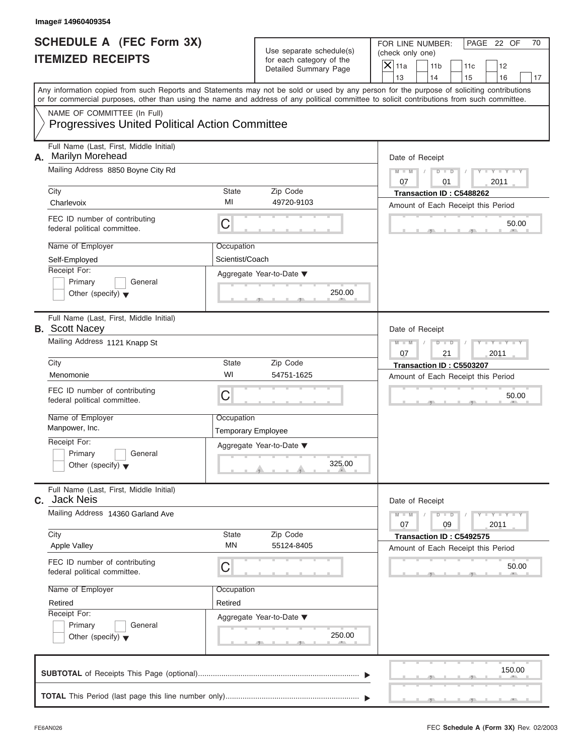|                                                             | Image# 14960409354                                                                                                                         |                                         |                                                      |                                                                                                                                           |  |
|-------------------------------------------------------------|--------------------------------------------------------------------------------------------------------------------------------------------|-----------------------------------------|------------------------------------------------------|-------------------------------------------------------------------------------------------------------------------------------------------|--|
| <b>SCHEDULE A (FEC Form 3X)</b><br><b>ITEMIZED RECEIPTS</b> |                                                                                                                                            |                                         | Use separate schedule(s)<br>for each category of the | FOR LINE NUMBER:<br>PAGE 22 OF<br>70<br>(check only one)<br>$\mathsf{X}$ 11a<br>11 <sub>b</sub><br>11c<br>12                              |  |
|                                                             |                                                                                                                                            |                                         | Detailed Summary Page                                | 13<br>14<br>15<br>16<br>17                                                                                                                |  |
|                                                             | or for commercial purposes, other than using the name and address of any political committee to solicit contributions from such committee. |                                         |                                                      | Any information copied from such Reports and Statements may not be sold or used by any person for the purpose of soliciting contributions |  |
|                                                             | NAME OF COMMITTEE (In Full)<br><b>Progressives United Political Action Committee</b>                                                       |                                         |                                                      |                                                                                                                                           |  |
| А.                                                          | Full Name (Last, First, Middle Initial)<br><b>Marilyn Morehead</b>                                                                         |                                         |                                                      | Date of Receipt                                                                                                                           |  |
|                                                             | Mailing Address 8850 Boyne City Rd                                                                                                         |                                         |                                                      | $Y - Y - Y - Y - Y$<br>$D$ $\Box$ $D$<br>$M - M$<br>07<br>2011<br>01                                                                      |  |
|                                                             | City<br>Charlevoix                                                                                                                         | State<br>MI                             | Zip Code<br>49720-9103                               | Transaction ID: C5488262<br>Amount of Each Receipt this Period                                                                            |  |
|                                                             | FEC ID number of contributing<br>federal political committee.                                                                              | С                                       |                                                      | 50.00                                                                                                                                     |  |
|                                                             | Name of Employer<br>Self-Employed                                                                                                          | Occupation<br>Scientist/Coach           |                                                      |                                                                                                                                           |  |
|                                                             | Receipt For:<br>Primary<br>General<br>Other (specify) $\blacktriangledown$                                                                 |                                         | Aggregate Year-to-Date ▼<br>250.00                   |                                                                                                                                           |  |
|                                                             | Full Name (Last, First, Middle Initial)<br><b>B.</b> Scott Nacey                                                                           |                                         |                                                      | Date of Receipt                                                                                                                           |  |
|                                                             | Mailing Address 1121 Knapp St                                                                                                              |                                         |                                                      | Y T Y T Y T<br>$M - M$<br>$D$ $D$<br>2011<br>07<br>21                                                                                     |  |
|                                                             | City                                                                                                                                       | State                                   | Zip Code                                             | Transaction ID: C5503207                                                                                                                  |  |
|                                                             | Menomonie                                                                                                                                  | WI                                      | 54751-1625                                           | Amount of Each Receipt this Period                                                                                                        |  |
|                                                             | FEC ID number of contributing<br>federal political committee.                                                                              | С                                       |                                                      | 50.00                                                                                                                                     |  |
|                                                             | Name of Employer<br>Manpower, Inc.                                                                                                         | Occupation<br><b>Temporary Employee</b> |                                                      |                                                                                                                                           |  |
|                                                             | Receipt For:                                                                                                                               |                                         | Aggregate Year-to-Date ▼                             |                                                                                                                                           |  |
|                                                             | Primary<br>General<br>Other (specify) $\blacktriangledown$                                                                                 |                                         | 325.00                                               |                                                                                                                                           |  |
| С.                                                          | Full Name (Last, First, Middle Initial)<br><b>Jack Neis</b>                                                                                |                                         |                                                      | Date of Receipt                                                                                                                           |  |
|                                                             | Mailing Address 14360 Garland Ave                                                                                                          |                                         |                                                      | $Y - Y - Y - Y - I$<br>$M - M$<br>$D$ $D$<br>2011<br>07<br>09                                                                             |  |
|                                                             | City<br><b>Apple Valley</b>                                                                                                                | State<br>MN                             | Zip Code<br>55124-8405                               | Transaction ID: C5492575<br>Amount of Each Receipt this Period                                                                            |  |
|                                                             | FEC ID number of contributing<br>federal political committee.                                                                              | С                                       |                                                      |                                                                                                                                           |  |
|                                                             | Name of Employer                                                                                                                           | Occupation                              |                                                      |                                                                                                                                           |  |
|                                                             | Retired<br>Receipt For:                                                                                                                    | Retired                                 |                                                      |                                                                                                                                           |  |
|                                                             | Primary<br>General<br>Other (specify) $\blacktriangledown$                                                                                 |                                         | Aggregate Year-to-Date ▼<br>250.00                   |                                                                                                                                           |  |
|                                                             |                                                                                                                                            |                                         |                                                      | 150.00                                                                                                                                    |  |
|                                                             |                                                                                                                                            |                                         |                                                      |                                                                                                                                           |  |

S S S , , .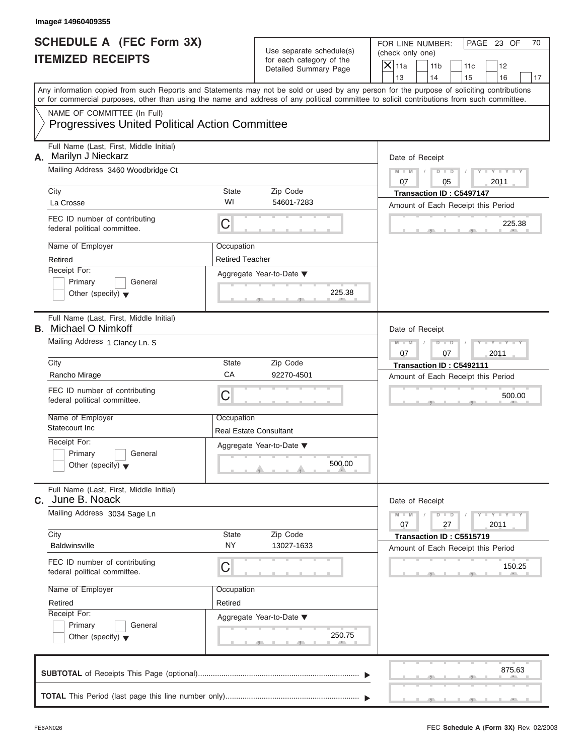|                                                             | Image# 14960409355                                                                                                                         |                                             |                                                                               |                                                                                                                                           |
|-------------------------------------------------------------|--------------------------------------------------------------------------------------------------------------------------------------------|---------------------------------------------|-------------------------------------------------------------------------------|-------------------------------------------------------------------------------------------------------------------------------------------|
| <b>SCHEDULE A (FEC Form 3X)</b><br><b>ITEMIZED RECEIPTS</b> |                                                                                                                                            |                                             | Use separate schedule(s)<br>for each category of the<br>Detailed Summary Page | FOR LINE NUMBER:<br>PAGE 23 OF<br>70<br>(check only one)<br>$\mathsf{X}$ 11a<br>11 <sub>b</sub><br>11c<br>12                              |
|                                                             |                                                                                                                                            |                                             |                                                                               | 13<br>14<br>15<br>16<br>17                                                                                                                |
|                                                             | or for commercial purposes, other than using the name and address of any political committee to solicit contributions from such committee. |                                             |                                                                               | Any information copied from such Reports and Statements may not be sold or used by any person for the purpose of soliciting contributions |
|                                                             | NAME OF COMMITTEE (In Full)<br><b>Progressives United Political Action Committee</b>                                                       |                                             |                                                                               |                                                                                                                                           |
| А.                                                          | Full Name (Last, First, Middle Initial)<br>Marilyn J Nieckarz                                                                              |                                             |                                                                               | Date of Receipt                                                                                                                           |
|                                                             | Mailing Address 3460 Woodbridge Ct                                                                                                         |                                             |                                                                               | $Y - Y - Y - Y - Y$<br>$D$ $\Box$ $D$<br>$M - M$<br>07<br>05<br>2011                                                                      |
|                                                             | City<br>La Crosse                                                                                                                          | State<br>WI                                 | Zip Code<br>54601-7283                                                        | Transaction ID: C5497147<br>Amount of Each Receipt this Period                                                                            |
|                                                             | FEC ID number of contributing<br>federal political committee.                                                                              | С                                           |                                                                               | 225.38                                                                                                                                    |
|                                                             | Name of Employer<br>Retired                                                                                                                | Occupation<br><b>Retired Teacher</b>        |                                                                               |                                                                                                                                           |
|                                                             | Receipt For:<br>Primary<br>General<br>Other (specify) $\blacktriangledown$                                                                 |                                             | Aggregate Year-to-Date ▼<br>225.38                                            |                                                                                                                                           |
|                                                             | Full Name (Last, First, Middle Initial)<br><b>B.</b> Michael O Nimkoff                                                                     |                                             |                                                                               | Date of Receipt                                                                                                                           |
|                                                             | Mailing Address 1 Clancy Ln. S                                                                                                             |                                             |                                                                               | Y T Y T Y T<br>$M - M$<br>$D$ $D$<br>2011<br>07<br>07                                                                                     |
|                                                             | City                                                                                                                                       | State<br>CA                                 | Zip Code<br>92270-4501                                                        | Transaction ID: C5492111                                                                                                                  |
|                                                             | Rancho Mirage<br>FEC ID number of contributing<br>federal political committee.                                                             | С                                           |                                                                               | Amount of Each Receipt this Period<br>500.00                                                                                              |
|                                                             | Name of Employer<br>Statecourt Inc.                                                                                                        | Occupation<br><b>Real Estate Consultant</b> |                                                                               |                                                                                                                                           |
|                                                             | Receipt For:<br>Primary<br>General<br>Other (specify) $\blacktriangledown$                                                                 |                                             | Aggregate Year-to-Date ▼<br>500.00                                            |                                                                                                                                           |
|                                                             | Full Name (Last, First, Middle Initial)<br>C. June B. Noack                                                                                |                                             |                                                                               |                                                                                                                                           |
|                                                             | Mailing Address 3034 Sage Ln                                                                                                               |                                             |                                                                               | $Y - Y - Y - Y - I$<br>$M - M$<br>$D$ $D$<br>27<br>2011<br>07                                                                             |
|                                                             | City<br><b>Baldwinsville</b>                                                                                                               | State<br><b>NY</b>                          | Zip Code<br>13027-1633                                                        | Transaction ID: C5515719<br>Amount of Each Receipt this Period                                                                            |
|                                                             | FEC ID number of contributing<br>federal political committee.                                                                              | С                                           |                                                                               | 150.25                                                                                                                                    |
|                                                             | Name of Employer<br>Retired                                                                                                                | Occupation<br>Retired                       |                                                                               |                                                                                                                                           |
|                                                             | Receipt For:<br>Primary<br>General<br>Other (specify) $\blacktriangledown$                                                                 |                                             | Aggregate Year-to-Date ▼<br>250.75                                            |                                                                                                                                           |
|                                                             |                                                                                                                                            |                                             |                                                                               | 875.63                                                                                                                                    |
|                                                             |                                                                                                                                            |                                             |                                                                               |                                                                                                                                           |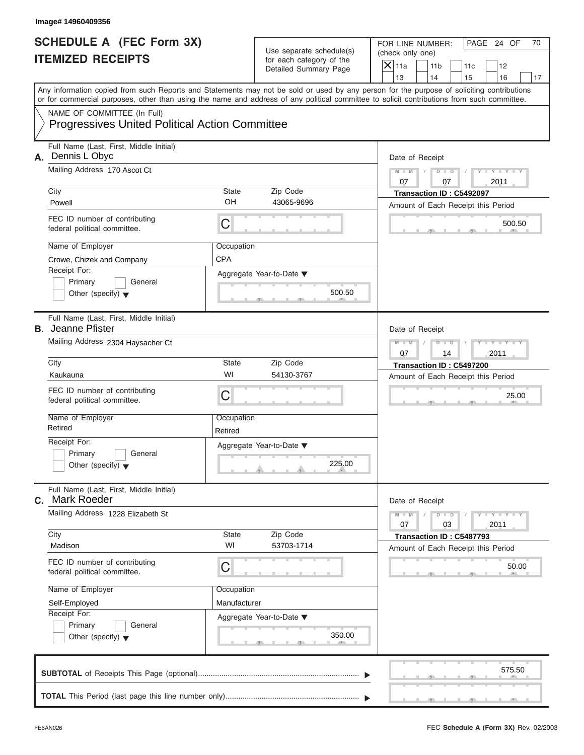|                                                             | Image# 14960409356                                                                                                                         |                       |                                                                               |                                                                                                                                                                         |
|-------------------------------------------------------------|--------------------------------------------------------------------------------------------------------------------------------------------|-----------------------|-------------------------------------------------------------------------------|-------------------------------------------------------------------------------------------------------------------------------------------------------------------------|
| <b>SCHEDULE A (FEC Form 3X)</b><br><b>ITEMIZED RECEIPTS</b> |                                                                                                                                            |                       | Use separate schedule(s)<br>for each category of the<br>Detailed Summary Page | FOR LINE NUMBER:<br>PAGE 24 OF<br>70<br>(check only one)<br>$\mathsf{X}$ 11a<br>11 <sub>b</sub><br>11c<br>12                                                            |
|                                                             | or for commercial purposes, other than using the name and address of any political committee to solicit contributions from such committee. |                       |                                                                               | 13<br>14<br>15<br>16<br>17<br>Any information copied from such Reports and Statements may not be sold or used by any person for the purpose of soliciting contributions |
|                                                             | NAME OF COMMITTEE (In Full)<br><b>Progressives United Political Action Committee</b>                                                       |                       |                                                                               |                                                                                                                                                                         |
| А.                                                          | Full Name (Last, First, Middle Initial)<br>Dennis L Obyc<br>Mailing Address 170 Ascot Ct                                                   |                       |                                                                               | Date of Receipt<br>$M - M$<br>$D$ $D$<br>$Y - Y - Y$                                                                                                                    |
|                                                             | City<br>Powell                                                                                                                             | State<br>OH           | Zip Code<br>43065-9696                                                        | 07<br>2011<br>07<br>Transaction ID: C5492097                                                                                                                            |
|                                                             | FEC ID number of contributing<br>federal political committee.                                                                              | C                     |                                                                               | Amount of Each Receipt this Period<br>500.50                                                                                                                            |
|                                                             | Name of Employer<br>Crowe, Chizek and Company<br>Receipt For:                                                                              | Occupation<br>CPA     |                                                                               |                                                                                                                                                                         |
|                                                             | Primary<br>General<br>Other (specify) $\blacktriangledown$                                                                                 |                       | Aggregate Year-to-Date ▼<br>500.50                                            |                                                                                                                                                                         |
|                                                             | Full Name (Last, First, Middle Initial)<br><b>B.</b> Jeanne Pfister                                                                        |                       |                                                                               | Date of Receipt                                                                                                                                                         |
|                                                             | Mailing Address 2304 Haysacher Ct                                                                                                          |                       |                                                                               | $Y - Y - Y - Y - Y$<br>$M - M$<br>$D$ $D$<br>2011<br>07<br>14                                                                                                           |
|                                                             | City<br>Kaukauna                                                                                                                           | State<br>WI           | Zip Code<br>54130-3767                                                        | Transaction ID: C5497200                                                                                                                                                |
|                                                             | FEC ID number of contributing<br>federal political committee.                                                                              | C                     |                                                                               | Amount of Each Receipt this Period<br>25.00                                                                                                                             |
|                                                             | Name of Employer<br>Retired                                                                                                                | Occupation<br>Retired |                                                                               |                                                                                                                                                                         |
|                                                             | Receipt For:<br>Primary<br>General<br>Other (specify) $\blacktriangledown$                                                                 |                       | Aggregate Year-to-Date ▼<br>225.00                                            |                                                                                                                                                                         |
|                                                             | Full Name (Last, First, Middle Initial)<br>C. Mark Roeder                                                                                  |                       |                                                                               | Date of Receipt                                                                                                                                                         |
|                                                             | Mailing Address 1228 Elizabeth St                                                                                                          |                       |                                                                               | $M - M$<br>$Y = Y$<br>$D$ $D$<br>2011<br>07<br>03                                                                                                                       |
|                                                             | City<br>Madison                                                                                                                            | State<br>WI           | Zip Code<br>53703-1714                                                        | Transaction ID: C5487793<br>Amount of Each Receipt this Period                                                                                                          |
|                                                             | FEC ID number of contributing<br>federal political committee.                                                                              |                       | 50.00                                                                         |                                                                                                                                                                         |
|                                                             | Name of Employer                                                                                                                           | Occupation            |                                                                               |                                                                                                                                                                         |
|                                                             | Self-Employed<br>Receipt For:                                                                                                              | Manufacturer          |                                                                               |                                                                                                                                                                         |
|                                                             | Primary<br>General<br>Other (specify) $\blacktriangledown$                                                                                 |                       | Aggregate Year-to-Date ▼<br>350.00                                            |                                                                                                                                                                         |
|                                                             |                                                                                                                                            |                       |                                                                               | 575.50                                                                                                                                                                  |
|                                                             |                                                                                                                                            |                       |                                                                               |                                                                                                                                                                         |

S S S , , .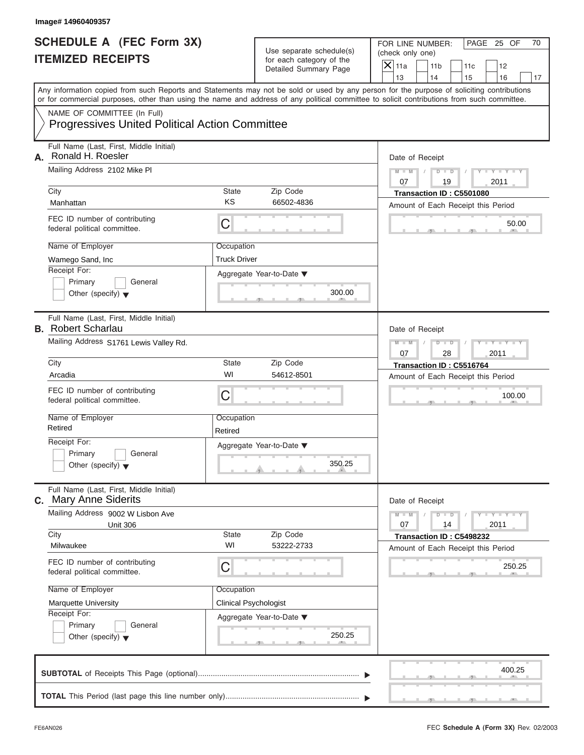|                                                             | Image# 14960409357                                                                                                                         |                              |                                                      |                                                                                                                                           |
|-------------------------------------------------------------|--------------------------------------------------------------------------------------------------------------------------------------------|------------------------------|------------------------------------------------------|-------------------------------------------------------------------------------------------------------------------------------------------|
| <b>SCHEDULE A (FEC Form 3X)</b><br><b>ITEMIZED RECEIPTS</b> |                                                                                                                                            |                              | Use separate schedule(s)<br>for each category of the | PAGE 25 OF<br>FOR LINE NUMBER:<br>70<br>(check only one)<br>$\mathsf{X} _{\mathsf{11a}}$<br>11 <sub>b</sub><br>11c<br>12                  |
|                                                             |                                                                                                                                            |                              | Detailed Summary Page                                | 13<br>14<br>15<br>16<br>17                                                                                                                |
|                                                             | or for commercial purposes, other than using the name and address of any political committee to solicit contributions from such committee. |                              |                                                      | Any information copied from such Reports and Statements may not be sold or used by any person for the purpose of soliciting contributions |
|                                                             | NAME OF COMMITTEE (In Full)<br><b>Progressives United Political Action Committee</b>                                                       |                              |                                                      |                                                                                                                                           |
| А.                                                          | Full Name (Last, First, Middle Initial)<br>Ronald H. Roesler                                                                               |                              |                                                      | Date of Receipt                                                                                                                           |
|                                                             | Mailing Address 2102 Mike PI                                                                                                               |                              |                                                      | $D$ $D$<br>$Y - Y - Y$<br>$M - M$<br>07<br>19<br>2011                                                                                     |
|                                                             | City                                                                                                                                       | <b>State</b>                 | Zip Code                                             | Transaction ID: C5501080                                                                                                                  |
|                                                             | Manhattan                                                                                                                                  | KS                           | 66502-4836                                           | Amount of Each Receipt this Period                                                                                                        |
|                                                             | FEC ID number of contributing<br>federal political committee.                                                                              | $\mathsf C$                  |                                                      | 50.00                                                                                                                                     |
|                                                             | Name of Employer                                                                                                                           | Occupation                   |                                                      |                                                                                                                                           |
|                                                             | Wamego Sand, Inc                                                                                                                           | <b>Truck Driver</b>          |                                                      |                                                                                                                                           |
|                                                             | Receipt For:                                                                                                                               |                              | Aggregate Year-to-Date ▼                             |                                                                                                                                           |
|                                                             | Primary<br>General<br>Other (specify) $\blacktriangledown$                                                                                 |                              | 300.00                                               |                                                                                                                                           |
|                                                             | Full Name (Last, First, Middle Initial)<br><b>B.</b> Robert Scharlau                                                                       |                              |                                                      | Date of Receipt                                                                                                                           |
|                                                             | Mailing Address S1761 Lewis Valley Rd.                                                                                                     |                              |                                                      | $Y - Y - Y - Y - Y$<br>$M - M$<br>$D$ $D$<br>2011<br>07<br>28                                                                             |
|                                                             | City                                                                                                                                       | <b>State</b>                 | Zip Code                                             | Transaction ID: C5516764                                                                                                                  |
|                                                             | Arcadia                                                                                                                                    | WI                           | 54612-8501                                           | Amount of Each Receipt this Period                                                                                                        |
|                                                             | FEC ID number of contributing<br>federal political committee.                                                                              | C                            |                                                      | 100.00                                                                                                                                    |
|                                                             | Name of Employer<br>Retired                                                                                                                | Occupation<br>Retired        |                                                      |                                                                                                                                           |
|                                                             | Receipt For:                                                                                                                               |                              | Aggregate Year-to-Date ▼                             |                                                                                                                                           |
|                                                             | Primary<br>General<br>Other (specify) $\blacktriangledown$                                                                                 |                              | 350.25                                               |                                                                                                                                           |
|                                                             | Full Name (Last, First, Middle Initial)<br><b>c.</b> Mary Anne Siderits                                                                    |                              |                                                      | Date of Receipt                                                                                                                           |
|                                                             | Mailing Address 9002 W Lisbon Ave<br><b>Unit 306</b>                                                                                       |                              |                                                      | $Y = Y$<br>$M - M$<br>$\overline{D}$<br>$\Box$<br>2011<br>07<br>14                                                                        |
|                                                             | City<br>Milwaukee                                                                                                                          | State<br>WI                  | Zip Code<br>53222-2733                               | Transaction ID: C5498232<br>Amount of Each Receipt this Period                                                                            |
|                                                             | FEC ID number of contributing<br>federal political committee.                                                                              | C                            |                                                      | 250.25                                                                                                                                    |
|                                                             | Name of Employer                                                                                                                           | Occupation                   |                                                      |                                                                                                                                           |
|                                                             | <b>Marquette University</b>                                                                                                                | <b>Clinical Psychologist</b> |                                                      |                                                                                                                                           |
|                                                             | Receipt For:                                                                                                                               |                              | Aggregate Year-to-Date ▼                             |                                                                                                                                           |
|                                                             | Primary<br>General<br>Other (specify) $\blacktriangledown$                                                                                 |                              | 250.25                                               |                                                                                                                                           |
|                                                             |                                                                                                                                            |                              |                                                      | 400.25                                                                                                                                    |
|                                                             |                                                                                                                                            |                              |                                                      |                                                                                                                                           |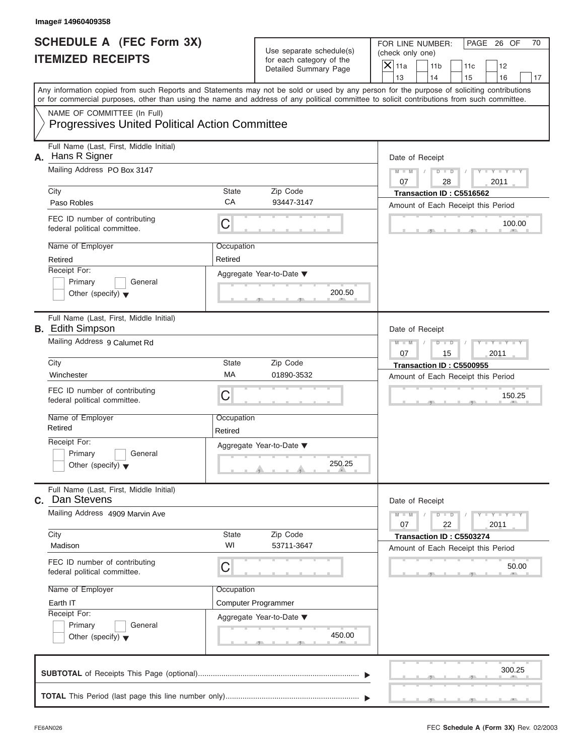|    | Image# 14960409358                                                                                                                         |                                                       |                                                                               |                                                                                                                                           |
|----|--------------------------------------------------------------------------------------------------------------------------------------------|-------------------------------------------------------|-------------------------------------------------------------------------------|-------------------------------------------------------------------------------------------------------------------------------------------|
|    | <b>SCHEDULE A (FEC Form 3X)</b><br><b>ITEMIZED RECEIPTS</b>                                                                                |                                                       | Use separate schedule(s)<br>for each category of the<br>Detailed Summary Page | FOR LINE NUMBER:<br>PAGE 26 OF<br>70<br>(check only one)<br>$\mathsf{X}$ 11a<br>11 <sub>b</sub><br>11c<br>12                              |
|    |                                                                                                                                            |                                                       |                                                                               | 13<br>14<br>15<br>16<br>17                                                                                                                |
|    | or for commercial purposes, other than using the name and address of any political committee to solicit contributions from such committee. |                                                       |                                                                               | Any information copied from such Reports and Statements may not be sold or used by any person for the purpose of soliciting contributions |
|    | NAME OF COMMITTEE (In Full)<br><b>Progressives United Political Action Committee</b>                                                       |                                                       |                                                                               |                                                                                                                                           |
| А. | Full Name (Last, First, Middle Initial)<br>Hans R Signer                                                                                   |                                                       |                                                                               | Date of Receipt                                                                                                                           |
|    | Mailing Address PO Box 3147                                                                                                                |                                                       |                                                                               | $Y - Y - Y - Y - Y$<br>$D$ $\Box$ $D$<br>$M - M$                                                                                          |
|    |                                                                                                                                            |                                                       |                                                                               | 07<br>2011<br>28                                                                                                                          |
|    | City<br>Paso Robles                                                                                                                        | State<br>CA                                           | Zip Code<br>93447-3147                                                        | Transaction ID: C5516562<br>Amount of Each Receipt this Period                                                                            |
|    | FEC ID number of contributing<br>federal political committee.                                                                              | С                                                     |                                                                               | 100.00                                                                                                                                    |
|    | Name of Employer                                                                                                                           | Occupation                                            |                                                                               |                                                                                                                                           |
|    | Retired                                                                                                                                    | Retired                                               |                                                                               |                                                                                                                                           |
|    | Receipt For:<br>Primary<br>General<br>Other (specify) $\blacktriangledown$                                                                 |                                                       | Aggregate Year-to-Date ▼<br>200.50                                            |                                                                                                                                           |
|    | Full Name (Last, First, Middle Initial)<br><b>B.</b> Edith Simpson                                                                         |                                                       |                                                                               | Date of Receipt                                                                                                                           |
|    | Mailing Address 9 Calumet Rd                                                                                                               | Y T Y T Y T<br>$M - M$<br>$D$ $D$<br>2011<br>07<br>15 |                                                                               |                                                                                                                                           |
|    | City                                                                                                                                       | State                                                 | Zip Code                                                                      | Transaction ID: C5500955                                                                                                                  |
|    | Winchester                                                                                                                                 | МA                                                    | 01890-3532                                                                    | Amount of Each Receipt this Period                                                                                                        |
|    | FEC ID number of contributing<br>federal political committee.                                                                              | С                                                     |                                                                               | 150.25                                                                                                                                    |
|    | Name of Employer<br>Retired                                                                                                                | Occupation<br>Retired                                 |                                                                               |                                                                                                                                           |
|    | Receipt For:                                                                                                                               |                                                       | Aggregate Year-to-Date ▼                                                      |                                                                                                                                           |
|    | Primary<br>General<br>Other (specify) $\blacktriangledown$                                                                                 |                                                       | 250.25                                                                        |                                                                                                                                           |
|    | Full Name (Last, First, Middle Initial)<br>C. Dan Stevens                                                                                  |                                                       |                                                                               | Date of Receipt                                                                                                                           |
|    | Mailing Address 4909 Marvin Ave                                                                                                            |                                                       |                                                                               | $Y - Y - I$<br>$M - M$<br>$D$ $D$<br>22<br>2011<br>07                                                                                     |
|    | City<br>Madison                                                                                                                            | State<br>WI                                           | Zip Code<br>53711-3647                                                        | Transaction ID: C5503274<br>Amount of Each Receipt this Period                                                                            |
|    | FEC ID number of contributing<br>federal political committee.                                                                              | С                                                     |                                                                               | 50.00                                                                                                                                     |
|    | Name of Employer                                                                                                                           | Occupation                                            |                                                                               |                                                                                                                                           |
|    | Earth IT<br>Receipt For:                                                                                                                   |                                                       | Computer Programmer                                                           |                                                                                                                                           |
|    | Primary<br>General<br>Other (specify) $\blacktriangledown$                                                                                 |                                                       | Aggregate Year-to-Date ▼<br>450.00                                            |                                                                                                                                           |
|    |                                                                                                                                            |                                                       |                                                                               | 300.25                                                                                                                                    |
|    |                                                                                                                                            |                                                       |                                                                               |                                                                                                                                           |

S S S , , .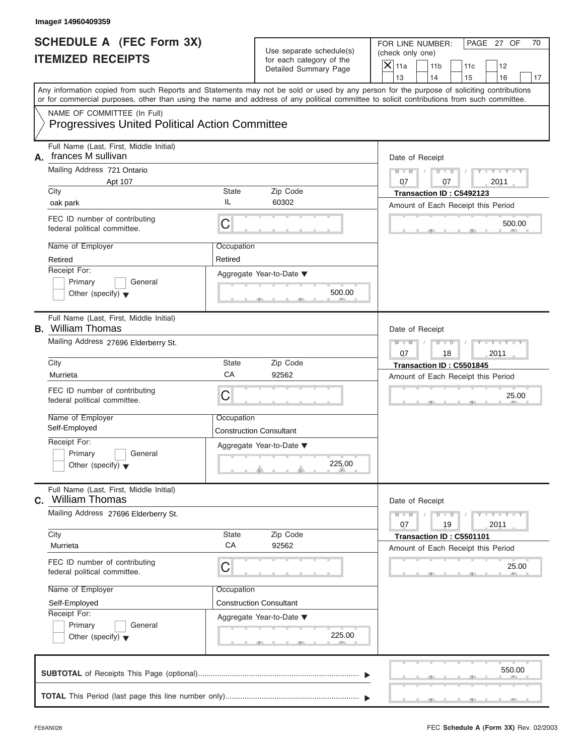| Image# 14960409359                                                                                                                         |                       |                                                                               |                                                                                                                                                        |
|--------------------------------------------------------------------------------------------------------------------------------------------|-----------------------|-------------------------------------------------------------------------------|--------------------------------------------------------------------------------------------------------------------------------------------------------|
| <b>SCHEDULE A (FEC Form 3X)</b><br><b>ITEMIZED RECEIPTS</b>                                                                                |                       | Use separate schedule(s)<br>for each category of the<br>Detailed Summary Page | PAGE 27 OF<br>FOR LINE NUMBER:<br>70<br>(check only one)<br>$\mathsf{X} _{\mathsf{11a}}$<br>11 <sub>b</sub><br>11c<br>12<br>13<br>14<br>15<br>16<br>17 |
| or for commercial purposes, other than using the name and address of any political committee to solicit contributions from such committee. |                       |                                                                               | Any information copied from such Reports and Statements may not be sold or used by any person for the purpose of soliciting contributions              |
| NAME OF COMMITTEE (In Full)<br><b>Progressives United Political Action Committee</b>                                                       |                       |                                                                               |                                                                                                                                                        |
| Full Name (Last, First, Middle Initial)<br>frances M sullivan<br>А.                                                                        |                       |                                                                               | Date of Receipt                                                                                                                                        |
| Mailing Address 721 Ontario<br>Apt 107<br>City                                                                                             | <b>State</b>          | Zip Code                                                                      | $D$ $D$<br>$Y - Y - Y$<br>$M - M$<br>07<br>07<br>2011                                                                                                  |
| oak park                                                                                                                                   | IL                    | 60302                                                                         | Transaction ID: C5492123<br>Amount of Each Receipt this Period                                                                                         |
| FEC ID number of contributing<br>federal political committee.                                                                              | $\mathsf C$           |                                                                               | 500.00                                                                                                                                                 |
| Name of Employer<br>Retired                                                                                                                | Occupation<br>Retired |                                                                               |                                                                                                                                                        |
| Receipt For:<br>Primary<br>General<br>Other (specify) $\blacktriangledown$                                                                 |                       | Aggregate Year-to-Date ▼<br>500.00                                            |                                                                                                                                                        |
| Full Name (Last, First, Middle Initial)<br><b>B.</b> William Thomas                                                                        |                       |                                                                               | Date of Receipt                                                                                                                                        |
| Mailing Address 27696 Elderberry St.                                                                                                       |                       |                                                                               | $D - D$<br>$Y - Y - Y - Y - Y$<br>$M - M$<br>2011<br>07<br>18                                                                                          |
| City                                                                                                                                       | <b>State</b>          | Zip Code                                                                      | Transaction ID: C5501845                                                                                                                               |
| Murrieta                                                                                                                                   | CA                    | 92562                                                                         | Amount of Each Receipt this Period                                                                                                                     |
| FEC ID number of contributing<br>federal political committee.                                                                              | $\mathsf C$           |                                                                               | 25.00                                                                                                                                                  |
| Name of Employer<br>Self-Employed                                                                                                          | Occupation            | <b>Construction Consultant</b>                                                |                                                                                                                                                        |
| Receipt For:<br>Primary<br>General<br>Other (specify) $\blacktriangledown$                                                                 |                       | Aggregate Year-to-Date ▼<br>225.00                                            |                                                                                                                                                        |
| Full Name (Last, First, Middle Initial)<br><b>c.</b> William Thomas                                                                        |                       |                                                                               | Date of Receipt                                                                                                                                        |
| Mailing Address 27696 Elderberry St.                                                                                                       |                       |                                                                               | $Y = Y$<br>$M - M$<br>$D$ $D$<br>2011<br>07<br>19                                                                                                      |
| City<br>Murrieta                                                                                                                           | State<br>CA           | Zip Code<br>92562                                                             | Transaction ID: C5501101<br>Amount of Each Receipt this Period                                                                                         |
| FEC ID number of contributing<br>federal political committee.                                                                              | C                     |                                                                               | 25.00                                                                                                                                                  |
| Name of Employer                                                                                                                           | Occupation            |                                                                               |                                                                                                                                                        |
| Self-Employed                                                                                                                              |                       | <b>Construction Consultant</b>                                                |                                                                                                                                                        |
| Receipt For:<br>Primary<br>General<br>Other (specify) $\blacktriangledown$                                                                 |                       | Aggregate Year-to-Date ▼<br>225.00                                            |                                                                                                                                                        |
|                                                                                                                                            |                       |                                                                               | 550.00                                                                                                                                                 |
|                                                                                                                                            |                       |                                                                               |                                                                                                                                                        |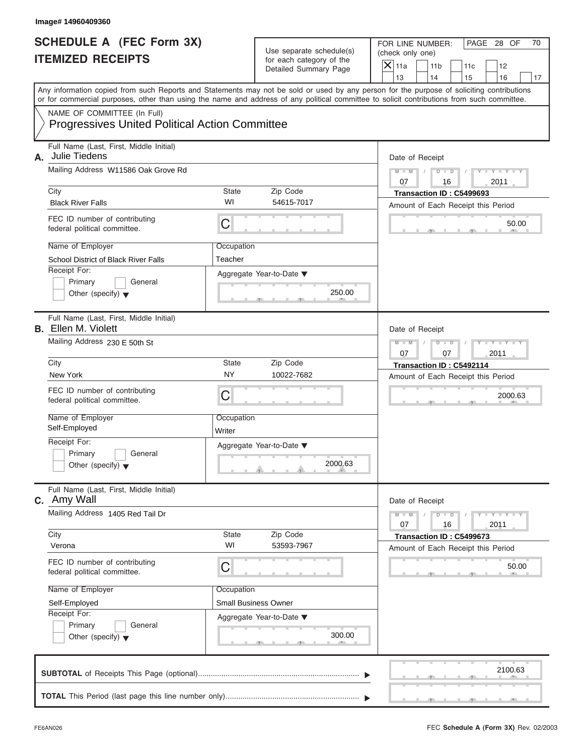| Image# 14960409360                                              |                                                                               |                       |                                                                                                                                            |                                                          |                                                                |     |                             |
|-----------------------------------------------------------------|-------------------------------------------------------------------------------|-----------------------|--------------------------------------------------------------------------------------------------------------------------------------------|----------------------------------------------------------|----------------------------------------------------------------|-----|-----------------------------|
| <b>ITEMIZED RECEIPTS</b>                                        | <b>SCHEDULE A (FEC Form 3X)</b>                                               |                       | Use separate schedule(s)<br>for each category of the<br>Detailed Summary Page                                                              | FOR LINE NUMBER:<br>(check only one)<br>$\mathsf{X}$ 11a | 11 <sub>b</sub>                                                | 11c | PAGE 28 OF<br>70<br>12      |
|                                                                 |                                                                               |                       | Any information copied from such Reports and Statements may not be sold or used by any person for the purpose of soliciting contributions  | 13                                                       | 14                                                             | 15  | 16<br>17                    |
|                                                                 |                                                                               |                       | or for commercial purposes, other than using the name and address of any political committee to solicit contributions from such committee. |                                                          |                                                                |     |                             |
|                                                                 | NAME OF COMMITTEE (In Full)<br>Progressives United Political Action Committee |                       |                                                                                                                                            |                                                          |                                                                |     |                             |
| Julie Tiedens<br>А.                                             | Full Name (Last, First, Middle Initial)                                       |                       |                                                                                                                                            |                                                          | Date of Receipt                                                |     |                             |
|                                                                 | Mailing Address W11586 Oak Grove Rd                                           |                       |                                                                                                                                            | $M - M$<br>07                                            | $D$ $D$<br>16                                                  |     | $Y - Y - Y - Y - Y$<br>2011 |
| City<br><b>Black River Falls</b>                                |                                                                               | State<br>WI           | Zip Code<br>54615-7017                                                                                                                     |                                                          | Transaction ID: C5499693<br>Amount of Each Receipt this Period |     |                             |
| FEC ID number of contributing<br>federal political committee.   |                                                                               | С                     |                                                                                                                                            |                                                          |                                                                |     | 50.00                       |
| Name of Employer                                                | <b>School District of Black River Falls</b>                                   | Occupation<br>Teacher |                                                                                                                                            |                                                          |                                                                |     |                             |
| Receipt For:<br>Primary<br>Other (specify) $\blacktriangledown$ | General                                                                       |                       | Aggregate Year-to-Date ▼<br>250.00                                                                                                         |                                                          |                                                                |     |                             |
| <b>B.</b> Ellen M. Violett                                      | Full Name (Last, First, Middle Initial)                                       |                       |                                                                                                                                            |                                                          | Date of Receipt                                                |     |                             |
|                                                                 | Mailing Address 230 E 50th St                                                 |                       |                                                                                                                                            |                                                          | $D$ $\Box$ $D$<br>07                                           |     | $Y - Y - Y - Y - Y$<br>2011 |
| City                                                            |                                                                               | State                 | Zip Code                                                                                                                                   |                                                          | Transaction ID: C5492114                                       |     |                             |
| New York                                                        |                                                                               | <b>NY</b>             | 10022-7682                                                                                                                                 |                                                          | Amount of Each Receipt this Period                             |     |                             |
| FEC ID number of contributing<br>federal political committee.   |                                                                               | С                     |                                                                                                                                            |                                                          |                                                                |     | 2000.63                     |
| Name of Employer<br>Self-Employed                               |                                                                               | Occupation<br>Writer  |                                                                                                                                            |                                                          |                                                                |     |                             |
| Receipt For:                                                    |                                                                               |                       | Aggregate Year-to-Date ▼                                                                                                                   |                                                          |                                                                |     |                             |
| Primary<br>Other (specify) $\blacktriangledown$                 | General                                                                       |                       | 2000.63                                                                                                                                    |                                                          |                                                                |     |                             |
| c. Amy Wall                                                     | Full Name (Last, First, Middle Initial)                                       |                       |                                                                                                                                            |                                                          | Date of Receipt                                                |     |                             |
|                                                                 | Mailing Address 1405 Red Tail Dr                                              |                       |                                                                                                                                            | $M - M$<br>07                                            | $D$ $D$<br>16                                                  |     | $Y = Y$<br>2011             |
| City<br>Verona                                                  |                                                                               | State<br>WI           | Zip Code<br>53593-7967                                                                                                                     |                                                          | Transaction ID: C5499673<br>Amount of Each Receipt this Period |     |                             |
| FEC ID number of contributing<br>federal political committee.   |                                                                               | С                     |                                                                                                                                            |                                                          |                                                                |     | 50.00                       |
| Name of Employer                                                |                                                                               | Occupation            |                                                                                                                                            |                                                          |                                                                |     |                             |
| Self-Employed<br>Receipt For:                                   |                                                                               |                       | <b>Small Business Owner</b>                                                                                                                |                                                          |                                                                |     |                             |
| Primary<br>Other (specify) $\blacktriangledown$                 | General                                                                       |                       | Aggregate Year-to-Date ▼<br>300.00                                                                                                         |                                                          |                                                                |     |                             |
|                                                                 |                                                                               |                       |                                                                                                                                            |                                                          |                                                                |     | 2100.63                     |
|                                                                 |                                                                               |                       |                                                                                                                                            |                                                          |                                                                |     |                             |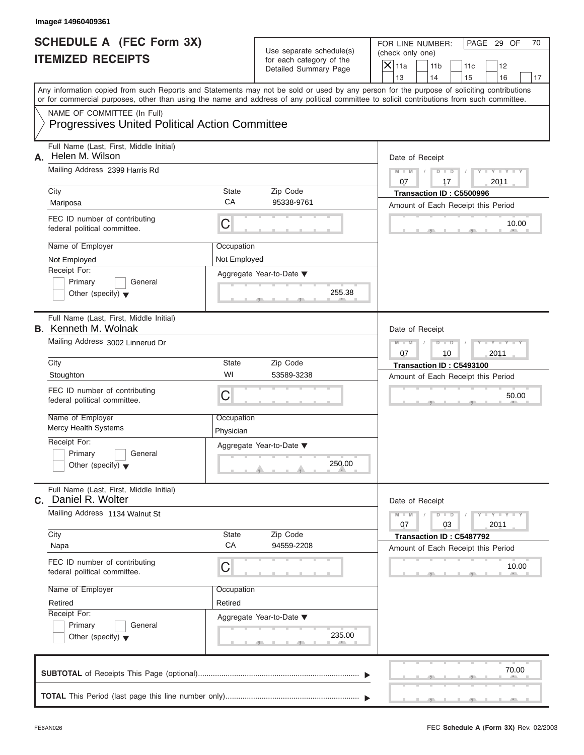| Image# 14960409361                                                                   |                         |                                                                               |                                                                                                                                                                                                                                                                                         |
|--------------------------------------------------------------------------------------|-------------------------|-------------------------------------------------------------------------------|-----------------------------------------------------------------------------------------------------------------------------------------------------------------------------------------------------------------------------------------------------------------------------------------|
| <b>SCHEDULE A (FEC Form 3X)</b><br><b>ITEMIZED RECEIPTS</b>                          |                         | Use separate schedule(s)<br>for each category of the<br>Detailed Summary Page | PAGE 29 OF<br>FOR LINE NUMBER:<br>70<br>(check only one)<br>$\overline{X}$ 11a<br>12<br>11 <sub>b</sub><br>11c                                                                                                                                                                          |
|                                                                                      |                         |                                                                               | 13<br>14<br>16<br>15<br>17                                                                                                                                                                                                                                                              |
|                                                                                      |                         |                                                                               | Any information copied from such Reports and Statements may not be sold or used by any person for the purpose of soliciting contributions<br>or for commercial purposes, other than using the name and address of any political committee to solicit contributions from such committee. |
| NAME OF COMMITTEE (In Full)<br><b>Progressives United Political Action Committee</b> |                         |                                                                               |                                                                                                                                                                                                                                                                                         |
| Full Name (Last, First, Middle Initial)<br>Helen M. Wilson<br>А.                     |                         |                                                                               | Date of Receipt                                                                                                                                                                                                                                                                         |
| Mailing Address 2399 Harris Rd                                                       |                         |                                                                               | $Y - Y - Y - Y - Y$<br>$D$ $D$<br>$M - M$                                                                                                                                                                                                                                               |
| City                                                                                 | <b>State</b>            | Zip Code                                                                      | 07<br>17<br>2011<br>Transaction ID: C5500996                                                                                                                                                                                                                                            |
| Mariposa                                                                             | CA                      | 95338-9761                                                                    | Amount of Each Receipt this Period                                                                                                                                                                                                                                                      |
| FEC ID number of contributing<br>federal political committee.                        | $\mathsf C$             |                                                                               | 10.00                                                                                                                                                                                                                                                                                   |
| Name of Employer                                                                     | Occupation              |                                                                               |                                                                                                                                                                                                                                                                                         |
| Not Employed                                                                         | Not Employed            |                                                                               |                                                                                                                                                                                                                                                                                         |
| Receipt For:                                                                         |                         | Aggregate Year-to-Date ▼                                                      |                                                                                                                                                                                                                                                                                         |
| Primary<br>General<br>Other (specify) $\blacktriangledown$                           |                         | 255.38                                                                        |                                                                                                                                                                                                                                                                                         |
| Full Name (Last, First, Middle Initial)<br><b>B.</b> Kenneth M. Wolnak               |                         |                                                                               | Date of Receipt                                                                                                                                                                                                                                                                         |
| Mailing Address 3002 Linnerud Dr                                                     |                         |                                                                               | $Y - Y - Y - Y - Y$<br>$M - M$<br>$D$ $D$<br>07<br>2011<br>10                                                                                                                                                                                                                           |
| City                                                                                 | <b>State</b>            | Zip Code                                                                      | Transaction ID: C5493100                                                                                                                                                                                                                                                                |
| Stoughton                                                                            | WI                      | 53589-3238                                                                    | Amount of Each Receipt this Period                                                                                                                                                                                                                                                      |
| FEC ID number of contributing<br>federal political committee.                        | $\mathsf C$             |                                                                               | 50.00                                                                                                                                                                                                                                                                                   |
| Name of Employer<br><b>Mercy Health Systems</b>                                      | Occupation<br>Physician |                                                                               |                                                                                                                                                                                                                                                                                         |
| Receipt For:                                                                         |                         | Aggregate Year-to-Date ▼                                                      |                                                                                                                                                                                                                                                                                         |
| Primary<br>General<br>Other (specify) $\blacktriangledown$                           |                         | 250.00                                                                        |                                                                                                                                                                                                                                                                                         |
| Full Name (Last, First, Middle Initial)<br>C. Daniel R. Wolter                       |                         |                                                                               | Date of Receipt                                                                                                                                                                                                                                                                         |
| Mailing Address 1134 Walnut St                                                       |                         |                                                                               | $Y - Y - Y - Y - I$<br>$M - M$<br>$D$ $D$<br>2011<br>07<br>03                                                                                                                                                                                                                           |
| City<br>Napa                                                                         | State<br>CA             | Zip Code<br>94559-2208                                                        | Transaction ID: C5487792<br>Amount of Each Receipt this Period                                                                                                                                                                                                                          |
| FEC ID number of contributing<br>federal political committee.                        | C                       |                                                                               | 10.00                                                                                                                                                                                                                                                                                   |
| Name of Employer                                                                     | Occupation              |                                                                               |                                                                                                                                                                                                                                                                                         |
| Retired                                                                              | Retired                 |                                                                               |                                                                                                                                                                                                                                                                                         |
| Receipt For:                                                                         |                         | Aggregate Year-to-Date ▼                                                      |                                                                                                                                                                                                                                                                                         |
| Primary<br>General<br>Other (specify) $\blacktriangledown$                           |                         | 235.00                                                                        |                                                                                                                                                                                                                                                                                         |
|                                                                                      |                         |                                                                               | 70.00                                                                                                                                                                                                                                                                                   |
|                                                                                      |                         |                                                                               |                                                                                                                                                                                                                                                                                         |

 $5 - 1 - 7$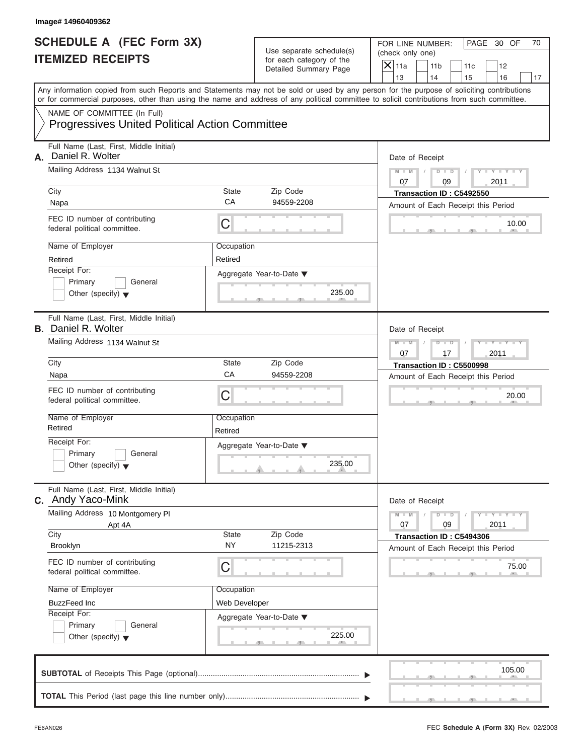|    | Image# 14960409362                                                                                                                         |                       |                                                                               |                                                                                                                                                                         |
|----|--------------------------------------------------------------------------------------------------------------------------------------------|-----------------------|-------------------------------------------------------------------------------|-------------------------------------------------------------------------------------------------------------------------------------------------------------------------|
|    | <b>SCHEDULE A (FEC Form 3X)</b><br><b>ITEMIZED RECEIPTS</b>                                                                                |                       | Use separate schedule(s)<br>for each category of the<br>Detailed Summary Page | FOR LINE NUMBER:<br>PAGE 30 OF<br>70<br>(check only one)<br>$\mathsf{X}$ 11a<br>11 <sub>b</sub><br>11c<br>12                                                            |
|    |                                                                                                                                            |                       |                                                                               | 13<br>14<br>15<br>16<br>17<br>Any information copied from such Reports and Statements may not be sold or used by any person for the purpose of soliciting contributions |
|    | or for commercial purposes, other than using the name and address of any political committee to solicit contributions from such committee. |                       |                                                                               |                                                                                                                                                                         |
|    | NAME OF COMMITTEE (In Full)<br><b>Progressives United Political Action Committee</b>                                                       |                       |                                                                               |                                                                                                                                                                         |
| А. | Full Name (Last, First, Middle Initial)<br>Daniel R. Wolter                                                                                |                       |                                                                               | Date of Receipt                                                                                                                                                         |
|    | Mailing Address 1134 Walnut St                                                                                                             |                       |                                                                               | $Y - Y - Y - Y - Y$<br>$D$ $\Box$ $D$<br>$M - M$                                                                                                                        |
|    |                                                                                                                                            |                       |                                                                               | 07<br>09<br>2011                                                                                                                                                        |
|    | City<br>Napa                                                                                                                               | State<br>CA           | Zip Code<br>94559-2208                                                        | Transaction ID: C5492550                                                                                                                                                |
|    | FEC ID number of contributing<br>federal political committee.                                                                              | С                     |                                                                               | Amount of Each Receipt this Period<br>10.00                                                                                                                             |
|    | Name of Employer                                                                                                                           | Occupation            |                                                                               |                                                                                                                                                                         |
|    | Retired                                                                                                                                    | Retired               |                                                                               |                                                                                                                                                                         |
|    | Receipt For:<br>Primary<br>General<br>Other (specify) $\blacktriangledown$                                                                 |                       | Aggregate Year-to-Date ▼<br>235.00                                            |                                                                                                                                                                         |
|    | Full Name (Last, First, Middle Initial)<br><b>B.</b> Daniel R. Wolter                                                                      |                       |                                                                               | Date of Receipt                                                                                                                                                         |
|    | Mailing Address 1134 Walnut St                                                                                                             |                       |                                                                               | $Y - Y - Y - Y - Y$<br>$M - M$<br>$D$ $D$<br>2011<br>07<br>17                                                                                                           |
|    | City                                                                                                                                       | State                 | Zip Code                                                                      | Transaction ID: C5500998                                                                                                                                                |
|    | Napa                                                                                                                                       | CA                    | 94559-2208                                                                    | Amount of Each Receipt this Period                                                                                                                                      |
|    | FEC ID number of contributing<br>federal political committee.                                                                              | С                     |                                                                               | 20.00                                                                                                                                                                   |
|    | Name of Employer<br>Retired                                                                                                                | Occupation<br>Retired |                                                                               |                                                                                                                                                                         |
|    | Receipt For:                                                                                                                               |                       | Aggregate Year-to-Date ▼                                                      |                                                                                                                                                                         |
|    | Primary<br>General<br>Other (specify) $\blacktriangledown$                                                                                 |                       | 235.00                                                                        |                                                                                                                                                                         |
|    | Full Name (Last, First, Middle Initial)<br>C. Andy Yaco-Mink                                                                               |                       |                                                                               | Date of Receipt                                                                                                                                                         |
|    | Mailing Address 10 Montgomery PI<br>Apt 4A                                                                                                 |                       |                                                                               | $Y = Y$<br>$M - M$<br>$D$ $D$<br>2011<br>07<br>09                                                                                                                       |
|    | City<br>Brooklyn                                                                                                                           | State<br><b>NY</b>    | Zip Code<br>11215-2313                                                        | Transaction ID: C5494306<br>Amount of Each Receipt this Period                                                                                                          |
|    | FEC ID number of contributing<br>federal political committee.                                                                              | С                     |                                                                               | 75.00                                                                                                                                                                   |
|    | Name of Employer                                                                                                                           | Occupation            |                                                                               |                                                                                                                                                                         |
|    | <b>BuzzFeed Inc</b><br>Receipt For:                                                                                                        | Web Developer         |                                                                               |                                                                                                                                                                         |
|    | Primary<br>General<br>Other (specify) $\blacktriangledown$                                                                                 |                       | Aggregate Year-to-Date ▼<br>225.00                                            |                                                                                                                                                                         |
|    |                                                                                                                                            |                       |                                                                               | 105.00                                                                                                                                                                  |
|    |                                                                                                                                            |                       |                                                                               |                                                                                                                                                                         |

S S S , , .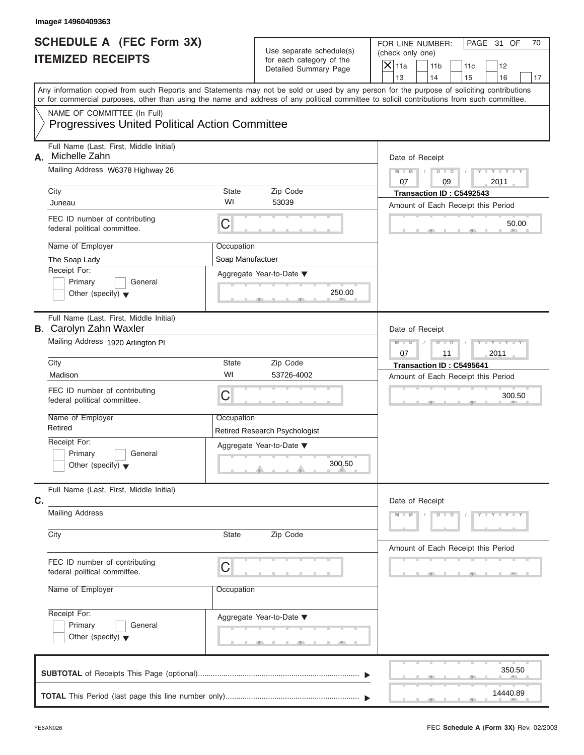|    | Image# 14960409363                                                                                                                         |                                                               |                                                                               |                                                                                                                                                                         |
|----|--------------------------------------------------------------------------------------------------------------------------------------------|---------------------------------------------------------------|-------------------------------------------------------------------------------|-------------------------------------------------------------------------------------------------------------------------------------------------------------------------|
|    | <b>SCHEDULE A (FEC Form 3X)</b><br><b>ITEMIZED RECEIPTS</b>                                                                                |                                                               | Use separate schedule(s)<br>for each category of the<br>Detailed Summary Page | FOR LINE NUMBER:<br>PAGE 31 OF<br>70<br>(check only one)<br>$\overline{X}$ 11a<br>11 <sub>b</sub><br>11c<br>12                                                          |
|    |                                                                                                                                            |                                                               |                                                                               | 13<br>14<br>15<br>16<br>17<br>Any information copied from such Reports and Statements may not be sold or used by any person for the purpose of soliciting contributions |
|    | or for commercial purposes, other than using the name and address of any political committee to solicit contributions from such committee. |                                                               |                                                                               |                                                                                                                                                                         |
|    | NAME OF COMMITTEE (In Full)<br><b>Progressives United Political Action Committee</b>                                                       |                                                               |                                                                               |                                                                                                                                                                         |
| А. | Full Name (Last, First, Middle Initial)<br>Michelle Zahn                                                                                   |                                                               |                                                                               | Date of Receipt                                                                                                                                                         |
|    | Mailing Address W6378 Highway 26                                                                                                           |                                                               |                                                                               | $D$ $D$<br>$Y - Y - Y - Y - Y$<br>$M - M$<br>07<br>09<br>2011                                                                                                           |
|    | City                                                                                                                                       | <b>State</b>                                                  | Zip Code                                                                      | Transaction ID: C5492543                                                                                                                                                |
|    | Juneau                                                                                                                                     | WI                                                            | 53039                                                                         | Amount of Each Receipt this Period                                                                                                                                      |
|    | FEC ID number of contributing<br>federal political committee.                                                                              | C                                                             |                                                                               | 50.00                                                                                                                                                                   |
|    | Name of Employer                                                                                                                           | Occupation                                                    |                                                                               |                                                                                                                                                                         |
|    | The Soap Lady                                                                                                                              | Soap Manufactuer                                              |                                                                               |                                                                                                                                                                         |
|    | Receipt For:<br>Primary<br>General<br>Other (specify) $\blacktriangledown$                                                                 |                                                               | Aggregate Year-to-Date ▼<br>250.00                                            |                                                                                                                                                                         |
|    | Full Name (Last, First, Middle Initial)<br><b>B.</b> Carolyn Zahn Waxler                                                                   |                                                               |                                                                               | Date of Receipt                                                                                                                                                         |
|    | Mailing Address 1920 Arlington PI                                                                                                          | $Y - Y - Y - Y - Y$<br>$M - M$<br>$D$ $D$<br>2011<br>07<br>11 |                                                                               |                                                                                                                                                                         |
|    | City                                                                                                                                       | <b>State</b>                                                  | Zip Code                                                                      | Transaction ID: C5495641                                                                                                                                                |
|    | Madison                                                                                                                                    | WI                                                            | 53726-4002                                                                    | Amount of Each Receipt this Period                                                                                                                                      |
|    | FEC ID number of contributing<br>federal political committee.                                                                              | $\overline{C}$                                                |                                                                               | 300.50                                                                                                                                                                  |
|    | Name of Employer<br>Retired                                                                                                                | Occupation                                                    | <b>Retired Research Psychologist</b>                                          |                                                                                                                                                                         |
|    | Receipt For:                                                                                                                               |                                                               | Aggregate Year-to-Date ▼                                                      |                                                                                                                                                                         |
|    | Primary<br>General<br>Other (specify) $\blacktriangledown$                                                                                 |                                                               | 300.50                                                                        |                                                                                                                                                                         |
| C. | Full Name (Last, First, Middle Initial)                                                                                                    |                                                               |                                                                               | Date of Receipt                                                                                                                                                         |
|    | <b>Mailing Address</b>                                                                                                                     | $Y - Y - Y - Y - Y$<br>$M - M$<br>$D - I$<br>$\overline{D}$   |                                                                               |                                                                                                                                                                         |
|    | City                                                                                                                                       | State                                                         | Zip Code                                                                      | Amount of Each Receipt this Period                                                                                                                                      |
|    | FEC ID number of contributing<br>federal political committee.                                                                              | C                                                             |                                                                               |                                                                                                                                                                         |
|    | Name of Employer                                                                                                                           | Occupation                                                    |                                                                               |                                                                                                                                                                         |
|    | Receipt For:<br>Primary<br>General<br>Other (specify) $\blacktriangledown$                                                                 |                                                               | Aggregate Year-to-Date ▼                                                      |                                                                                                                                                                         |
|    |                                                                                                                                            |                                                               |                                                                               | 350.50                                                                                                                                                                  |
|    |                                                                                                                                            |                                                               |                                                                               | 14440.89                                                                                                                                                                |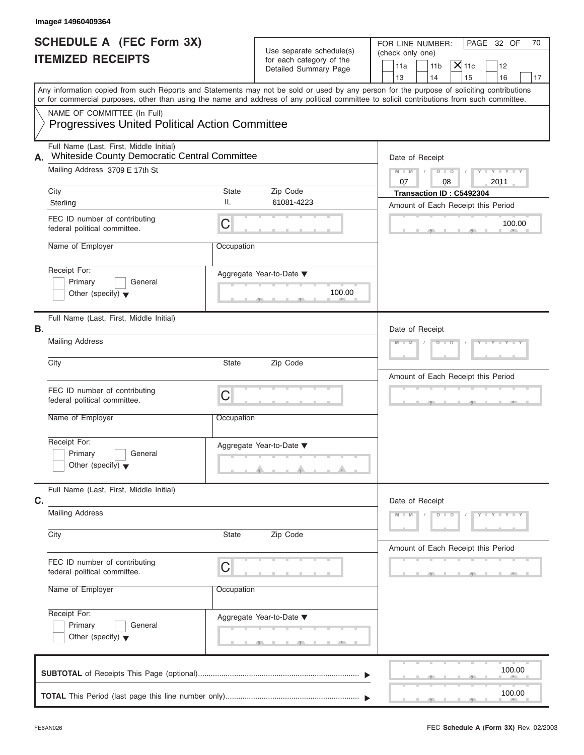| Image# 14960409364                                                                             |                   |                                                                               |                                                                                                                                                                                                                                                                                         |  |
|------------------------------------------------------------------------------------------------|-------------------|-------------------------------------------------------------------------------|-----------------------------------------------------------------------------------------------------------------------------------------------------------------------------------------------------------------------------------------------------------------------------------------|--|
| <b>SCHEDULE A (FEC Form 3X)</b><br><b>ITEMIZED RECEIPTS</b>                                    |                   | Use separate schedule(s)<br>for each category of the<br>Detailed Summary Page | PAGE 32 OF<br>FOR LINE NUMBER:<br>70<br>(check only one)<br>$\mathsf{X}$ 11c<br>11a<br>11 <sub>b</sub><br>12<br>13<br>14<br>15<br>16<br>17                                                                                                                                              |  |
|                                                                                                |                   |                                                                               | Any information copied from such Reports and Statements may not be sold or used by any person for the purpose of soliciting contributions<br>or for commercial purposes, other than using the name and address of any political committee to solicit contributions from such committee. |  |
| NAME OF COMMITTEE (In Full)<br><b>Progressives United Political Action Committee</b>           |                   |                                                                               |                                                                                                                                                                                                                                                                                         |  |
| Full Name (Last, First, Middle Initial)<br>Whiteside County Democratic Central Committee<br>А. |                   |                                                                               | Date of Receipt                                                                                                                                                                                                                                                                         |  |
| Mailing Address 3709 E 17th St                                                                 |                   |                                                                               |                                                                                                                                                                                                                                                                                         |  |
| City<br>Sterling                                                                               | State<br>IL       | Zip Code<br>61081-4223                                                        | 07<br>08<br>2011<br>Transaction ID: C5492304<br>Amount of Each Receipt this Period                                                                                                                                                                                                      |  |
| FEC ID number of contributing<br>federal political committee.                                  | C                 |                                                                               | 100.00                                                                                                                                                                                                                                                                                  |  |
| Name of Employer                                                                               | Occupation        |                                                                               |                                                                                                                                                                                                                                                                                         |  |
| Receipt For:<br>Primary<br>General<br>Other (specify) $\blacktriangledown$                     |                   | Aggregate Year-to-Date ▼<br>100.00                                            |                                                                                                                                                                                                                                                                                         |  |
| Full Name (Last, First, Middle Initial)<br>В.                                                  |                   |                                                                               | Date of Receipt                                                                                                                                                                                                                                                                         |  |
| <b>Mailing Address</b>                                                                         |                   |                                                                               | $Y = Y = Y' = Y'$<br>$M - M$<br>$D - D$                                                                                                                                                                                                                                                 |  |
| City                                                                                           | State             | Zip Code                                                                      | Amount of Each Receipt this Period                                                                                                                                                                                                                                                      |  |
| FEC ID number of contributing<br>federal political committee.                                  | C                 |                                                                               | $\mathbf{1}$                                                                                                                                                                                                                                                                            |  |
| Name of Employer                                                                               | Occupation        |                                                                               |                                                                                                                                                                                                                                                                                         |  |
| Receipt For:<br>Primary<br>General<br>Other (specify) $\blacktriangledown$                     |                   | Aggregate Year-to-Date ▼                                                      |                                                                                                                                                                                                                                                                                         |  |
| Full Name (Last, First, Middle Initial)<br>C.                                                  |                   |                                                                               | Date of Receipt                                                                                                                                                                                                                                                                         |  |
| <b>Mailing Address</b>                                                                         |                   |                                                                               | $M - M$<br>$D$ $\Box$ $D$<br>$Y - Y - Y - Y - Y$                                                                                                                                                                                                                                        |  |
| City                                                                                           | Zip Code<br>State |                                                                               | Amount of Each Receipt this Period                                                                                                                                                                                                                                                      |  |
| FEC ID number of contributing<br>federal political committee.                                  | C                 |                                                                               |                                                                                                                                                                                                                                                                                         |  |
| Name of Employer                                                                               | Occupation        |                                                                               |                                                                                                                                                                                                                                                                                         |  |
| Receipt For:<br>Primary<br>General<br>Other (specify) $\blacktriangledown$                     |                   | Aggregate Year-to-Date ▼                                                      |                                                                                                                                                                                                                                                                                         |  |
|                                                                                                |                   |                                                                               | 100.00                                                                                                                                                                                                                                                                                  |  |
|                                                                                                |                   |                                                                               | 100.00                                                                                                                                                                                                                                                                                  |  |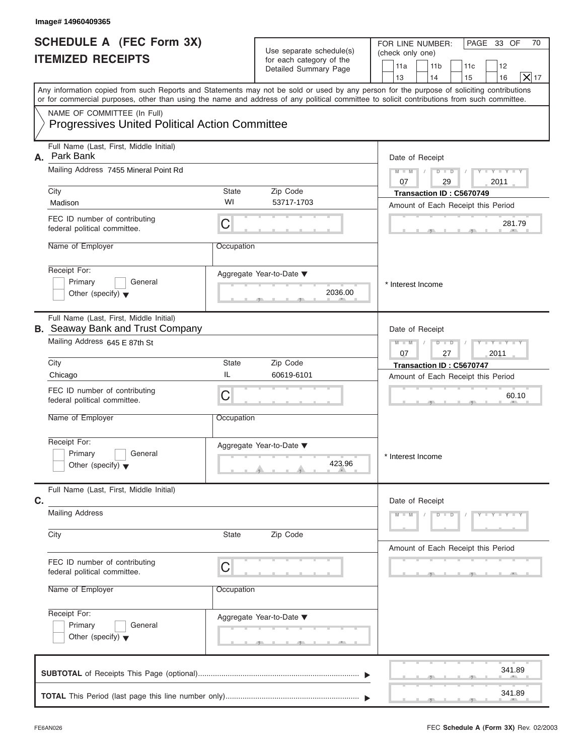|    | Image# 14960409365                                                                                                                                                                                                                                                                      |                                                               |                                                                               |                                                                                                                                 |
|----|-----------------------------------------------------------------------------------------------------------------------------------------------------------------------------------------------------------------------------------------------------------------------------------------|---------------------------------------------------------------|-------------------------------------------------------------------------------|---------------------------------------------------------------------------------------------------------------------------------|
|    | <b>SCHEDULE A (FEC Form 3X)</b><br><b>ITEMIZED RECEIPTS</b>                                                                                                                                                                                                                             |                                                               | Use separate schedule(s)<br>for each category of the<br>Detailed Summary Page | PAGE 33 OF<br>FOR LINE NUMBER:<br>70<br>(check only one)<br>11a<br>11 <sub>b</sub><br>11c<br>12<br>X 17<br>13<br>14<br>16<br>15 |
|    | Any information copied from such Reports and Statements may not be sold or used by any person for the purpose of soliciting contributions<br>or for commercial purposes, other than using the name and address of any political committee to solicit contributions from such committee. |                                                               |                                                                               |                                                                                                                                 |
|    | NAME OF COMMITTEE (In Full)<br><b>Progressives United Political Action Committee</b>                                                                                                                                                                                                    |                                                               |                                                                               |                                                                                                                                 |
| А. | Full Name (Last, First, Middle Initial)<br>Park Bank<br>Mailing Address 7455 Mineral Point Rd                                                                                                                                                                                           |                                                               |                                                                               | Date of Receipt<br>$D$ $D$<br>$Y - Y - Y$<br>$M - M$                                                                            |
|    |                                                                                                                                                                                                                                                                                         |                                                               |                                                                               | 07<br>29<br>2011                                                                                                                |
|    | City<br>Madison                                                                                                                                                                                                                                                                         | State<br>WI                                                   | Zip Code<br>53717-1703                                                        | Transaction ID: C5670749                                                                                                        |
|    | FEC ID number of contributing<br>federal political committee.                                                                                                                                                                                                                           | С                                                             |                                                                               | Amount of Each Receipt this Period<br>281.79                                                                                    |
|    | Name of Employer                                                                                                                                                                                                                                                                        | Occupation                                                    |                                                                               |                                                                                                                                 |
|    | Receipt For:<br>Primary<br>General<br>Other (specify) $\blacktriangledown$                                                                                                                                                                                                              |                                                               | Aggregate Year-to-Date ▼<br>2036.00                                           | * Interest Income                                                                                                               |
|    | Full Name (Last, First, Middle Initial)<br><b>B.</b> Seaway Bank and Trust Company                                                                                                                                                                                                      |                                                               |                                                                               | Date of Receipt                                                                                                                 |
|    | Mailing Address 645 E 87th St                                                                                                                                                                                                                                                           | $D$ $D$<br>$Y - Y - Y - Y - Y$<br>$M - M$<br>2011<br>07<br>27 |                                                                               |                                                                                                                                 |
|    | City                                                                                                                                                                                                                                                                                    | State                                                         | Zip Code                                                                      | Transaction ID: C5670747                                                                                                        |
|    | Chicago                                                                                                                                                                                                                                                                                 | IL                                                            | 60619-6101                                                                    | Amount of Each Receipt this Period                                                                                              |
|    | FEC ID number of contributing<br>federal political committee.                                                                                                                                                                                                                           | C                                                             |                                                                               | 60.10                                                                                                                           |
|    | Name of Employer                                                                                                                                                                                                                                                                        | Occupation                                                    |                                                                               |                                                                                                                                 |
|    | Receipt For:<br>Primary<br>General<br>Other (specify) $\blacktriangledown$                                                                                                                                                                                                              |                                                               | Aggregate Year-to-Date ▼<br>423.96                                            | * Interest Income                                                                                                               |
| C. | Full Name (Last, First, Middle Initial)                                                                                                                                                                                                                                                 |                                                               |                                                                               | Date of Receipt                                                                                                                 |
|    | <b>Mailing Address</b>                                                                                                                                                                                                                                                                  |                                                               |                                                                               | $Y - Y - Y - Y - T$<br>$M - M$<br>$D$ $D$                                                                                       |
|    | City                                                                                                                                                                                                                                                                                    | State                                                         | Zip Code                                                                      | Amount of Each Receipt this Period                                                                                              |
|    | FEC ID number of contributing<br>federal political committee.                                                                                                                                                                                                                           | С                                                             |                                                                               |                                                                                                                                 |
|    | Name of Employer                                                                                                                                                                                                                                                                        |                                                               |                                                                               |                                                                                                                                 |
|    | Receipt For:<br>Primary<br>General<br>Other (specify) $\blacktriangledown$                                                                                                                                                                                                              |                                                               | Aggregate Year-to-Date ▼                                                      |                                                                                                                                 |
|    |                                                                                                                                                                                                                                                                                         |                                                               |                                                                               | 341.89                                                                                                                          |
|    |                                                                                                                                                                                                                                                                                         |                                                               |                                                                               | 341.89                                                                                                                          |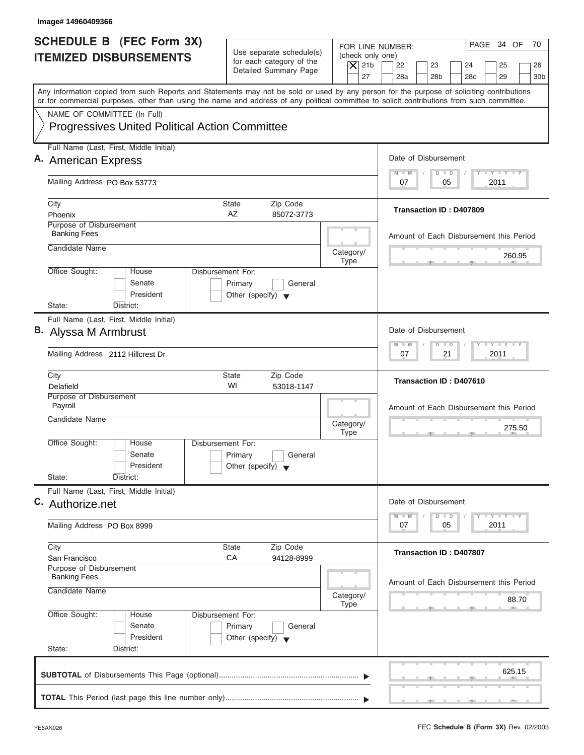| Image# 14960409366                                                                                                                                                                                                                                                                      |                                                                                                                               |                                                                                                                                          |
|-----------------------------------------------------------------------------------------------------------------------------------------------------------------------------------------------------------------------------------------------------------------------------------------|-------------------------------------------------------------------------------------------------------------------------------|------------------------------------------------------------------------------------------------------------------------------------------|
| <b>SCHEDULE B</b> (FEC Form 3X)<br><b>ITEMIZED DISBURSEMENTS</b>                                                                                                                                                                                                                        | Use separate schedule(s)<br>(check only one)<br>for each category of the<br>$\overline{X}$ 21b<br>Detailed Summary Page<br>27 | PAGE 34 OF<br>70<br>FOR LINE NUMBER:<br>22<br>23<br>24<br>25<br>26<br>28a<br>28 <sub>b</sub><br>29<br>28 <sub>c</sub><br>30 <sub>b</sub> |
| Any information copied from such Reports and Statements may not be sold or used by any person for the purpose of soliciting contributions<br>or for commercial purposes, other than using the name and address of any political committee to solicit contributions from such committee. |                                                                                                                               |                                                                                                                                          |
| NAME OF COMMITTEE (In Full)<br><b>Progressives United Political Action Committee</b>                                                                                                                                                                                                    |                                                                                                                               |                                                                                                                                          |
| Full Name (Last, First, Middle Initial)                                                                                                                                                                                                                                                 |                                                                                                                               | Date of Disbursement                                                                                                                     |
| A. American Express                                                                                                                                                                                                                                                                     |                                                                                                                               | $T - Y = T - Y = T - Y$<br>$M - M$<br>$D$ $D$                                                                                            |
| Mailing Address PO Box 53773                                                                                                                                                                                                                                                            |                                                                                                                               | 2011<br>07<br>05                                                                                                                         |
| City<br>Phoenix                                                                                                                                                                                                                                                                         | State<br>Zip Code<br>AZ<br>85072-3773                                                                                         | Transaction ID: D407809                                                                                                                  |
| Purpose of Disbursement<br><b>Banking Fees</b>                                                                                                                                                                                                                                          |                                                                                                                               | Amount of Each Disbursement this Period                                                                                                  |
| Candidate Name                                                                                                                                                                                                                                                                          | Category/<br><b>Type</b>                                                                                                      | 260.95                                                                                                                                   |
| Office Sought:<br>House<br>Senate<br>President<br>State:<br>District:                                                                                                                                                                                                                   | Disbursement For:<br>Primary<br>General<br>Other (specify) $\blacktriangledown$                                               |                                                                                                                                          |
| Full Name (Last, First, Middle Initial)                                                                                                                                                                                                                                                 |                                                                                                                               |                                                                                                                                          |
| B. Alyssa M Armbrust                                                                                                                                                                                                                                                                    |                                                                                                                               | Date of Disbursement                                                                                                                     |
| Mailing Address 2112 Hillcrest Dr                                                                                                                                                                                                                                                       |                                                                                                                               | $-$ Y $-$ Y $-$ Y<br>$M - M$<br>$\overline{D}$<br>$\Box$<br>2011<br>07<br>21                                                             |
| City<br>Delafield                                                                                                                                                                                                                                                                       | Zip Code<br>State<br>WI<br>53018-1147                                                                                         | Transaction ID: D407610                                                                                                                  |
| Purpose of Disbursement<br>Payroll<br>Candidate Name                                                                                                                                                                                                                                    | Category/<br><b>Type</b>                                                                                                      | Amount of Each Disbursement this Period<br>275.50                                                                                        |
| Office Sought:<br>House<br>Senate<br>President<br>State:<br>District:                                                                                                                                                                                                                   | Disbursement For:<br>Primary<br>General<br>Other (specify) $\blacktriangledown$                                               |                                                                                                                                          |
| Full Name (Last, First, Middle Initial)<br>C. Authorize.net                                                                                                                                                                                                                             |                                                                                                                               | Date of Disbursement<br>$T - Y$ $T - Y$<br>$M - M$<br>$\overline{\mathsf{D}}$<br>$\Box$                                                  |
| Mailing Address PO Box 8999                                                                                                                                                                                                                                                             |                                                                                                                               | 2011<br>07<br>05                                                                                                                         |
| City<br>San Francisco                                                                                                                                                                                                                                                                   | Zip Code<br>State<br>СA<br>94128-8999                                                                                         | Transaction ID: D407807                                                                                                                  |
| Purpose of Disbursement<br><b>Banking Fees</b><br>Candidate Name                                                                                                                                                                                                                        | Category/                                                                                                                     | Amount of Each Disbursement this Period<br>88.70                                                                                         |
| Office Sought:<br>House<br>Senate<br>President<br>State:<br>District:                                                                                                                                                                                                                   | Type<br>Disbursement For:<br>Primary<br>General<br>Other (specify) $\blacktriangledown$                                       |                                                                                                                                          |
|                                                                                                                                                                                                                                                                                         |                                                                                                                               | 625.15                                                                                                                                   |
|                                                                                                                                                                                                                                                                                         |                                                                                                                               |                                                                                                                                          |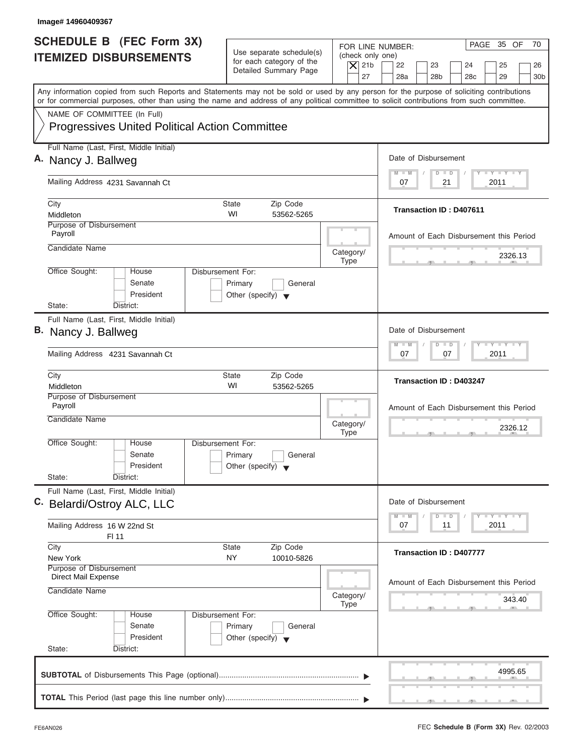| Image# 14960409367                                                                                                                                                                                                                                                                      |                                                                                                                               |                                                                                                                                          |
|-----------------------------------------------------------------------------------------------------------------------------------------------------------------------------------------------------------------------------------------------------------------------------------------|-------------------------------------------------------------------------------------------------------------------------------|------------------------------------------------------------------------------------------------------------------------------------------|
| <b>SCHEDULE B</b> (FEC Form 3X)<br><b>ITEMIZED DISBURSEMENTS</b>                                                                                                                                                                                                                        | Use separate schedule(s)<br>(check only one)<br>for each category of the<br>$\overline{X}$ 21b<br>Detailed Summary Page<br>27 | PAGE 35 OF<br>70<br>FOR LINE NUMBER:<br>22<br>23<br>24<br>25<br>26<br>28a<br>28 <sub>b</sub><br>29<br>28 <sub>c</sub><br>30 <sub>b</sub> |
| Any information copied from such Reports and Statements may not be sold or used by any person for the purpose of soliciting contributions<br>or for commercial purposes, other than using the name and address of any political committee to solicit contributions from such committee. |                                                                                                                               |                                                                                                                                          |
| NAME OF COMMITTEE (In Full)<br><b>Progressives United Political Action Committee</b>                                                                                                                                                                                                    |                                                                                                                               |                                                                                                                                          |
| Full Name (Last, First, Middle Initial)<br>A. Nancy J. Ballweg                                                                                                                                                                                                                          |                                                                                                                               | Date of Disbursement                                                                                                                     |
| Mailing Address 4231 Savannah Ct                                                                                                                                                                                                                                                        |                                                                                                                               | $T - Y = T - Y = T - Y$<br>$M - M$<br>$D$ $D$<br>2011<br>07<br>21                                                                        |
| City<br>Middleton                                                                                                                                                                                                                                                                       | <b>State</b><br>Zip Code<br>WI<br>53562-5265                                                                                  | Transaction ID: D407611                                                                                                                  |
| Purpose of Disbursement<br>Payroll                                                                                                                                                                                                                                                      |                                                                                                                               | Amount of Each Disbursement this Period                                                                                                  |
| Candidate Name                                                                                                                                                                                                                                                                          | Category/<br><b>Type</b>                                                                                                      | 2326.13                                                                                                                                  |
| Office Sought:<br>House<br>Senate<br>President<br>State:<br>District:                                                                                                                                                                                                                   | <b>Disbursement For:</b><br>Primary<br>General<br>Other (specify) $\blacktriangledown$                                        |                                                                                                                                          |
| Full Name (Last, First, Middle Initial)<br>B. Nancy J. Ballweg<br>Mailing Address 4231 Savannah Ct                                                                                                                                                                                      |                                                                                                                               | Date of Disbursement<br>$-$ Y $-$ Y $-$ Y<br>$M - M$<br>$\Box$<br>$\overline{D}$<br>2011<br>07<br>07                                     |
| City<br>Middleton                                                                                                                                                                                                                                                                       | <b>State</b><br>Zip Code<br>WI<br>53562-5265                                                                                  | <b>Transaction ID: D403247</b>                                                                                                           |
| Purpose of Disbursement<br>Payroll<br>Candidate Name                                                                                                                                                                                                                                    | Category/<br><b>Type</b>                                                                                                      | Amount of Each Disbursement this Period<br>2326.12<br>- 51                                                                               |
| Office Sought:<br>House<br>Senate<br>President<br>State:<br>District:                                                                                                                                                                                                                   | Disbursement For:<br>Primary<br>General<br>Other (specify) $\blacktriangledown$                                               |                                                                                                                                          |
| Full Name (Last, First, Middle Initial)<br>C. Belardi/Ostroy ALC, LLC                                                                                                                                                                                                                   |                                                                                                                               | Date of Disbursement<br>$T - Y$ $T - Y$<br>$M - M$<br>D<br>$\Box$                                                                        |
| Mailing Address 16 W 22nd St<br>FI 11                                                                                                                                                                                                                                                   |                                                                                                                               | 2011<br>07<br>11                                                                                                                         |
| City<br>New York<br>Purpose of Disbursement                                                                                                                                                                                                                                             | Zip Code<br>State<br>NY<br>10010-5826                                                                                         | <b>Transaction ID: D407777</b>                                                                                                           |
| Direct Mail Expense<br>Candidate Name                                                                                                                                                                                                                                                   | Category/<br>Type                                                                                                             | Amount of Each Disbursement this Period<br>343.40                                                                                        |
| Office Sought:<br>House<br>Senate<br>President<br>State:<br>District:                                                                                                                                                                                                                   | Disbursement For:<br>Primary<br>General<br>Other (specify) $\blacktriangledown$                                               |                                                                                                                                          |
|                                                                                                                                                                                                                                                                                         |                                                                                                                               | 4995.65                                                                                                                                  |
|                                                                                                                                                                                                                                                                                         |                                                                                                                               |                                                                                                                                          |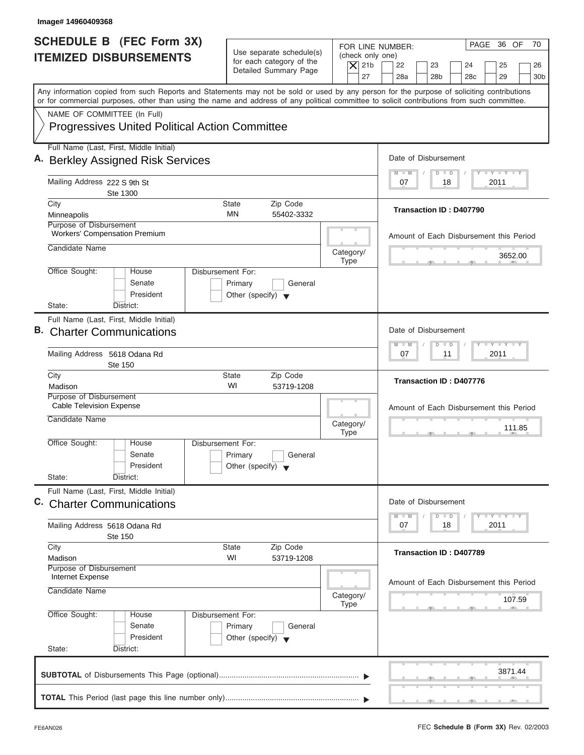| Image# 14960409368                                                                                                                                                                                                                                                                                                     |                                                                                                                                                   |                                                                                                                      |
|------------------------------------------------------------------------------------------------------------------------------------------------------------------------------------------------------------------------------------------------------------------------------------------------------------------------|---------------------------------------------------------------------------------------------------------------------------------------------------|----------------------------------------------------------------------------------------------------------------------|
| <b>SCHEDULE B</b> (FEC Form 3X)<br><b>ITEMIZED DISBURSEMENTS</b>                                                                                                                                                                                                                                                       | FOR LINE NUMBER:<br>Use separate schedule(s)<br>(check only one)<br>for each category of the<br>$\overline{X}$ 21b<br>Detailed Summary Page<br>27 | PAGE 36 OF<br>70<br>22<br>23<br>24<br>25<br>26<br>28a<br>28 <sub>b</sub><br>29<br>28 <sub>c</sub><br>30 <sub>b</sub> |
| Any information copied from such Reports and Statements may not be sold or used by any person for the purpose of soliciting contributions<br>or for commercial purposes, other than using the name and address of any political committee to solicit contributions from such committee.<br>NAME OF COMMITTEE (In Full) |                                                                                                                                                   |                                                                                                                      |
| <b>Progressives United Political Action Committee</b>                                                                                                                                                                                                                                                                  |                                                                                                                                                   |                                                                                                                      |
| Full Name (Last, First, Middle Initial)<br>A. Berkley Assigned Risk Services                                                                                                                                                                                                                                           |                                                                                                                                                   | Date of Disbursement<br>$T - Y = T - Y = T - Y$                                                                      |
| Mailing Address 222 S 9th St<br>Ste 1300                                                                                                                                                                                                                                                                               |                                                                                                                                                   | $M - M$<br>$D$ $D$<br>2011<br>07<br>18                                                                               |
| City<br>Minneapolis<br>Purpose of Disbursement                                                                                                                                                                                                                                                                         | <b>State</b><br>Zip Code<br><b>MN</b><br>55402-3332                                                                                               | <b>Transaction ID: D407790</b>                                                                                       |
| <b>Workers' Compensation Premium</b><br>Candidate Name                                                                                                                                                                                                                                                                 |                                                                                                                                                   | Amount of Each Disbursement this Period                                                                              |
| Office Sought:<br>Disbursement For:<br>House                                                                                                                                                                                                                                                                           | Category/<br><b>Type</b>                                                                                                                          | 3652.00                                                                                                              |
| Senate<br>President<br>State:<br>District:                                                                                                                                                                                                                                                                             | Primary<br>General<br>Other (specify) $\blacktriangledown$                                                                                        |                                                                                                                      |
| Full Name (Last, First, Middle Initial)<br><b>B.</b> Charter Communications                                                                                                                                                                                                                                            |                                                                                                                                                   | Date of Disbursement                                                                                                 |
| Mailing Address 5618 Odana Rd<br><b>Ste 150</b>                                                                                                                                                                                                                                                                        |                                                                                                                                                   | $-$ Y $-$ Y $-$ Y<br>$M - M$<br>$\overline{D}$<br>$\blacksquare$<br>2011<br>07<br>11                                 |
| City<br>Madison                                                                                                                                                                                                                                                                                                        | Zip Code<br><b>State</b><br>WI<br>53719-1208                                                                                                      | Transaction ID: D407776                                                                                              |
| Purpose of Disbursement<br><b>Cable Television Expense</b><br>Candidate Name                                                                                                                                                                                                                                           | Category/<br><b>Type</b>                                                                                                                          | Amount of Each Disbursement this Period<br>111.85                                                                    |
| Office Sought:<br>House<br>Disbursement For:<br>Senate<br>President<br>State:                                                                                                                                                                                                                                          | Primary<br>General<br>Other (specify) $\blacktriangledown$                                                                                        |                                                                                                                      |
| District:<br>Full Name (Last, First, Middle Initial)<br>C. Charter Communications                                                                                                                                                                                                                                      |                                                                                                                                                   | Date of Disbursement                                                                                                 |
| Mailing Address 5618 Odana Rd<br><b>Ste 150</b>                                                                                                                                                                                                                                                                        |                                                                                                                                                   | $T - Y = T - Y = T - Y$<br>$M - M$<br>$\overline{D}$<br>$\Box$<br>2011<br>07<br>18                                   |
| City<br>Madison<br>Purpose of Disbursement                                                                                                                                                                                                                                                                             | Zip Code<br>State<br>WI<br>53719-1208                                                                                                             | Transaction ID: D407789                                                                                              |
| Internet Expense<br>Candidate Name                                                                                                                                                                                                                                                                                     | Category/<br>Type                                                                                                                                 | Amount of Each Disbursement this Period<br>107.59                                                                    |
| Office Sought:<br>Disbursement For:<br>House<br>Senate<br>President<br>State:<br>District:                                                                                                                                                                                                                             | Primary<br>General<br>Other (specify) $\blacktriangledown$                                                                                        |                                                                                                                      |
|                                                                                                                                                                                                                                                                                                                        |                                                                                                                                                   | 3871.44                                                                                                              |
|                                                                                                                                                                                                                                                                                                                        |                                                                                                                                                   |                                                                                                                      |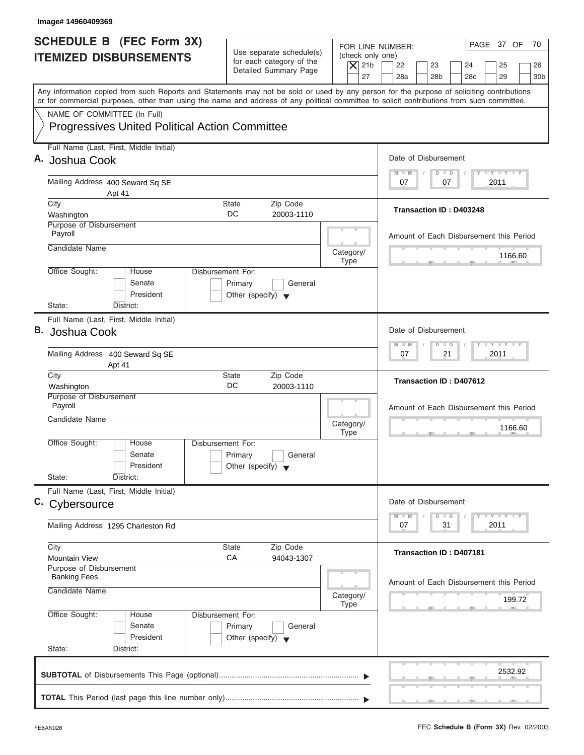| Image# 14960409369                                                                                                                                                                                                                                                                      |                                                                                                     |                                                                                                                                                                    |
|-----------------------------------------------------------------------------------------------------------------------------------------------------------------------------------------------------------------------------------------------------------------------------------------|-----------------------------------------------------------------------------------------------------|--------------------------------------------------------------------------------------------------------------------------------------------------------------------|
| <b>SCHEDULE B (FEC Form 3X)</b><br><b>ITEMIZED DISBURSEMENTS</b>                                                                                                                                                                                                                        | Use separate schedule(s)<br>for each category of the<br>$\overline{X}$ 21b<br>Detailed Summary Page | PAGE 37 OF<br>70<br>FOR LINE NUMBER:<br>(check only one)<br>22<br>23<br>24<br>25<br>26<br>27<br>28a<br>28 <sub>b</sub><br>29<br>30 <sub>b</sub><br>28 <sub>c</sub> |
| Any information copied from such Reports and Statements may not be sold or used by any person for the purpose of soliciting contributions<br>or for commercial purposes, other than using the name and address of any political committee to solicit contributions from such committee. |                                                                                                     |                                                                                                                                                                    |
| NAME OF COMMITTEE (In Full)<br><b>Progressives United Political Action Committee</b>                                                                                                                                                                                                    |                                                                                                     |                                                                                                                                                                    |
| Full Name (Last, First, Middle Initial)<br>A. Joshua Cook                                                                                                                                                                                                                               |                                                                                                     | Date of Disbursement                                                                                                                                               |
| Mailing Address 400 Seward Sq SE<br>Apt 41                                                                                                                                                                                                                                              |                                                                                                     | $T - Y = T - Y = T - Y$<br>$M - M$<br>$D$ $D$<br>2011<br>07<br>07                                                                                                  |
| City<br>Washington                                                                                                                                                                                                                                                                      | Zip Code<br>State<br>DC<br>20003-1110                                                               | <b>Transaction ID: D403248</b>                                                                                                                                     |
| Purpose of Disbursement<br>Payroll<br>Candidate Name                                                                                                                                                                                                                                    |                                                                                                     | Amount of Each Disbursement this Period                                                                                                                            |
| Office Sought:<br>House                                                                                                                                                                                                                                                                 | Category/<br>Type<br>Disbursement For:                                                              | 1166.60                                                                                                                                                            |
| Senate<br>President<br>State:<br>District:                                                                                                                                                                                                                                              | Primary<br>General<br>Other (specify) $\blacktriangledown$                                          |                                                                                                                                                                    |
| Full Name (Last, First, Middle Initial)<br>В.<br>Joshua Cook                                                                                                                                                                                                                            |                                                                                                     | Date of Disbursement                                                                                                                                               |
| Mailing Address 400 Seward Sq SE<br>Apt 41                                                                                                                                                                                                                                              |                                                                                                     | $-$ Y $-$ Y $-$ Y<br>$M - M$<br>$\Box$<br>$\overline{D}$<br>2011<br>07<br>21                                                                                       |
| City<br>Washington                                                                                                                                                                                                                                                                      | Zip Code<br><b>State</b><br>DC<br>20003-1110                                                        | Transaction ID: D407612                                                                                                                                            |
| Purpose of Disbursement<br>Payroll<br>Candidate Name                                                                                                                                                                                                                                    | Category/<br><b>Type</b>                                                                            | Amount of Each Disbursement this Period<br>1166.60<br>$-5$                                                                                                         |
| Office Sought:<br>House<br>Senate<br>President<br>State:                                                                                                                                                                                                                                | Disbursement For:<br>Primary<br>General<br>Other (specify) $\blacktriangledown$                     |                                                                                                                                                                    |
| District:<br>Full Name (Last, First, Middle Initial)<br>C. Cybersource                                                                                                                                                                                                                  |                                                                                                     | Date of Disbursement                                                                                                                                               |
| Mailing Address 1295 Charleston Rd                                                                                                                                                                                                                                                      |                                                                                                     | $T - Y$ $T - Y$<br>$M - M$<br>D<br>$\Box$<br>2011<br>07<br>31                                                                                                      |
| City<br><b>Mountain View</b>                                                                                                                                                                                                                                                            | Zip Code<br>State<br>СA<br>94043-1307                                                               | Transaction ID: D407181                                                                                                                                            |
| Purpose of Disbursement<br><b>Banking Fees</b><br>Candidate Name                                                                                                                                                                                                                        | Category/<br>Type                                                                                   | Amount of Each Disbursement this Period<br>199.72                                                                                                                  |
| Office Sought:<br>House<br>Senate<br>President<br>State:<br>District:                                                                                                                                                                                                                   | Disbursement For:<br>Primary<br>General<br>Other (specify) $\blacktriangledown$                     |                                                                                                                                                                    |
|                                                                                                                                                                                                                                                                                         |                                                                                                     | 2532.92                                                                                                                                                            |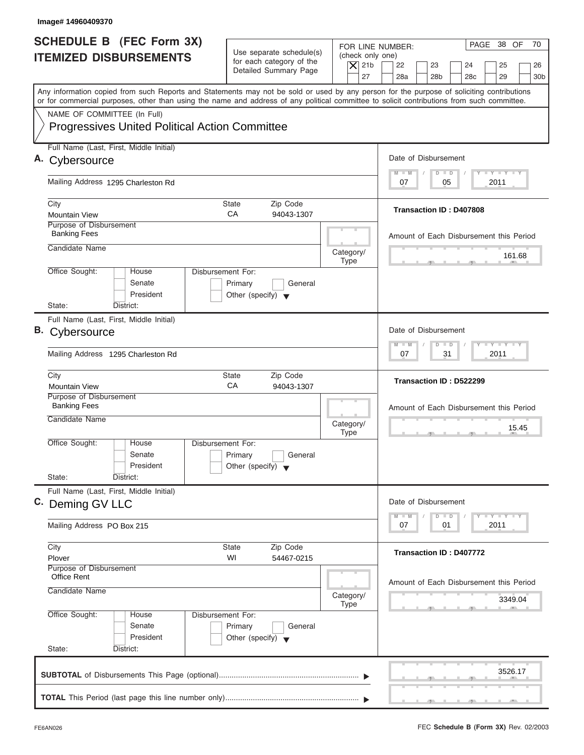| Image#14960409370                                                                                                                                                                                                                                                                       |                                                      |                          |                                                                                                  |
|-----------------------------------------------------------------------------------------------------------------------------------------------------------------------------------------------------------------------------------------------------------------------------------------|------------------------------------------------------|--------------------------|--------------------------------------------------------------------------------------------------|
| <b>SCHEDULE B</b> (FEC Form 3X)<br><b>ITEMIZED DISBURSEMENTS</b>                                                                                                                                                                                                                        | Use separate schedule(s)<br>for each category of the | (check only one)         | PAGE 38 OF<br>70<br>FOR LINE NUMBER:                                                             |
|                                                                                                                                                                                                                                                                                         | Detailed Summary Page                                | $ \mathsf{X} $ 21b<br>27 | 22<br>23<br>24<br>25<br>26<br>28a<br>28 <sub>b</sub><br>28 <sub>c</sub><br>29<br>30 <sub>b</sub> |
| Any information copied from such Reports and Statements may not be sold or used by any person for the purpose of soliciting contributions<br>or for commercial purposes, other than using the name and address of any political committee to solicit contributions from such committee. |                                                      |                          |                                                                                                  |
| NAME OF COMMITTEE (In Full)                                                                                                                                                                                                                                                             |                                                      |                          |                                                                                                  |
| <b>Progressives United Political Action Committee</b>                                                                                                                                                                                                                                   |                                                      |                          |                                                                                                  |
| Full Name (Last, First, Middle Initial)<br>A. Cybersource                                                                                                                                                                                                                               |                                                      |                          | Date of Disbursement                                                                             |
|                                                                                                                                                                                                                                                                                         |                                                      |                          | <b>LY LY LY</b><br>$M - M$<br>$D$ $D$                                                            |
| Mailing Address 1295 Charleston Rd                                                                                                                                                                                                                                                      |                                                      |                          | 2011<br>07<br>05                                                                                 |
| City                                                                                                                                                                                                                                                                                    | <b>State</b><br>Zip Code<br>CA                       |                          | Transaction ID: D407808                                                                          |
| <b>Mountain View</b><br>Purpose of Disbursement                                                                                                                                                                                                                                         | 94043-1307                                           |                          |                                                                                                  |
| <b>Banking Fees</b>                                                                                                                                                                                                                                                                     |                                                      |                          | Amount of Each Disbursement this Period                                                          |
| Candidate Name                                                                                                                                                                                                                                                                          |                                                      | Category/                | 161.68                                                                                           |
| Office Sought:<br>House                                                                                                                                                                                                                                                                 | Disbursement For:                                    | <b>Type</b>              |                                                                                                  |
| Senate                                                                                                                                                                                                                                                                                  | Primary<br>General                                   |                          |                                                                                                  |
| President<br>State:<br>District:                                                                                                                                                                                                                                                        | Other (specify) $\blacktriangledown$                 |                          |                                                                                                  |
| Full Name (Last, First, Middle Initial)                                                                                                                                                                                                                                                 |                                                      |                          |                                                                                                  |
| B. Cybersource                                                                                                                                                                                                                                                                          |                                                      |                          | Date of Disbursement                                                                             |
| Mailing Address 1295 Charleston Rd                                                                                                                                                                                                                                                      |                                                      |                          | $-1 - Y - 1 - Y - 1 - Y$<br>$M - M$<br>$D$ $D$<br>2011<br>07<br>31                               |
| City                                                                                                                                                                                                                                                                                    | Zip Code<br>State                                    |                          | Transaction ID: D522299                                                                          |
| <b>Mountain View</b><br>Purpose of Disbursement                                                                                                                                                                                                                                         | CA<br>94043-1307                                     |                          |                                                                                                  |
| <b>Banking Fees</b>                                                                                                                                                                                                                                                                     |                                                      |                          | Amount of Each Disbursement this Period                                                          |
| Candidate Name                                                                                                                                                                                                                                                                          |                                                      | Category/<br><b>Type</b> | 15.45                                                                                            |
| Office Sought:<br>House                                                                                                                                                                                                                                                                 | Disbursement For:                                    |                          |                                                                                                  |
| Senate                                                                                                                                                                                                                                                                                  | Primary<br>General                                   |                          |                                                                                                  |
| President<br>State:<br>District:                                                                                                                                                                                                                                                        | Other (specify) $\blacktriangledown$                 |                          |                                                                                                  |
| Full Name (Last, First, Middle Initial)                                                                                                                                                                                                                                                 |                                                      |                          |                                                                                                  |
| C. Deming GV LLC                                                                                                                                                                                                                                                                        |                                                      |                          | Date of Disbursement                                                                             |
| Mailing Address PO Box 215                                                                                                                                                                                                                                                              |                                                      |                          | $T - Y$ $T - Y$ $T - Y$<br>$M - M$<br>D<br>$\Box$<br>2011<br>07<br>01                            |
| City                                                                                                                                                                                                                                                                                    | Zip Code<br><b>State</b>                             |                          | Transaction ID: D407772                                                                          |
| Plover<br>Purpose of Disbursement                                                                                                                                                                                                                                                       | WI<br>54467-0215                                     |                          |                                                                                                  |
| <b>Office Rent</b>                                                                                                                                                                                                                                                                      |                                                      |                          | Amount of Each Disbursement this Period                                                          |
| Candidate Name                                                                                                                                                                                                                                                                          |                                                      | Category/                | 3349.04                                                                                          |
| Office Sought:<br>House                                                                                                                                                                                                                                                                 | Disbursement For:                                    | <b>Type</b>              |                                                                                                  |
| Senate                                                                                                                                                                                                                                                                                  | Primary<br>General                                   |                          |                                                                                                  |
| President                                                                                                                                                                                                                                                                               | Other (specify) $\blacktriangledown$                 |                          |                                                                                                  |
| State:<br>District:                                                                                                                                                                                                                                                                     |                                                      |                          |                                                                                                  |
|                                                                                                                                                                                                                                                                                         |                                                      |                          | 3526.17                                                                                          |
|                                                                                                                                                                                                                                                                                         |                                                      |                          |                                                                                                  |
|                                                                                                                                                                                                                                                                                         |                                                      |                          |                                                                                                  |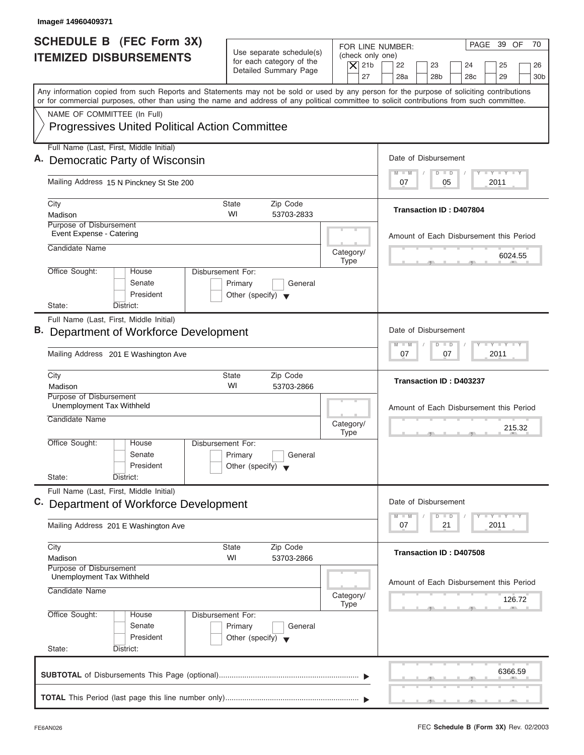| Image# 14960409371                                                                                                                                                                                                                                                                      |                                                                                                       |                                                                                                                                                                    |
|-----------------------------------------------------------------------------------------------------------------------------------------------------------------------------------------------------------------------------------------------------------------------------------------|-------------------------------------------------------------------------------------------------------|--------------------------------------------------------------------------------------------------------------------------------------------------------------------|
| <b>SCHEDULE B</b> (FEC Form 3X)<br><b>ITEMIZED DISBURSEMENTS</b>                                                                                                                                                                                                                        | Use separate schedule(s)<br>for each category of the<br>$\overline{X}$ 21b<br>Detailed Summary Page   | PAGE 39 OF<br>70<br>FOR LINE NUMBER:<br>(check only one)<br>22<br>23<br>25<br>24<br>26<br>27<br>28a<br>28 <sub>b</sub><br>29<br>28 <sub>c</sub><br>30 <sub>b</sub> |
| Any information copied from such Reports and Statements may not be sold or used by any person for the purpose of soliciting contributions<br>or for commercial purposes, other than using the name and address of any political committee to solicit contributions from such committee. |                                                                                                       |                                                                                                                                                                    |
| NAME OF COMMITTEE (In Full)<br><b>Progressives United Political Action Committee</b>                                                                                                                                                                                                    |                                                                                                       |                                                                                                                                                                    |
| Full Name (Last, First, Middle Initial)<br>A. Democratic Party of Wisconsin                                                                                                                                                                                                             |                                                                                                       | Date of Disbursement                                                                                                                                               |
| Mailing Address 15 N Pinckney St Ste 200                                                                                                                                                                                                                                                |                                                                                                       | $T - Y = T - Y = T - Y$<br>$\blacksquare$<br>$D$ $D$<br>2011<br>07<br>05                                                                                           |
| City<br>Madison                                                                                                                                                                                                                                                                         | Zip Code<br>State<br>WI<br>53703-2833                                                                 | <b>Transaction ID: D407804</b>                                                                                                                                     |
| Purpose of Disbursement<br>Event Expense - Catering<br>Candidate Name                                                                                                                                                                                                                   | Category/                                                                                             | Amount of Each Disbursement this Period<br>6024.55                                                                                                                 |
| Office Sought:<br>House<br>Senate<br>President<br>State:<br>District:                                                                                                                                                                                                                   | <b>Type</b><br><b>Disbursement For:</b><br>Primary<br>General<br>Other (specify) $\blacktriangledown$ |                                                                                                                                                                    |
| Full Name (Last, First, Middle Initial)<br><b>B.</b> Department of Workforce Development<br>Mailing Address 201 E Washington Ave                                                                                                                                                        |                                                                                                       | Date of Disbursement<br>$-$ Y $-$ Y $-$ Y<br>M<br>$-M$<br>$\overline{D}$<br>$\Box$<br>2011<br>07<br>07                                                             |
| City<br>Madison                                                                                                                                                                                                                                                                         | Zip Code<br><b>State</b><br>WI<br>53703-2866                                                          | Transaction ID: D403237                                                                                                                                            |
| Purpose of Disbursement<br>Unemployment Tax Withheld<br>Candidate Name                                                                                                                                                                                                                  | Category/<br><b>Type</b>                                                                              | Amount of Each Disbursement this Period<br>215.32                                                                                                                  |
| Office Sought:<br>House<br>Senate<br>President<br>State:<br>District:                                                                                                                                                                                                                   | Disbursement For:<br>Primary<br>General<br>Other (specify) $\blacktriangledown$                       |                                                                                                                                                                    |
| Full Name (Last, First, Middle Initial)<br>C. Department of Workforce Development                                                                                                                                                                                                       |                                                                                                       | Date of Disbursement<br><b>LEY LEY LEY</b><br>M<br>M<br>D<br>$\blacksquare$                                                                                        |
| Mailing Address 201 E Washington Ave<br>City                                                                                                                                                                                                                                            | Zip Code<br><b>State</b>                                                                              | 07<br>21<br>2011                                                                                                                                                   |
| Madison<br>Purpose of Disbursement<br>Unemployment Tax Withheld                                                                                                                                                                                                                         | WI<br>53703-2866                                                                                      | Transaction ID: D407508                                                                                                                                            |
| Candidate Name                                                                                                                                                                                                                                                                          | Category/<br><b>Type</b>                                                                              | Amount of Each Disbursement this Period<br>126.72                                                                                                                  |
| Office Sought:<br>House<br>Senate<br>President<br>State:<br>District:                                                                                                                                                                                                                   | Disbursement For:<br>Primary<br>General<br>Other (specify) $\blacktriangledown$                       |                                                                                                                                                                    |
|                                                                                                                                                                                                                                                                                         |                                                                                                       | 6366.59                                                                                                                                                            |
|                                                                                                                                                                                                                                                                                         |                                                                                                       |                                                                                                                                                                    |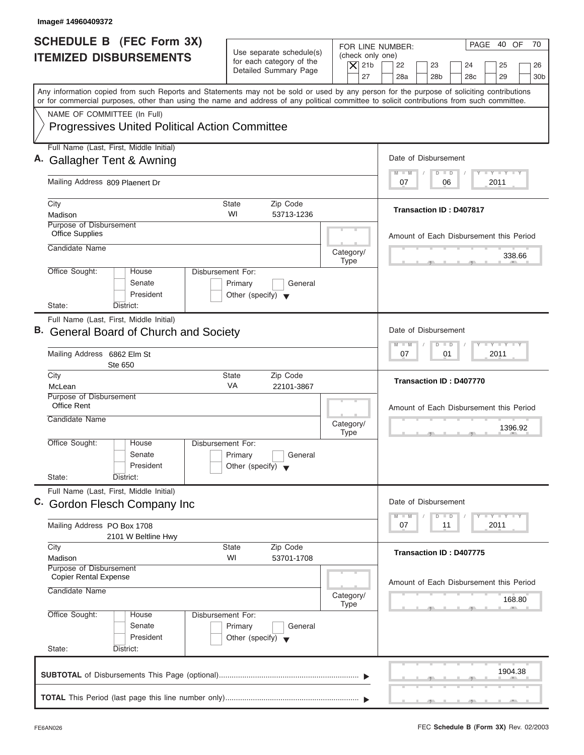| Image# 14960409372                                                                                                                                                                                                                                                                      |                                                                                 |                                                                  |                                                                                                                      |
|-----------------------------------------------------------------------------------------------------------------------------------------------------------------------------------------------------------------------------------------------------------------------------------------|---------------------------------------------------------------------------------|------------------------------------------------------------------|----------------------------------------------------------------------------------------------------------------------|
| <b>SCHEDULE B</b> (FEC Form 3X)<br><b>ITEMIZED DISBURSEMENTS</b>                                                                                                                                                                                                                        | Use separate schedule(s)<br>for each category of the<br>Detailed Summary Page   | FOR LINE NUMBER:<br>(check only one)<br>$\vert$ $\chi$ 21b<br>27 | PAGE 40 OF<br>70<br>22<br>23<br>24<br>25<br>26<br>28a<br>28 <sub>b</sub><br>29<br>28 <sub>c</sub><br>30 <sub>b</sub> |
| Any information copied from such Reports and Statements may not be sold or used by any person for the purpose of soliciting contributions<br>or for commercial purposes, other than using the name and address of any political committee to solicit contributions from such committee. |                                                                                 |                                                                  |                                                                                                                      |
| NAME OF COMMITTEE (In Full)<br><b>Progressives United Political Action Committee</b>                                                                                                                                                                                                    |                                                                                 |                                                                  |                                                                                                                      |
| Full Name (Last, First, Middle Initial)                                                                                                                                                                                                                                                 |                                                                                 |                                                                  |                                                                                                                      |
| A. Gallagher Tent & Awning                                                                                                                                                                                                                                                              |                                                                                 |                                                                  | Date of Disbursement<br>$T - Y = T - Y = T - Y$<br>$D$ $D$<br>$M - M$                                                |
| Mailing Address 809 Plaenert Dr                                                                                                                                                                                                                                                         |                                                                                 |                                                                  | 2011<br>07<br>06                                                                                                     |
| City<br>Madison                                                                                                                                                                                                                                                                         | Zip Code<br>State<br>WI<br>53713-1236                                           |                                                                  | Transaction ID: D407817                                                                                              |
| Purpose of Disbursement<br><b>Office Supplies</b>                                                                                                                                                                                                                                       |                                                                                 |                                                                  | Amount of Each Disbursement this Period                                                                              |
| Candidate Name                                                                                                                                                                                                                                                                          |                                                                                 | Category/<br><b>Type</b>                                         | 338.66                                                                                                               |
| Office Sought:<br>House<br>Senate<br>President<br>State:<br>District:                                                                                                                                                                                                                   | Disbursement For:<br>Primary<br>General<br>Other (specify) $\blacktriangledown$ |                                                                  |                                                                                                                      |
| Full Name (Last, First, Middle Initial)                                                                                                                                                                                                                                                 |                                                                                 |                                                                  |                                                                                                                      |
| B. General Board of Church and Society                                                                                                                                                                                                                                                  |                                                                                 |                                                                  | Date of Disbursement                                                                                                 |
| Mailing Address 6862 Elm St<br>Ste 650                                                                                                                                                                                                                                                  |                                                                                 |                                                                  | $-$ Y $-$ Y $-$ Y<br>M<br>$-M$<br>$\overline{D}$<br>$\Box$<br>2011<br>07<br>01                                       |
| City<br>McLean                                                                                                                                                                                                                                                                          | Zip Code<br><b>State</b><br>VA<br>22101-3867                                    |                                                                  | Transaction ID: D407770                                                                                              |
| Purpose of Disbursement<br><b>Office Rent</b>                                                                                                                                                                                                                                           |                                                                                 |                                                                  | Amount of Each Disbursement this Period                                                                              |
| Candidate Name                                                                                                                                                                                                                                                                          |                                                                                 | Category/<br><b>Type</b>                                         | 1396.92                                                                                                              |
| Office Sought:<br>House<br>Senate<br>President<br>State:<br>District:                                                                                                                                                                                                                   | Disbursement For:<br>Primary<br>General<br>Other (specify)                      |                                                                  |                                                                                                                      |
| Full Name (Last, First, Middle Initial)                                                                                                                                                                                                                                                 |                                                                                 |                                                                  |                                                                                                                      |
| C. Gordon Flesch Company Inc                                                                                                                                                                                                                                                            |                                                                                 |                                                                  | Date of Disbursement                                                                                                 |
| Mailing Address PO Box 1708<br>2101 W Beltline Hwy                                                                                                                                                                                                                                      |                                                                                 |                                                                  | $T - Y$ $T - Y$<br>M<br>$- M$<br>D<br>$\Box$<br>07<br>2011<br>11                                                     |
| City<br>Madison                                                                                                                                                                                                                                                                         | Zip Code<br><b>State</b><br>WI<br>53701-1708                                    |                                                                  | Transaction ID: D407775                                                                                              |
| Purpose of Disbursement<br><b>Copier Rental Expense</b>                                                                                                                                                                                                                                 |                                                                                 |                                                                  | Amount of Each Disbursement this Period                                                                              |
| Candidate Name                                                                                                                                                                                                                                                                          |                                                                                 | Category/<br><b>Type</b>                                         | 168.80                                                                                                               |
| Office Sought:<br>House<br>Senate<br>President<br>State:<br>District:                                                                                                                                                                                                                   | Disbursement For:<br>Primary<br>General<br>Other (specify) $\blacktriangledown$ |                                                                  |                                                                                                                      |
|                                                                                                                                                                                                                                                                                         |                                                                                 |                                                                  | 1904.38                                                                                                              |
|                                                                                                                                                                                                                                                                                         |                                                                                 |                                                                  |                                                                                                                      |
|                                                                                                                                                                                                                                                                                         |                                                                                 |                                                                  |                                                                                                                      |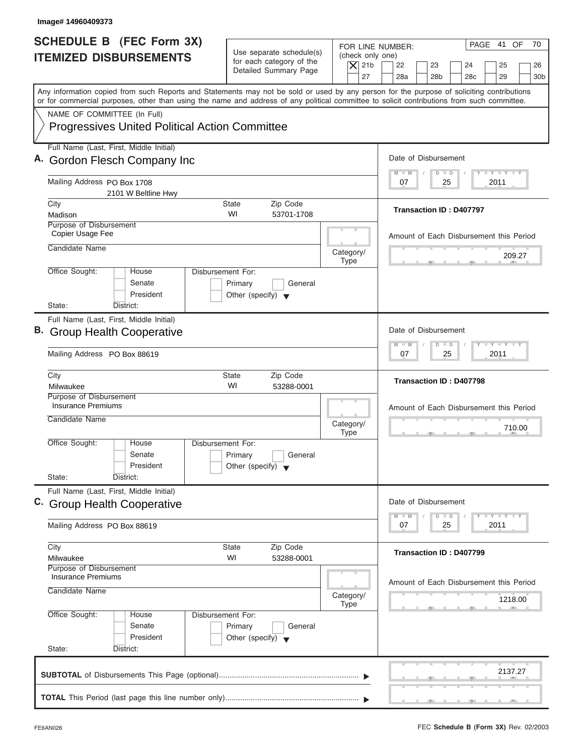| Image# 14960409373                                                                                                                                                                                                                                                                      |                                                                                 |                                                                                                                                                                                          |
|-----------------------------------------------------------------------------------------------------------------------------------------------------------------------------------------------------------------------------------------------------------------------------------------|---------------------------------------------------------------------------------|------------------------------------------------------------------------------------------------------------------------------------------------------------------------------------------|
| <b>SCHEDULE B</b> (FEC Form 3X)<br><b>ITEMIZED DISBURSEMENTS</b>                                                                                                                                                                                                                        | Use separate schedule(s)<br>for each category of the<br>Detailed Summary Page   | PAGE 41 OF<br>70<br>FOR LINE NUMBER:<br>(check only one)<br>$\overline{X}$ 21b<br>22<br>23<br>24<br>25<br>26<br>27<br>28a<br>28 <sub>b</sub><br>29<br>28 <sub>c</sub><br>30 <sub>b</sub> |
| Any information copied from such Reports and Statements may not be sold or used by any person for the purpose of soliciting contributions<br>or for commercial purposes, other than using the name and address of any political committee to solicit contributions from such committee. |                                                                                 |                                                                                                                                                                                          |
| NAME OF COMMITTEE (In Full)<br><b>Progressives United Political Action Committee</b>                                                                                                                                                                                                    |                                                                                 |                                                                                                                                                                                          |
| Full Name (Last, First, Middle Initial)<br>A. Gordon Flesch Company Inc                                                                                                                                                                                                                 |                                                                                 | Date of Disbursement                                                                                                                                                                     |
| Mailing Address PO Box 1708<br>2101 W Beltline Hwy                                                                                                                                                                                                                                      |                                                                                 | $T - Y = T - Y = T - Y$<br>$M - M$<br>$D$ $D$<br>2011<br>07<br>25                                                                                                                        |
| City<br>Madison                                                                                                                                                                                                                                                                         | Zip Code<br><b>State</b><br>WI<br>53701-1708                                    | <b>Transaction ID: D407797</b>                                                                                                                                                           |
| Purpose of Disbursement<br>Copier Usage Fee<br>Candidate Name                                                                                                                                                                                                                           |                                                                                 | Amount of Each Disbursement this Period                                                                                                                                                  |
| Office Sought:<br>House                                                                                                                                                                                                                                                                 | Category/<br><b>Type</b><br>Disbursement For:                                   | 209.27                                                                                                                                                                                   |
| Senate<br>President<br>State:<br>District:                                                                                                                                                                                                                                              | Primary<br>General<br>Other (specify) $\blacktriangledown$                      |                                                                                                                                                                                          |
| Full Name (Last, First, Middle Initial)<br>B. Group Health Cooperative                                                                                                                                                                                                                  |                                                                                 | Date of Disbursement<br>$-$ Y $-$ Y $-$ Y<br>$\Box$<br>M<br>$-W$<br>$\overline{D}$                                                                                                       |
| Mailing Address PO Box 88619                                                                                                                                                                                                                                                            |                                                                                 | 25<br>2011<br>07                                                                                                                                                                         |
| City<br>Milwaukee                                                                                                                                                                                                                                                                       | <b>State</b><br>Zip Code<br>WI<br>53288-0001                                    | Transaction ID: D407798                                                                                                                                                                  |
| Purpose of Disbursement<br><b>Insurance Premiums</b><br>Candidate Name                                                                                                                                                                                                                  | Category/<br><b>Type</b>                                                        | Amount of Each Disbursement this Period<br>710.00                                                                                                                                        |
| Office Sought:<br>House<br>Senate<br>President                                                                                                                                                                                                                                          | Disbursement For:<br>Primary<br>General<br>Other (specify) $\blacktriangledown$ |                                                                                                                                                                                          |
| State:<br>District:<br>Full Name (Last, First, Middle Initial)<br>C. Group Health Cooperative                                                                                                                                                                                           |                                                                                 | Date of Disbursement                                                                                                                                                                     |
| Mailing Address PO Box 88619                                                                                                                                                                                                                                                            |                                                                                 | $T - Y = Y - T Y$<br>$M - M$<br>D<br>$\Box$<br>2011<br>07<br>25                                                                                                                          |
| City<br>Milwaukee                                                                                                                                                                                                                                                                       | Zip Code<br>State<br>WI<br>53288-0001                                           | Transaction ID: D407799                                                                                                                                                                  |
| Purpose of Disbursement<br><b>Insurance Premiums</b><br>Candidate Name                                                                                                                                                                                                                  | Category/<br>Type                                                               | Amount of Each Disbursement this Period<br>1218.00                                                                                                                                       |
| Office Sought:<br>House<br>Senate<br>President<br>State:<br>District:                                                                                                                                                                                                                   | Disbursement For:<br>Primary<br>General<br>Other (specify) $\blacktriangledown$ |                                                                                                                                                                                          |
|                                                                                                                                                                                                                                                                                         |                                                                                 | 2137.27                                                                                                                                                                                  |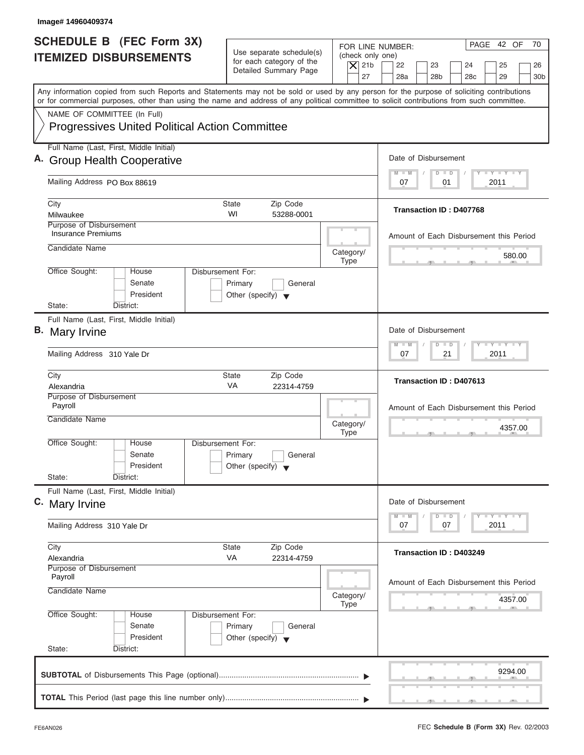| Image# 14960409374                                                                                                                                                                                                                                                                                                     |                                                                                                                               |                                                                                                                                          |
|------------------------------------------------------------------------------------------------------------------------------------------------------------------------------------------------------------------------------------------------------------------------------------------------------------------------|-------------------------------------------------------------------------------------------------------------------------------|------------------------------------------------------------------------------------------------------------------------------------------|
| SCHEDULE B (FEC Form 3X)<br><b>ITEMIZED DISBURSEMENTS</b>                                                                                                                                                                                                                                                              | Use separate schedule(s)<br>(check only one)<br>for each category of the<br>$\overline{X}$ 21b<br>Detailed Summary Page<br>27 | PAGE 42 OF<br>70<br>FOR LINE NUMBER:<br>22<br>23<br>24<br>25<br>26<br>28a<br>28 <sub>b</sub><br>28 <sub>c</sub><br>29<br>30 <sub>b</sub> |
| Any information copied from such Reports and Statements may not be sold or used by any person for the purpose of soliciting contributions<br>or for commercial purposes, other than using the name and address of any political committee to solicit contributions from such committee.<br>NAME OF COMMITTEE (In Full) |                                                                                                                               |                                                                                                                                          |
| <b>Progressives United Political Action Committee</b>                                                                                                                                                                                                                                                                  |                                                                                                                               |                                                                                                                                          |
| Full Name (Last, First, Middle Initial)<br>A. Group Health Cooperative                                                                                                                                                                                                                                                 |                                                                                                                               | Date of Disbursement                                                                                                                     |
| Mailing Address PO Box 88619                                                                                                                                                                                                                                                                                           |                                                                                                                               | $T - Y = T - Y = T - Y$<br>$M - M$<br>$D$ $D$<br>2011<br>07<br>01                                                                        |
| City<br>Milwaukee                                                                                                                                                                                                                                                                                                      | <b>State</b><br>Zip Code<br>WI<br>53288-0001                                                                                  | Transaction ID: D407768                                                                                                                  |
| Purpose of Disbursement<br>Insurance Premiums                                                                                                                                                                                                                                                                          |                                                                                                                               | Amount of Each Disbursement this Period                                                                                                  |
| Candidate Name                                                                                                                                                                                                                                                                                                         | Category/<br><b>Type</b>                                                                                                      | 580.00                                                                                                                                   |
| Office Sought:<br>House<br>Senate<br>President                                                                                                                                                                                                                                                                         | Disbursement For:<br>Primary<br>General<br>Other (specify) $\blacktriangledown$                                               |                                                                                                                                          |
| State:<br>District:                                                                                                                                                                                                                                                                                                    |                                                                                                                               |                                                                                                                                          |
| Full Name (Last, First, Middle Initial)<br><b>B.</b> Mary Irvine                                                                                                                                                                                                                                                       |                                                                                                                               | Date of Disbursement                                                                                                                     |
| Mailing Address 310 Yale Dr                                                                                                                                                                                                                                                                                            |                                                                                                                               | <b>LY LY LY</b><br>$M - M$<br>$\overline{D}$<br>$\Box$<br>2011<br>07<br>21                                                               |
| City<br>Alexandria                                                                                                                                                                                                                                                                                                     | <b>State</b><br>Zip Code<br>VA<br>22314-4759                                                                                  | Transaction ID: D407613                                                                                                                  |
| Purpose of Disbursement<br>Payroll                                                                                                                                                                                                                                                                                     |                                                                                                                               | Amount of Each Disbursement this Period                                                                                                  |
| Candidate Name                                                                                                                                                                                                                                                                                                         | Category/<br><b>Type</b>                                                                                                      | 4357.00<br>$-7$                                                                                                                          |
| Office Sought:<br>House<br>Senate<br>President                                                                                                                                                                                                                                                                         | Disbursement For:<br>Primary<br>General<br>Other (specify) $\blacktriangledown$                                               |                                                                                                                                          |
| State:<br>District:                                                                                                                                                                                                                                                                                                    |                                                                                                                               |                                                                                                                                          |
| Full Name (Last, First, Middle Initial)<br>C. Mary Irvine                                                                                                                                                                                                                                                              |                                                                                                                               | Date of Disbursement                                                                                                                     |
| Mailing Address 310 Yale Dr                                                                                                                                                                                                                                                                                            |                                                                                                                               | $T - Y = Y - T Y$<br>$M - M$<br>$\overline{D}$<br>$\Box$<br>2011<br>07<br>07                                                             |
| City<br>Alexandria                                                                                                                                                                                                                                                                                                     | Zip Code<br><b>State</b><br>VA<br>22314-4759                                                                                  | Transaction ID: D403249                                                                                                                  |
| Purpose of Disbursement<br>Payroll<br>Candidate Name                                                                                                                                                                                                                                                                   | Category/                                                                                                                     | Amount of Each Disbursement this Period<br>4357.00                                                                                       |
| Office Sought:<br>House<br>Senate<br>President<br>State:<br>District:                                                                                                                                                                                                                                                  | <b>Type</b><br>Disbursement For:<br>Primary<br>General<br>Other (specify) $\blacktriangledown$                                |                                                                                                                                          |
|                                                                                                                                                                                                                                                                                                                        |                                                                                                                               |                                                                                                                                          |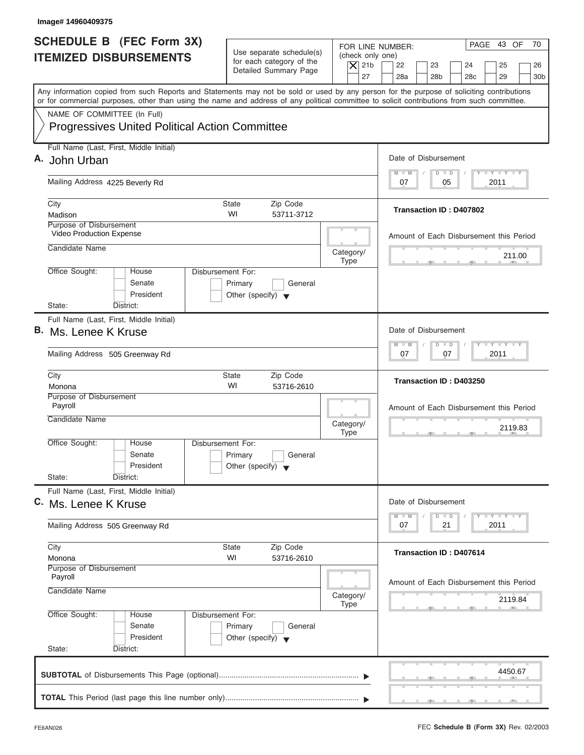| Image# 14960409375                                                                                                                                                                                                                                                                      |                                                                                 |                                                                  |                                                                                                                      |
|-----------------------------------------------------------------------------------------------------------------------------------------------------------------------------------------------------------------------------------------------------------------------------------------|---------------------------------------------------------------------------------|------------------------------------------------------------------|----------------------------------------------------------------------------------------------------------------------|
| <b>SCHEDULE B</b> (FEC Form 3X)<br><b>ITEMIZED DISBURSEMENTS</b>                                                                                                                                                                                                                        | Use separate schedule(s)<br>for each category of the<br>Detailed Summary Page   | FOR LINE NUMBER:<br>(check only one)<br>$\overline{X}$ 21b<br>27 | PAGE 43 OF<br>70<br>22<br>23<br>24<br>25<br>26<br>28a<br>28 <sub>b</sub><br>29<br>28 <sub>c</sub><br>30 <sub>b</sub> |
| Any information copied from such Reports and Statements may not be sold or used by any person for the purpose of soliciting contributions<br>or for commercial purposes, other than using the name and address of any political committee to solicit contributions from such committee. |                                                                                 |                                                                  |                                                                                                                      |
| NAME OF COMMITTEE (In Full)<br><b>Progressives United Political Action Committee</b>                                                                                                                                                                                                    |                                                                                 |                                                                  |                                                                                                                      |
| Full Name (Last, First, Middle Initial)<br>A. John Urban                                                                                                                                                                                                                                |                                                                                 |                                                                  | Date of Disbursement                                                                                                 |
| Mailing Address 4225 Beverly Rd                                                                                                                                                                                                                                                         |                                                                                 |                                                                  | $T - Y = T - Y = T - Y$<br>$D$ $D$<br>$M - M$<br>2011<br>07<br>05                                                    |
| City<br>Madison                                                                                                                                                                                                                                                                         | <b>State</b><br>Zip Code<br>WI<br>53711-3712                                    |                                                                  | Transaction ID: D407802                                                                                              |
| Purpose of Disbursement<br>Video Production Expense                                                                                                                                                                                                                                     |                                                                                 |                                                                  | Amount of Each Disbursement this Period                                                                              |
| Candidate Name                                                                                                                                                                                                                                                                          |                                                                                 | Category/<br><b>Type</b>                                         | 211.00                                                                                                               |
| Office Sought:<br>House<br>Senate<br>President<br>State:<br>District:                                                                                                                                                                                                                   | Disbursement For:<br>Primary<br>General<br>Other (specify) $\blacktriangledown$ |                                                                  |                                                                                                                      |
| Full Name (Last, First, Middle Initial)<br>B. Ms. Lenee K Kruse                                                                                                                                                                                                                         |                                                                                 |                                                                  | Date of Disbursement                                                                                                 |
| Mailing Address 505 Greenway Rd                                                                                                                                                                                                                                                         |                                                                                 |                                                                  | $-$ Y $-$ Y $-$ Y<br>$M - M$<br>$D$ $D$<br>2011<br>07<br>07                                                          |
| City<br>Monona                                                                                                                                                                                                                                                                          | Zip Code<br>State<br>WI<br>53716-2610                                           |                                                                  | Transaction ID: D403250                                                                                              |
| Purpose of Disbursement<br>Payroll<br>Candidate Name                                                                                                                                                                                                                                    |                                                                                 | Category/<br><b>Type</b>                                         | Amount of Each Disbursement this Period<br>2119.83<br>- 51                                                           |
| Office Sought:<br>House<br>Senate<br>President<br>State:<br>District:                                                                                                                                                                                                                   | Disbursement For:<br>Primary<br>General<br>Other (specify) $\blacktriangledown$ |                                                                  |                                                                                                                      |
| Full Name (Last, First, Middle Initial)<br>C. Ms. Lenee K Kruse                                                                                                                                                                                                                         |                                                                                 |                                                                  | Date of Disbursement                                                                                                 |
| Mailing Address 505 Greenway Rd                                                                                                                                                                                                                                                         |                                                                                 |                                                                  | $T - Y$ $T - Y$<br>$M - M$<br>D<br>$\Box$<br>2011<br>07<br>21                                                        |
| City<br>Monona                                                                                                                                                                                                                                                                          | Zip Code<br>State<br>WI<br>53716-2610                                           |                                                                  | <b>Transaction ID: D407614</b>                                                                                       |
| Purpose of Disbursement<br>Payroll<br>Candidate Name                                                                                                                                                                                                                                    |                                                                                 | Category/                                                        | Amount of Each Disbursement this Period<br>2119.84                                                                   |
| Office Sought:<br>House<br>Senate<br>President<br>State:<br>District:                                                                                                                                                                                                                   | Disbursement For:<br>Primary<br>General<br>Other (specify) $\blacktriangledown$ | Type                                                             |                                                                                                                      |
|                                                                                                                                                                                                                                                                                         |                                                                                 |                                                                  | 4450.67                                                                                                              |
|                                                                                                                                                                                                                                                                                         |                                                                                 |                                                                  |                                                                                                                      |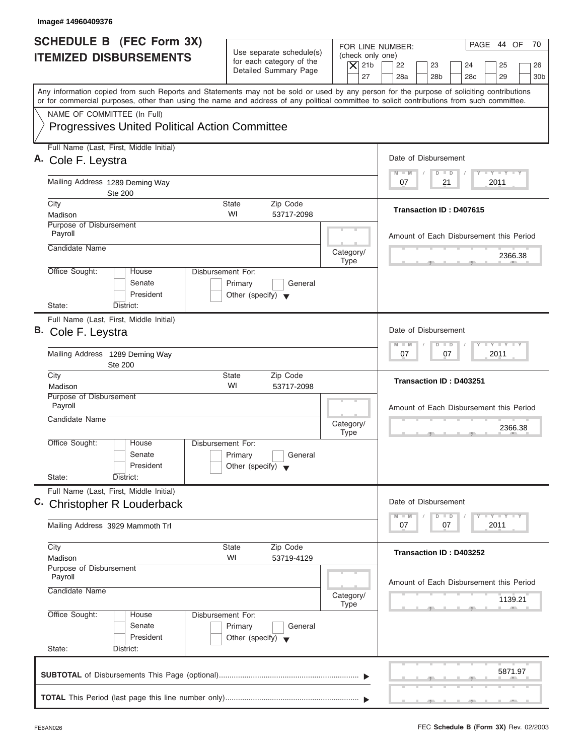| Image# 14960409376                                                                                                                                                                                                                                                                      |                                                                                                     |                                                                                                                                                                    |
|-----------------------------------------------------------------------------------------------------------------------------------------------------------------------------------------------------------------------------------------------------------------------------------------|-----------------------------------------------------------------------------------------------------|--------------------------------------------------------------------------------------------------------------------------------------------------------------------|
| <b>SCHEDULE B</b> (FEC Form 3X)<br><b>ITEMIZED DISBURSEMENTS</b>                                                                                                                                                                                                                        | Use separate schedule(s)<br>for each category of the<br>$\overline{X}$ 21b<br>Detailed Summary Page | PAGE 44 OF<br>70<br>FOR LINE NUMBER:<br>(check only one)<br>22<br>23<br>24<br>25<br>26<br>27<br>28a<br>28 <sub>b</sub><br>29<br>28 <sub>c</sub><br>30 <sub>b</sub> |
| Any information copied from such Reports and Statements may not be sold or used by any person for the purpose of soliciting contributions<br>or for commercial purposes, other than using the name and address of any political committee to solicit contributions from such committee. |                                                                                                     |                                                                                                                                                                    |
| NAME OF COMMITTEE (In Full)<br><b>Progressives United Political Action Committee</b>                                                                                                                                                                                                    |                                                                                                     |                                                                                                                                                                    |
| Full Name (Last, First, Middle Initial)<br>A. Cole F. Leystra                                                                                                                                                                                                                           |                                                                                                     | Date of Disbursement                                                                                                                                               |
| Mailing Address 1289 Deming Way<br><b>Ste 200</b>                                                                                                                                                                                                                                       |                                                                                                     | $T - Y = T - Y = T - Y$<br>$M - M$<br>$D$ $D$<br>2011<br>07<br>21                                                                                                  |
| City<br>Madison                                                                                                                                                                                                                                                                         | <b>State</b><br>Zip Code<br>WI<br>53717-2098                                                        | <b>Transaction ID: D407615</b>                                                                                                                                     |
| Purpose of Disbursement<br>Payroll                                                                                                                                                                                                                                                      |                                                                                                     | Amount of Each Disbursement this Period                                                                                                                            |
| Candidate Name                                                                                                                                                                                                                                                                          | Category/<br><b>Type</b>                                                                            | 2366.38                                                                                                                                                            |
| Office Sought:<br>House<br>Senate<br>President<br>State:<br>District:                                                                                                                                                                                                                   | Disbursement For:<br>Primary<br>General<br>Other (specify) $\blacktriangledown$                     |                                                                                                                                                                    |
| Full Name (Last, First, Middle Initial)<br>B. Cole F. Leystra                                                                                                                                                                                                                           |                                                                                                     | Date of Disbursement                                                                                                                                               |
| Mailing Address 1289 Deming Way<br><b>Ste 200</b>                                                                                                                                                                                                                                       |                                                                                                     | $-$ Y $-$ Y $-$ Y<br>$M - M$<br>$\Box$<br>$\overline{D}$<br>2011<br>07<br>07                                                                                       |
| City<br>Madison                                                                                                                                                                                                                                                                         | <b>State</b><br>Zip Code<br>WI<br>53717-2098                                                        | Transaction ID: D403251                                                                                                                                            |
| Purpose of Disbursement<br>Payroll<br>Candidate Name                                                                                                                                                                                                                                    | Category/<br><b>Type</b>                                                                            | Amount of Each Disbursement this Period<br>2366.38<br>$-7$                                                                                                         |
| Office Sought:<br>House<br>Senate<br>President<br>State:<br>District:                                                                                                                                                                                                                   | Disbursement For:<br>Primary<br>General<br>Other (specify) $\blacktriangledown$                     |                                                                                                                                                                    |
| Full Name (Last, First, Middle Initial)<br>C. Christopher R Louderback                                                                                                                                                                                                                  |                                                                                                     | Date of Disbursement                                                                                                                                               |
| Mailing Address 3929 Mammoth Trl                                                                                                                                                                                                                                                        |                                                                                                     | $T - Y = Y - T Y$<br>$M - M$<br>$\overline{D}$<br>$\Box$<br>2011<br>07<br>07                                                                                       |
| City<br>Madison                                                                                                                                                                                                                                                                         | Zip Code<br>State<br>WI<br>53719-4129                                                               | Transaction ID: D403252                                                                                                                                            |
| Purpose of Disbursement<br>Payroll<br>Candidate Name                                                                                                                                                                                                                                    | Category/<br>Type                                                                                   | Amount of Each Disbursement this Period<br>1139.21                                                                                                                 |
| Office Sought:<br>House<br>Senate<br>President<br>State:<br>District:                                                                                                                                                                                                                   | Disbursement For:<br>Primary<br>General<br>Other (specify) $\blacktriangledown$                     |                                                                                                                                                                    |
|                                                                                                                                                                                                                                                                                         |                                                                                                     | 5871.97                                                                                                                                                            |
|                                                                                                                                                                                                                                                                                         |                                                                                                     |                                                                                                                                                                    |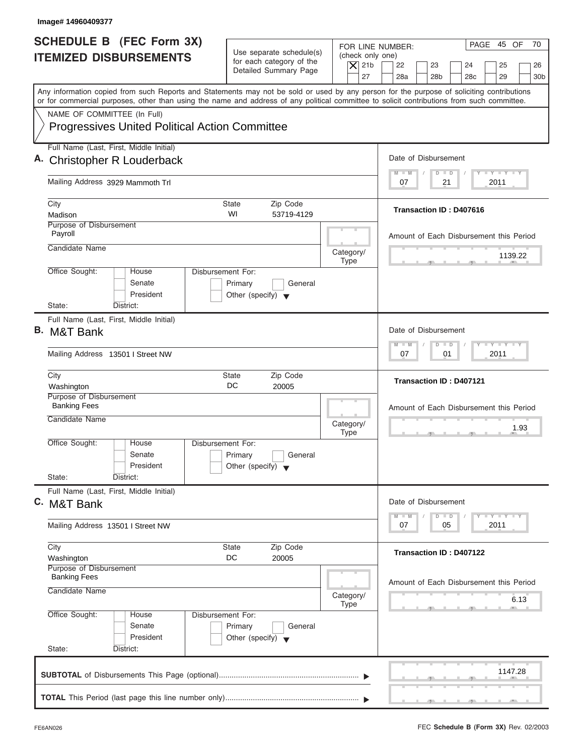| Image# 14960409377                                            |                                                            |                                                                                                                                                                                                                                                                                         |
|---------------------------------------------------------------|------------------------------------------------------------|-----------------------------------------------------------------------------------------------------------------------------------------------------------------------------------------------------------------------------------------------------------------------------------------|
| SCHEDULE B (FEC Form 3X)                                      | Use separate schedule(s)                                   | PAGE 45 OF<br>70<br>FOR LINE NUMBER:                                                                                                                                                                                                                                                    |
| <b>ITEMIZED DISBURSEMENTS</b>                                 | for each category of the<br>Detailed Summary Page          | (check only one)<br>$\overline{X}$ 21b<br>22<br>23<br>24<br>25<br>26<br>27<br>28a<br>28 <sub>b</sub><br>28 <sub>c</sub><br>29<br>30 <sub>b</sub>                                                                                                                                        |
|                                                               |                                                            | Any information copied from such Reports and Statements may not be sold or used by any person for the purpose of soliciting contributions<br>or for commercial purposes, other than using the name and address of any political committee to solicit contributions from such committee. |
| NAME OF COMMITTEE (In Full)                                   |                                                            |                                                                                                                                                                                                                                                                                         |
| <b>Progressives United Political Action Committee</b>         |                                                            |                                                                                                                                                                                                                                                                                         |
| Full Name (Last, First, Middle Initial)                       |                                                            |                                                                                                                                                                                                                                                                                         |
| A. Christopher R Louderback                                   |                                                            | Date of Disbursement                                                                                                                                                                                                                                                                    |
| Mailing Address 3929 Mammoth Trl                              |                                                            | $T - Y = T - Y = T - Y$<br>$M - M$<br>$D$ $D$<br>2011<br>07<br>21                                                                                                                                                                                                                       |
| City                                                          | <b>State</b><br>Zip Code                                   |                                                                                                                                                                                                                                                                                         |
| Madison                                                       | WI<br>53719-4129                                           | Transaction ID: D407616                                                                                                                                                                                                                                                                 |
| <b>Purpose of Disbursement</b><br>Payroll                     |                                                            | Amount of Each Disbursement this Period                                                                                                                                                                                                                                                 |
| Candidate Name                                                | Category/                                                  | 1139.22                                                                                                                                                                                                                                                                                 |
| Office Sought:<br>House                                       | <b>Type</b><br>Disbursement For:                           |                                                                                                                                                                                                                                                                                         |
| Senate<br>President                                           | Primary<br>General<br>Other (specify) $\blacktriangledown$ |                                                                                                                                                                                                                                                                                         |
| State:<br>District:                                           |                                                            |                                                                                                                                                                                                                                                                                         |
| Full Name (Last, First, Middle Initial)<br><b>B.</b> M&T Bank |                                                            | Date of Disbursement                                                                                                                                                                                                                                                                    |
| Mailing Address 13501 I Street NW                             |                                                            | $-1 - Y - 1 - Y - 1 - Y$<br>$M - M$<br>$\Box$<br>$\Box$<br>2011<br>07<br>01                                                                                                                                                                                                             |
| City                                                          | Zip Code<br><b>State</b>                                   | <b>Transaction ID: D407121</b>                                                                                                                                                                                                                                                          |
| Washington<br>Purpose of Disbursement                         | DC<br>20005                                                |                                                                                                                                                                                                                                                                                         |
| <b>Banking Fees</b>                                           |                                                            | Amount of Each Disbursement this Period                                                                                                                                                                                                                                                 |
| Candidate Name                                                | Category/<br><b>Type</b>                                   | 1.93<br>$\overline{2}$                                                                                                                                                                                                                                                                  |
| Office Sought:<br>House                                       | Disbursement For:                                          |                                                                                                                                                                                                                                                                                         |
| Senate                                                        | Primary<br>General                                         |                                                                                                                                                                                                                                                                                         |
| President<br>State:<br>District:                              | Other (specify) $\blacktriangledown$                       |                                                                                                                                                                                                                                                                                         |
| Full Name (Last, First, Middle Initial)                       |                                                            |                                                                                                                                                                                                                                                                                         |
| C. M&T Bank                                                   |                                                            | Date of Disbursement<br><b>LY LY LY</b><br>$M - M$<br>$\overline{D}$<br>$\Box$                                                                                                                                                                                                          |
| Mailing Address 13501 I Street NW                             |                                                            | 2011<br>07<br>05                                                                                                                                                                                                                                                                        |
| City<br>Washington                                            | Zip Code<br><b>State</b><br>DC<br>20005                    | Transaction ID: D407122                                                                                                                                                                                                                                                                 |
| Purpose of Disbursement                                       |                                                            |                                                                                                                                                                                                                                                                                         |
| <b>Banking Fees</b><br>Candidate Name                         | Category/                                                  | Amount of Each Disbursement this Period                                                                                                                                                                                                                                                 |
|                                                               | <b>Type</b>                                                | 6.13                                                                                                                                                                                                                                                                                    |
| Office Sought:<br>House<br>Senate                             | Disbursement For:<br>Primary<br>General                    |                                                                                                                                                                                                                                                                                         |
| President                                                     | Other (specify) $\blacktriangledown$                       |                                                                                                                                                                                                                                                                                         |
| State:<br>District:                                           |                                                            |                                                                                                                                                                                                                                                                                         |
|                                                               |                                                            | 1147.28                                                                                                                                                                                                                                                                                 |
|                                                               |                                                            |                                                                                                                                                                                                                                                                                         |
|                                                               |                                                            |                                                                                                                                                                                                                                                                                         |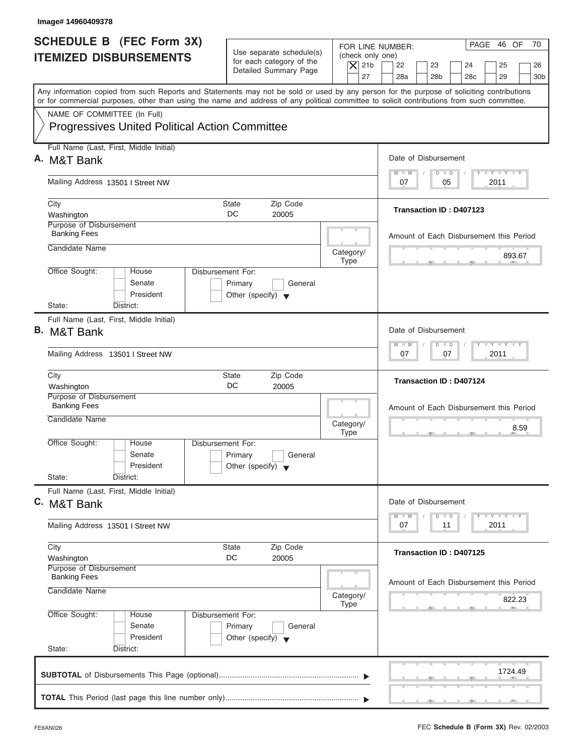| Image# 14960409378                                                                                                                                                                                                                                                                      |                                                                               |                                                                  |                                                                                                                      |
|-----------------------------------------------------------------------------------------------------------------------------------------------------------------------------------------------------------------------------------------------------------------------------------------|-------------------------------------------------------------------------------|------------------------------------------------------------------|----------------------------------------------------------------------------------------------------------------------|
| <b>SCHEDULE B</b> (FEC Form 3X)<br><b>ITEMIZED DISBURSEMENTS</b>                                                                                                                                                                                                                        | Use separate schedule(s)<br>for each category of the<br>Detailed Summary Page | FOR LINE NUMBER:<br>(check only one)<br>$\overline{X}$ 21b<br>27 | PAGE 46 OF<br>70<br>22<br>23<br>24<br>25<br>26<br>28a<br>28 <sub>b</sub><br>29<br>28 <sub>c</sub><br>30 <sub>b</sub> |
| Any information copied from such Reports and Statements may not be sold or used by any person for the purpose of soliciting contributions<br>or for commercial purposes, other than using the name and address of any political committee to solicit contributions from such committee. |                                                                               |                                                                  |                                                                                                                      |
| NAME OF COMMITTEE (In Full)<br><b>Progressives United Political Action Committee</b>                                                                                                                                                                                                    |                                                                               |                                                                  |                                                                                                                      |
| Full Name (Last, First, Middle Initial)<br>A. M&T Bank                                                                                                                                                                                                                                  |                                                                               |                                                                  | Date of Disbursement                                                                                                 |
| Mailing Address 13501 I Street NW                                                                                                                                                                                                                                                       |                                                                               |                                                                  | $T - Y = T - Y = T - Y$<br>$D$ $D$<br>$M - M$<br>2011<br>07<br>05                                                    |
| City                                                                                                                                                                                                                                                                                    | Zip Code<br>State                                                             |                                                                  | Transaction ID: D407123                                                                                              |
| Washington                                                                                                                                                                                                                                                                              | DC<br>20005                                                                   |                                                                  |                                                                                                                      |
| Purpose of Disbursement<br><b>Banking Fees</b>                                                                                                                                                                                                                                          |                                                                               |                                                                  | Amount of Each Disbursement this Period                                                                              |
| Candidate Name                                                                                                                                                                                                                                                                          |                                                                               | Category/<br><b>Type</b>                                         | 893.67                                                                                                               |
| Office Sought:<br>Disbursement For:<br>House<br>Senate<br>President<br>State:<br>District:                                                                                                                                                                                              | Primary<br>General<br>Other (specify) $\blacktriangledown$                    |                                                                  |                                                                                                                      |
| Full Name (Last, First, Middle Initial)                                                                                                                                                                                                                                                 |                                                                               |                                                                  |                                                                                                                      |
| <b>B.</b> M&T Bank                                                                                                                                                                                                                                                                      |                                                                               |                                                                  | Date of Disbursement                                                                                                 |
| Mailing Address 13501 I Street NW                                                                                                                                                                                                                                                       |                                                                               |                                                                  | <b>LEYTEY LEY</b><br>$M - M$<br>$D$ $D$<br>2011<br>07<br>07                                                          |
| City<br>Washington                                                                                                                                                                                                                                                                      | Zip Code<br>State<br>DC<br>20005                                              |                                                                  | <b>Transaction ID: D407124</b>                                                                                       |
| Purpose of Disbursement<br><b>Banking Fees</b>                                                                                                                                                                                                                                          |                                                                               |                                                                  | Amount of Each Disbursement this Period                                                                              |
| Candidate Name                                                                                                                                                                                                                                                                          |                                                                               | Category/<br><b>Type</b>                                         | 8.59<br>$-7$                                                                                                         |
| Office Sought:<br>House<br>Disbursement For:<br>Senate<br>President<br>State:<br>District:                                                                                                                                                                                              | Primary<br>General<br>Other (specify) $\blacktriangledown$                    |                                                                  |                                                                                                                      |
| Full Name (Last, First, Middle Initial)                                                                                                                                                                                                                                                 |                                                                               |                                                                  |                                                                                                                      |
| C. M&T Bank                                                                                                                                                                                                                                                                             |                                                                               |                                                                  | Date of Disbursement<br>$T - Y$ $T - Y$<br>$M - M$<br>$\overline{\mathsf{D}}$<br>$\Box$                              |
| Mailing Address 13501   Street NW                                                                                                                                                                                                                                                       |                                                                               |                                                                  | 2011<br>07<br>11                                                                                                     |
| City<br>Washington                                                                                                                                                                                                                                                                      | Zip Code<br>State<br>DC<br>20005                                              |                                                                  | <b>Transaction ID: D407125</b>                                                                                       |
| Purpose of Disbursement<br><b>Banking Fees</b>                                                                                                                                                                                                                                          |                                                                               |                                                                  |                                                                                                                      |
| Candidate Name                                                                                                                                                                                                                                                                          |                                                                               | Category/                                                        | Amount of Each Disbursement this Period<br>822.23                                                                    |
| Office Sought:<br>Disbursement For:<br>House<br>Senate<br>President                                                                                                                                                                                                                     | Primary<br>General<br>Other (specify) $\blacktriangledown$                    | Type                                                             |                                                                                                                      |
| State:<br>District:                                                                                                                                                                                                                                                                     |                                                                               |                                                                  |                                                                                                                      |
|                                                                                                                                                                                                                                                                                         |                                                                               |                                                                  | 1724.49                                                                                                              |
|                                                                                                                                                                                                                                                                                         |                                                                               |                                                                  |                                                                                                                      |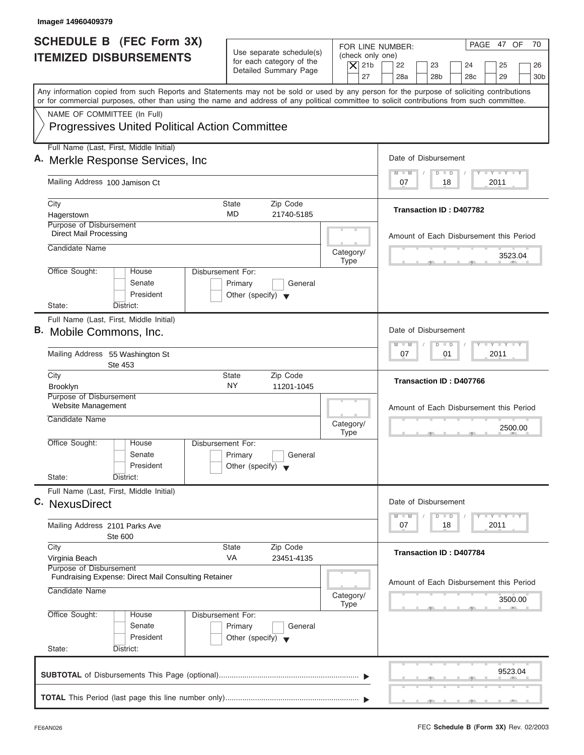| Image# 14960409379                                                                                                                                                                                                                                                                      |                                                                                                                               |                                                                                                                                          |
|-----------------------------------------------------------------------------------------------------------------------------------------------------------------------------------------------------------------------------------------------------------------------------------------|-------------------------------------------------------------------------------------------------------------------------------|------------------------------------------------------------------------------------------------------------------------------------------|
| <b>SCHEDULE B</b> (FEC Form 3X)<br><b>ITEMIZED DISBURSEMENTS</b>                                                                                                                                                                                                                        | Use separate schedule(s)<br>(check only one)<br>for each category of the<br>$\overline{X}$ 21b<br>Detailed Summary Page<br>27 | PAGE 47 OF<br>70<br>FOR LINE NUMBER:<br>22<br>23<br>24<br>25<br>26<br>28a<br>28 <sub>b</sub><br>29<br>28 <sub>c</sub><br>30 <sub>b</sub> |
| Any information copied from such Reports and Statements may not be sold or used by any person for the purpose of soliciting contributions<br>or for commercial purposes, other than using the name and address of any political committee to solicit contributions from such committee. |                                                                                                                               |                                                                                                                                          |
| NAME OF COMMITTEE (In Full)<br><b>Progressives United Political Action Committee</b>                                                                                                                                                                                                    |                                                                                                                               |                                                                                                                                          |
| Full Name (Last, First, Middle Initial)<br>A. Merkle Response Services, Inc.                                                                                                                                                                                                            |                                                                                                                               | Date of Disbursement                                                                                                                     |
| Mailing Address 100 Jamison Ct                                                                                                                                                                                                                                                          |                                                                                                                               | $T - Y = T - Y = T - Y$<br>$M - M$<br>$D$ $D$<br>2011<br>07<br>18                                                                        |
| City<br>Hagerstown                                                                                                                                                                                                                                                                      | Zip Code<br>State<br>MD<br>21740-5185                                                                                         | Transaction ID: D407782                                                                                                                  |
| Purpose of Disbursement<br><b>Direct Mail Processing</b>                                                                                                                                                                                                                                |                                                                                                                               | Amount of Each Disbursement this Period                                                                                                  |
| Candidate Name                                                                                                                                                                                                                                                                          | Category/<br><b>Type</b>                                                                                                      | 3523.04                                                                                                                                  |
| Office Sought:<br>House<br>Senate<br>President<br>State:<br>District:                                                                                                                                                                                                                   | <b>Disbursement For:</b><br>Primary<br>General<br>Other (specify) $\blacktriangledown$                                        |                                                                                                                                          |
| Full Name (Last, First, Middle Initial)<br>B. Mobile Commons, Inc.                                                                                                                                                                                                                      |                                                                                                                               | Date of Disbursement<br>$-$ Y $-$ Y $-$ Y<br>M<br>$-W$<br>$\overline{D}$<br>$\Box$                                                       |
| Mailing Address 55 Washington St<br>Ste 453                                                                                                                                                                                                                                             |                                                                                                                               | 2011<br>07<br>01                                                                                                                         |
| City<br><b>Brooklyn</b>                                                                                                                                                                                                                                                                 | Zip Code<br><b>State</b><br>NY<br>11201-1045                                                                                  | Transaction ID: D407766                                                                                                                  |
| Purpose of Disbursement<br>Website Management<br>Candidate Name                                                                                                                                                                                                                         | Category/<br><b>Type</b>                                                                                                      | Amount of Each Disbursement this Period<br>2500.00<br>- 51                                                                               |
| Office Sought:<br>House<br>Senate<br>President<br>State:<br>District:                                                                                                                                                                                                                   | Disbursement For:<br>Primary<br>General<br>Other (specify) $\blacktriangledown$                                               |                                                                                                                                          |
| Full Name (Last, First, Middle Initial)<br>C. NexusDirect                                                                                                                                                                                                                               |                                                                                                                               | Date of Disbursement                                                                                                                     |
| Mailing Address 2101 Parks Ave<br>Ste 600                                                                                                                                                                                                                                               |                                                                                                                               | $T - Y - T - Y - T - Y$<br>$M - M$<br>$\Box$<br>D<br>2011<br>07<br>18                                                                    |
| City<br>Virginia Beach                                                                                                                                                                                                                                                                  | Zip Code<br><b>State</b><br>VA<br>23451-4135                                                                                  | <b>Transaction ID: D407784</b>                                                                                                           |
| Purpose of Disbursement<br>Fundraising Expense: Direct Mail Consulting Retainer<br>Candidate Name                                                                                                                                                                                       | Category/<br>Type                                                                                                             | Amount of Each Disbursement this Period<br>3500.00                                                                                       |
| Office Sought:<br>House<br>Senate<br>President<br>State:<br>District:                                                                                                                                                                                                                   | Disbursement For:<br>Primary<br>General<br>Other (specify) $\blacktriangledown$                                               |                                                                                                                                          |
|                                                                                                                                                                                                                                                                                         |                                                                                                                               | 9523.04                                                                                                                                  |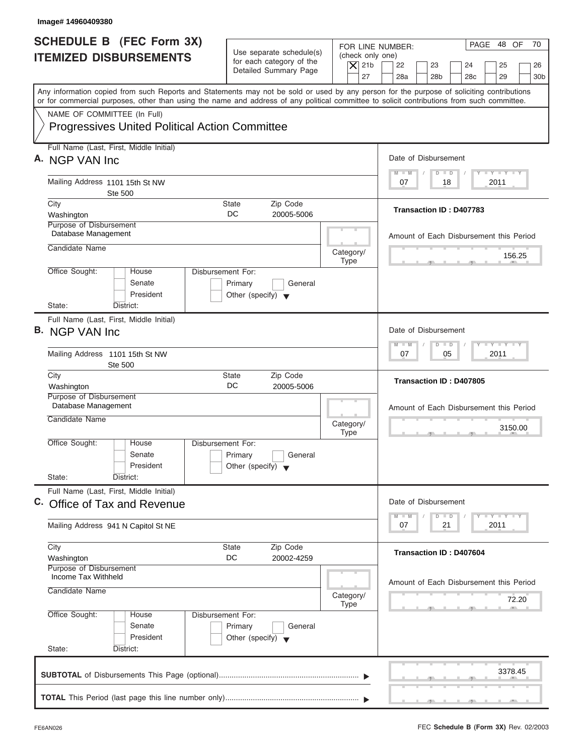| Image# 14960409380                                                                                                                                                                                                                                                                      |                                                                                                                               |                                                                                                                                          |
|-----------------------------------------------------------------------------------------------------------------------------------------------------------------------------------------------------------------------------------------------------------------------------------------|-------------------------------------------------------------------------------------------------------------------------------|------------------------------------------------------------------------------------------------------------------------------------------|
| <b>SCHEDULE B</b> (FEC Form 3X)<br><b>ITEMIZED DISBURSEMENTS</b>                                                                                                                                                                                                                        | Use separate schedule(s)<br>(check only one)<br>for each category of the<br>$ \mathsf{X} $ 21b<br>Detailed Summary Page<br>27 | PAGE 48 OF<br>70<br>FOR LINE NUMBER:<br>22<br>23<br>24<br>25<br>26<br>28a<br>28 <sub>b</sub><br>28 <sub>c</sub><br>29<br>30 <sub>b</sub> |
| Any information copied from such Reports and Statements may not be sold or used by any person for the purpose of soliciting contributions<br>or for commercial purposes, other than using the name and address of any political committee to solicit contributions from such committee. |                                                                                                                               |                                                                                                                                          |
| NAME OF COMMITTEE (In Full)<br><b>Progressives United Political Action Committee</b>                                                                                                                                                                                                    |                                                                                                                               |                                                                                                                                          |
| Full Name (Last, First, Middle Initial)<br>A. NGP VAN Inc.                                                                                                                                                                                                                              |                                                                                                                               | Date of Disbursement                                                                                                                     |
| Mailing Address 1101 15th St NW<br>Ste 500                                                                                                                                                                                                                                              |                                                                                                                               | $T - Y = T - Y = T - Y$<br>$M - M$<br>$D$ $D$<br>2011<br>07<br>18                                                                        |
| City<br>Washington                                                                                                                                                                                                                                                                      | <b>State</b><br>Zip Code<br>DC.<br>20005-5006                                                                                 | Transaction ID: D407783                                                                                                                  |
| Purpose of Disbursement<br>Database Management                                                                                                                                                                                                                                          |                                                                                                                               | Amount of Each Disbursement this Period                                                                                                  |
| Candidate Name                                                                                                                                                                                                                                                                          | Category/<br><b>Type</b>                                                                                                      | 156.25                                                                                                                                   |
| Office Sought:<br>House<br>Senate<br>President                                                                                                                                                                                                                                          | Disbursement For:<br>Primary<br>General<br>Other (specify) $\blacktriangledown$                                               |                                                                                                                                          |
| State:<br>District:<br>Full Name (Last, First, Middle Initial)                                                                                                                                                                                                                          |                                                                                                                               |                                                                                                                                          |
| B. NGP VAN Inc.                                                                                                                                                                                                                                                                         |                                                                                                                               | Date of Disbursement                                                                                                                     |
| Mailing Address 1101 15th St NW<br><b>Ste 500</b>                                                                                                                                                                                                                                       |                                                                                                                               | $-1 - Y - 1 - Y - 1 - Y$<br>$M - M$<br>$D$ $D$<br>05<br>2011<br>07                                                                       |
| City<br>Washington                                                                                                                                                                                                                                                                      | Zip Code<br><b>State</b><br>DC<br>20005-5006                                                                                  | Transaction ID: D407805                                                                                                                  |
| Purpose of Disbursement<br>Database Management                                                                                                                                                                                                                                          |                                                                                                                               |                                                                                                                                          |
| Candidate Name                                                                                                                                                                                                                                                                          | Category/<br><b>Type</b>                                                                                                      | Amount of Each Disbursement this Period<br>3150.00<br>$-7$                                                                               |
| Office Sought:<br>House<br>Senate<br>President                                                                                                                                                                                                                                          | Disbursement For:<br>Primary<br>General<br>Other (specify) $\blacktriangledown$                                               |                                                                                                                                          |
| State:<br>District:<br>Full Name (Last, First, Middle Initial)                                                                                                                                                                                                                          |                                                                                                                               |                                                                                                                                          |
| C. Office of Tax and Revenue                                                                                                                                                                                                                                                            |                                                                                                                               | Date of Disbursement                                                                                                                     |
| Mailing Address 941 N Capitol St NE                                                                                                                                                                                                                                                     |                                                                                                                               | $T - Y$ $T - Y$<br>$M - M$<br>D<br>$\Box$<br>2011<br>07<br>21                                                                            |
| City<br>Washington<br>Purpose of Disbursement                                                                                                                                                                                                                                           | Zip Code<br><b>State</b><br>DC<br>20002-4259                                                                                  | <b>Transaction ID: D407604</b>                                                                                                           |
| Income Tax Withheld<br>Candidate Name                                                                                                                                                                                                                                                   | Category/<br><b>Type</b>                                                                                                      | Amount of Each Disbursement this Period<br>72.20                                                                                         |
| Office Sought:<br>House<br>Senate<br>President<br>State:<br>District:                                                                                                                                                                                                                   | Disbursement For:<br>Primary<br>General<br>Other (specify) $\blacktriangledown$                                               |                                                                                                                                          |
|                                                                                                                                                                                                                                                                                         |                                                                                                                               | 3378.45                                                                                                                                  |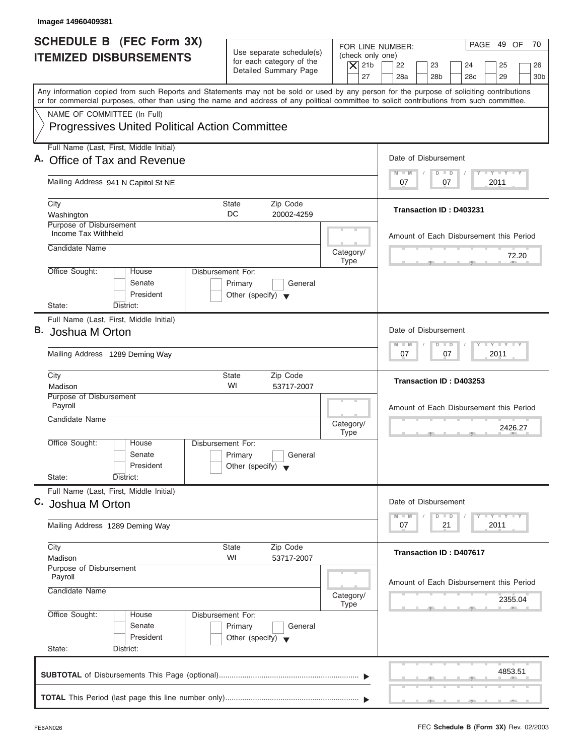| Image# 14960409381                                                                                                                                                                                                                                                                      |                                                                                                |                                                                                                                                                                                          |
|-----------------------------------------------------------------------------------------------------------------------------------------------------------------------------------------------------------------------------------------------------------------------------------------|------------------------------------------------------------------------------------------------|------------------------------------------------------------------------------------------------------------------------------------------------------------------------------------------|
| <b>SCHEDULE B</b> (FEC Form 3X)<br><b>ITEMIZED DISBURSEMENTS</b>                                                                                                                                                                                                                        | Use separate schedule(s)<br>for each category of the<br>Detailed Summary Page                  | PAGE 49 OF<br>70<br>FOR LINE NUMBER:<br>(check only one)<br>$\overline{X}$ 21b<br>22<br>23<br>24<br>25<br>26<br>27<br>28a<br>28 <sub>b</sub><br>29<br>30 <sub>b</sub><br>28 <sub>c</sub> |
| Any information copied from such Reports and Statements may not be sold or used by any person for the purpose of soliciting contributions<br>or for commercial purposes, other than using the name and address of any political committee to solicit contributions from such committee. |                                                                                                |                                                                                                                                                                                          |
| NAME OF COMMITTEE (In Full)<br><b>Progressives United Political Action Committee</b>                                                                                                                                                                                                    |                                                                                                |                                                                                                                                                                                          |
| Full Name (Last, First, Middle Initial)<br>A. Office of Tax and Revenue                                                                                                                                                                                                                 |                                                                                                | Date of Disbursement                                                                                                                                                                     |
| Mailing Address 941 N Capitol St NE                                                                                                                                                                                                                                                     |                                                                                                | $T - Y = T - Y = T - Y$<br>$D$ $D$<br>$M - M$<br>2011<br>07<br>07                                                                                                                        |
| City<br>Washington                                                                                                                                                                                                                                                                      | State<br>Zip Code<br>DC<br>20002-4259                                                          | Transaction ID: D403231                                                                                                                                                                  |
| Purpose of Disbursement<br>Income Tax Withheld<br>Candidate Name                                                                                                                                                                                                                        | Category/                                                                                      | Amount of Each Disbursement this Period<br>72.20                                                                                                                                         |
| Office Sought:<br>House<br>Senate<br>President<br>State:<br>District:                                                                                                                                                                                                                   | <b>Type</b><br>Disbursement For:<br>Primary<br>General<br>Other (specify) $\blacktriangledown$ |                                                                                                                                                                                          |
| Full Name (Last, First, Middle Initial)<br>В.<br>Joshua M Orton                                                                                                                                                                                                                         |                                                                                                | Date of Disbursement<br>$-$ Y $-$ Y $-$ Y<br>$M - M$<br>$D$ $D$                                                                                                                          |
| Mailing Address 1289 Deming Way<br>City                                                                                                                                                                                                                                                 | <b>State</b><br>Zip Code                                                                       | 2011<br>07<br>07                                                                                                                                                                         |
| Madison<br>Purpose of Disbursement                                                                                                                                                                                                                                                      | WI<br>53717-2007                                                                               | Transaction ID: D403253                                                                                                                                                                  |
| Payroll<br>Candidate Name                                                                                                                                                                                                                                                               | Category/<br><b>Type</b>                                                                       | Amount of Each Disbursement this Period<br>2426.27                                                                                                                                       |
| Office Sought:<br>House<br>Senate<br>President<br>State:<br>District:                                                                                                                                                                                                                   | Disbursement For:<br>Primary<br>General<br>Other (specify) $\blacktriangledown$                |                                                                                                                                                                                          |
| Full Name (Last, First, Middle Initial)<br>C. Joshua M Orton                                                                                                                                                                                                                            |                                                                                                | Date of Disbursement<br>$T - Y$ $T - Y$<br>$M - M$<br>D<br>$\Box$                                                                                                                        |
| Mailing Address 1289 Deming Way                                                                                                                                                                                                                                                         |                                                                                                | 2011<br>07<br>21                                                                                                                                                                         |
| City<br>Madison                                                                                                                                                                                                                                                                         | Zip Code<br>State<br>WI<br>53717-2007                                                          | Transaction ID: D407617                                                                                                                                                                  |
| Purpose of Disbursement<br>Payroll<br>Candidate Name                                                                                                                                                                                                                                    | Category/                                                                                      | Amount of Each Disbursement this Period<br>2355.04                                                                                                                                       |
| Office Sought:<br>House<br>Senate<br>President<br>State:<br>District:                                                                                                                                                                                                                   | Type<br>Disbursement For:<br>Primary<br>General<br>Other (specify) $\blacktriangledown$        |                                                                                                                                                                                          |
|                                                                                                                                                                                                                                                                                         |                                                                                                | 4853.51                                                                                                                                                                                  |
|                                                                                                                                                                                                                                                                                         |                                                                                                |                                                                                                                                                                                          |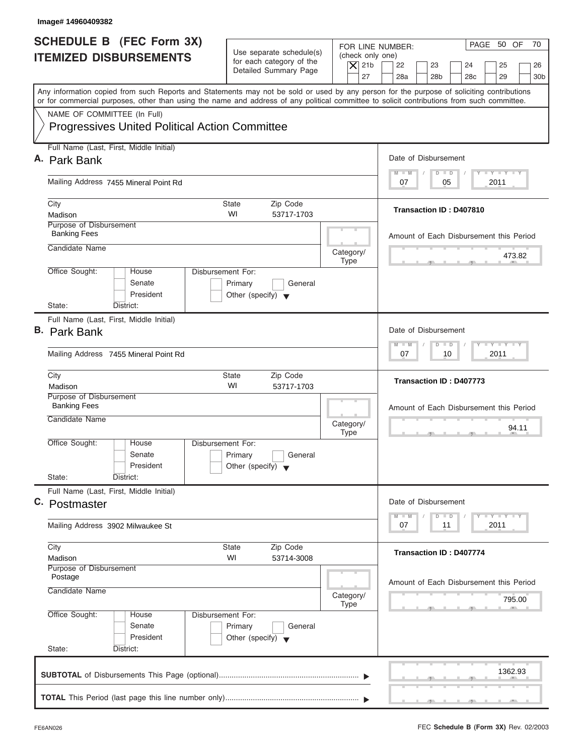| Image# 14960409382                                                                                                                                                                                                                                                                      |                                                                                         |                                                                                                                                                                                          |
|-----------------------------------------------------------------------------------------------------------------------------------------------------------------------------------------------------------------------------------------------------------------------------------------|-----------------------------------------------------------------------------------------|------------------------------------------------------------------------------------------------------------------------------------------------------------------------------------------|
| <b>SCHEDULE B</b> (FEC Form 3X)<br><b>ITEMIZED DISBURSEMENTS</b>                                                                                                                                                                                                                        | Use separate schedule(s)<br>for each category of the<br>Detailed Summary Page           | PAGE 50 OF<br>70<br>FOR LINE NUMBER:<br>(check only one)<br>$\overline{X}$ 21b<br>22<br>23<br>24<br>25<br>26<br>27<br>28a<br>28 <sub>b</sub><br>29<br>28 <sub>c</sub><br>30 <sub>b</sub> |
| Any information copied from such Reports and Statements may not be sold or used by any person for the purpose of soliciting contributions<br>or for commercial purposes, other than using the name and address of any political committee to solicit contributions from such committee. |                                                                                         |                                                                                                                                                                                          |
| NAME OF COMMITTEE (In Full)<br><b>Progressives United Political Action Committee</b>                                                                                                                                                                                                    |                                                                                         |                                                                                                                                                                                          |
| Full Name (Last, First, Middle Initial)                                                                                                                                                                                                                                                 |                                                                                         | Date of Disbursement                                                                                                                                                                     |
| A. Park Bank                                                                                                                                                                                                                                                                            |                                                                                         | $T - Y = T - Y = T - Y$<br>$D$ $D$<br>$M - M$                                                                                                                                            |
| Mailing Address 7455 Mineral Point Rd                                                                                                                                                                                                                                                   |                                                                                         | 2011<br>07<br>05                                                                                                                                                                         |
| City<br>Madison                                                                                                                                                                                                                                                                         | State<br>Zip Code<br>WI<br>53717-1703                                                   | Transaction ID: D407810                                                                                                                                                                  |
| Purpose of Disbursement<br><b>Banking Fees</b>                                                                                                                                                                                                                                          |                                                                                         | Amount of Each Disbursement this Period                                                                                                                                                  |
| Candidate Name                                                                                                                                                                                                                                                                          | Category/<br><b>Type</b>                                                                | 473.82                                                                                                                                                                                   |
| Office Sought:<br>House<br>Senate<br>President<br>State:<br>District:                                                                                                                                                                                                                   | Disbursement For:<br>Primary<br>General<br>Other (specify) $\blacktriangledown$         |                                                                                                                                                                                          |
| Full Name (Last, First, Middle Initial)                                                                                                                                                                                                                                                 |                                                                                         |                                                                                                                                                                                          |
| <b>B.</b> Park Bank                                                                                                                                                                                                                                                                     |                                                                                         | Date of Disbursement                                                                                                                                                                     |
| Mailing Address 7455 Mineral Point Rd                                                                                                                                                                                                                                                   |                                                                                         | <b>LEYTEY LEY</b><br>$M - M$<br>$D$ $D$<br>2011<br>07<br>10                                                                                                                              |
| City<br>Madison                                                                                                                                                                                                                                                                         | State<br>Zip Code<br>WI<br>53717-1703                                                   | Transaction ID: D407773                                                                                                                                                                  |
| Purpose of Disbursement<br><b>Banking Fees</b>                                                                                                                                                                                                                                          |                                                                                         | Amount of Each Disbursement this Period                                                                                                                                                  |
| Candidate Name                                                                                                                                                                                                                                                                          | Category/<br><b>Type</b>                                                                | 94.11                                                                                                                                                                                    |
| Office Sought:<br>House<br>Senate<br>President<br>State:                                                                                                                                                                                                                                | Disbursement For:<br>Primary<br>General<br>Other (specify) $\blacktriangledown$         |                                                                                                                                                                                          |
| District:<br>Full Name (Last, First, Middle Initial)                                                                                                                                                                                                                                    |                                                                                         |                                                                                                                                                                                          |
| C. Postmaster                                                                                                                                                                                                                                                                           |                                                                                         | Date of Disbursement                                                                                                                                                                     |
| Mailing Address 3902 Milwaukee St                                                                                                                                                                                                                                                       |                                                                                         | $T - Y$ $T - Y$<br>$M - M$<br>$\overline{D}$<br>$\Box$<br>2011<br>07<br>11                                                                                                               |
| City<br>Madison                                                                                                                                                                                                                                                                         | Zip Code<br>State<br>WI<br>53714-3008                                                   | <b>Transaction ID: D407774</b>                                                                                                                                                           |
| Purpose of Disbursement<br>Postage<br>Candidate Name                                                                                                                                                                                                                                    | Category/                                                                               | Amount of Each Disbursement this Period<br>795.00                                                                                                                                        |
| Office Sought:<br>House<br>Senate<br>President<br>State:<br>District:                                                                                                                                                                                                                   | Type<br>Disbursement For:<br>Primary<br>General<br>Other (specify) $\blacktriangledown$ |                                                                                                                                                                                          |
|                                                                                                                                                                                                                                                                                         |                                                                                         | 1362.93                                                                                                                                                                                  |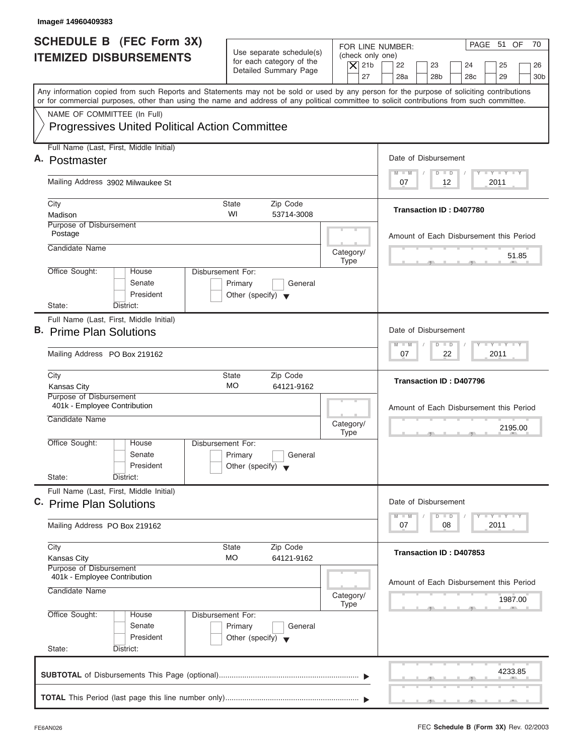| Image# 14960409383                                                                                                                                                                                                                                                                      |                                                                                 |                                                                                                                                                                                          |
|-----------------------------------------------------------------------------------------------------------------------------------------------------------------------------------------------------------------------------------------------------------------------------------------|---------------------------------------------------------------------------------|------------------------------------------------------------------------------------------------------------------------------------------------------------------------------------------|
| <b>SCHEDULE B</b> (FEC Form 3X)<br><b>ITEMIZED DISBURSEMENTS</b>                                                                                                                                                                                                                        | Use separate schedule(s)<br>for each category of the<br>Detailed Summary Page   | PAGE 51 OF<br>70<br>FOR LINE NUMBER:<br>(check only one)<br>$\overline{X}$ 21b<br>22<br>23<br>24<br>25<br>26<br>27<br>28a<br>28 <sub>b</sub><br>29<br>28 <sub>c</sub><br>30 <sub>b</sub> |
| Any information copied from such Reports and Statements may not be sold or used by any person for the purpose of soliciting contributions<br>or for commercial purposes, other than using the name and address of any political committee to solicit contributions from such committee. |                                                                                 |                                                                                                                                                                                          |
| NAME OF COMMITTEE (In Full)<br><b>Progressives United Political Action Committee</b>                                                                                                                                                                                                    |                                                                                 |                                                                                                                                                                                          |
| Full Name (Last, First, Middle Initial)                                                                                                                                                                                                                                                 |                                                                                 | Date of Disbursement                                                                                                                                                                     |
| A. Postmaster                                                                                                                                                                                                                                                                           |                                                                                 | $T - Y = T - Y = T - Y$<br>$D$ $D$<br>$M - M$                                                                                                                                            |
| Mailing Address 3902 Milwaukee St                                                                                                                                                                                                                                                       |                                                                                 | 12<br>2011<br>07                                                                                                                                                                         |
| City<br>Madison                                                                                                                                                                                                                                                                         | <b>State</b><br>Zip Code<br>WI<br>53714-3008                                    | <b>Transaction ID: D407780</b>                                                                                                                                                           |
| Purpose of Disbursement<br>Postage                                                                                                                                                                                                                                                      |                                                                                 | Amount of Each Disbursement this Period                                                                                                                                                  |
| Candidate Name                                                                                                                                                                                                                                                                          | Category/<br><b>Type</b>                                                        | 51.85                                                                                                                                                                                    |
| Office Sought:<br>House<br>Senate<br>President<br>State:<br>District:                                                                                                                                                                                                                   | Disbursement For:<br>Primary<br>General<br>Other (specify) $\blacktriangledown$ |                                                                                                                                                                                          |
| Full Name (Last, First, Middle Initial)                                                                                                                                                                                                                                                 |                                                                                 |                                                                                                                                                                                          |
| B. Prime Plan Solutions                                                                                                                                                                                                                                                                 |                                                                                 | Date of Disbursement                                                                                                                                                                     |
| Mailing Address PO Box 219162                                                                                                                                                                                                                                                           |                                                                                 | <b>LEYTEY LEY</b><br>$M - M$<br>$D$ $D$<br>2011<br>07<br>22                                                                                                                              |
| City<br><b>Kansas City</b>                                                                                                                                                                                                                                                              | <b>State</b><br>Zip Code<br><b>MO</b><br>64121-9162                             | Transaction ID: D407796                                                                                                                                                                  |
| Purpose of Disbursement<br>401k - Employee Contribution<br>Candidate Name                                                                                                                                                                                                               | Category/<br><b>Type</b>                                                        | Amount of Each Disbursement this Period<br>2195.00<br>__                                                                                                                                 |
| Office Sought:<br>House<br>Senate<br>President<br>State:<br>District:                                                                                                                                                                                                                   | Disbursement For:<br>Primary<br>General<br>Other (specify) $\blacktriangledown$ |                                                                                                                                                                                          |
| Full Name (Last, First, Middle Initial)<br>C. Prime Plan Solutions                                                                                                                                                                                                                      |                                                                                 | Date of Disbursement<br>$T - Y = T - Y = T - Y$<br>$M - M$<br>$\overline{\mathsf{D}}$<br>$\Box$                                                                                          |
| Mailing Address PO Box 219162                                                                                                                                                                                                                                                           |                                                                                 | 2011<br>07<br>08                                                                                                                                                                         |
| City<br><b>Kansas City</b>                                                                                                                                                                                                                                                              | Zip Code<br>State<br>MO<br>64121-9162                                           | Transaction ID: D407853                                                                                                                                                                  |
| Purpose of Disbursement<br>401k - Employee Contribution<br>Candidate Name                                                                                                                                                                                                               | Category/                                                                       | Amount of Each Disbursement this Period                                                                                                                                                  |
|                                                                                                                                                                                                                                                                                         | Type                                                                            | 1987.00                                                                                                                                                                                  |
| Office Sought:<br>House<br>Senate<br>President<br>State:<br>District:                                                                                                                                                                                                                   | Disbursement For:<br>Primary<br>General<br>Other (specify) $\blacktriangledown$ |                                                                                                                                                                                          |
|                                                                                                                                                                                                                                                                                         |                                                                                 | 4233.85                                                                                                                                                                                  |
|                                                                                                                                                                                                                                                                                         |                                                                                 |                                                                                                                                                                                          |

J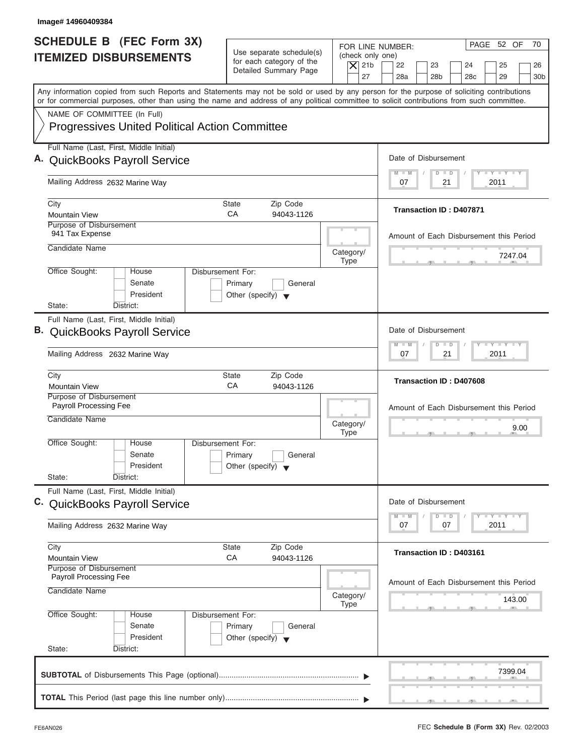| Image# 14960409384                                                                                                                                                                                                                                                                      |                                                                                                |                                                                                                                                                                                          |
|-----------------------------------------------------------------------------------------------------------------------------------------------------------------------------------------------------------------------------------------------------------------------------------------|------------------------------------------------------------------------------------------------|------------------------------------------------------------------------------------------------------------------------------------------------------------------------------------------|
| <b>SCHEDULE B (FEC Form 3X)</b><br><b>ITEMIZED DISBURSEMENTS</b>                                                                                                                                                                                                                        | Use separate schedule(s)<br>for each category of the<br>Detailed Summary Page                  | PAGE 52 OF<br>70<br>FOR LINE NUMBER:<br>(check only one)<br>$ \mathsf{X} $ 21b<br>22<br>23<br>24<br>25<br>26<br>27<br>28a<br>28 <sub>b</sub><br>28 <sub>c</sub><br>29<br>30 <sub>b</sub> |
| Any information copied from such Reports and Statements may not be sold or used by any person for the purpose of soliciting contributions<br>or for commercial purposes, other than using the name and address of any political committee to solicit contributions from such committee. |                                                                                                |                                                                                                                                                                                          |
| NAME OF COMMITTEE (In Full)<br><b>Progressives United Political Action Committee</b>                                                                                                                                                                                                    |                                                                                                |                                                                                                                                                                                          |
| Full Name (Last, First, Middle Initial)<br>A. QuickBooks Payroll Service                                                                                                                                                                                                                |                                                                                                | Date of Disbursement                                                                                                                                                                     |
| Mailing Address 2632 Marine Way                                                                                                                                                                                                                                                         |                                                                                                | $T - Y = T - Y = T - Y$<br>$M - M$<br>$D$ $D$<br>2011<br>07<br>21                                                                                                                        |
| City<br><b>Mountain View</b>                                                                                                                                                                                                                                                            | Zip Code<br>State<br>CA<br>94043-1126                                                          | Transaction ID: D407871                                                                                                                                                                  |
| Purpose of Disbursement<br>941 Tax Expense<br>Candidate Name                                                                                                                                                                                                                            | Category/                                                                                      | Amount of Each Disbursement this Period                                                                                                                                                  |
| Office Sought:<br>House<br>Senate<br>President                                                                                                                                                                                                                                          | <b>Type</b><br>Disbursement For:<br>Primary<br>General<br>Other (specify) $\blacktriangledown$ | 7247.04                                                                                                                                                                                  |
| State:<br>District:<br>Full Name (Last, First, Middle Initial)<br>B. QuickBooks Payroll Service<br>Mailing Address 2632 Marine Way                                                                                                                                                      |                                                                                                | Date of Disbursement<br>$-1 - Y - 1 - Y - 1 - Y$<br>$M - M$<br>$\overline{D}$<br>$\Box$<br>2011<br>07<br>21                                                                              |
| City<br><b>Mountain View</b>                                                                                                                                                                                                                                                            | Zip Code<br><b>State</b><br>СA<br>94043-1126                                                   | Transaction ID: D407608                                                                                                                                                                  |
| Purpose of Disbursement<br>Payroll Processing Fee<br>Candidate Name                                                                                                                                                                                                                     | Category/<br><b>Type</b>                                                                       | Amount of Each Disbursement this Period<br>9.00                                                                                                                                          |
| Office Sought:<br>House<br>Senate<br>President<br>State:<br>District:                                                                                                                                                                                                                   | Disbursement For:<br>Primary<br>General<br>Other (specify)                                     |                                                                                                                                                                                          |
| Full Name (Last, First, Middle Initial)<br>C. QuickBooks Payroll Service                                                                                                                                                                                                                |                                                                                                | Date of Disbursement<br>$\mathbf{I}$ $\mathbf{Y}$ $\mathbf{I}$ $\mathbf{Y}$ $\mathbf{I}$ $\mathbf{Y}$<br>$M - M$<br>$\overline{D}$<br>$\Box$                                             |
| Mailing Address 2632 Marine Way<br>City                                                                                                                                                                                                                                                 | Zip Code<br><b>State</b>                                                                       | 07<br>07<br>2011<br>Transaction ID: D403161                                                                                                                                              |
| <b>Mountain View</b><br>Purpose of Disbursement<br>Payroll Processing Fee                                                                                                                                                                                                               | CA<br>94043-1126                                                                               | Amount of Each Disbursement this Period                                                                                                                                                  |
| Candidate Name                                                                                                                                                                                                                                                                          | Category/<br><b>Type</b>                                                                       | 143.00                                                                                                                                                                                   |
| Office Sought:<br>House<br>Senate<br>President<br>State:<br>District:                                                                                                                                                                                                                   | Disbursement For:<br>Primary<br>General<br>Other (specify) $\blacktriangledown$                |                                                                                                                                                                                          |
|                                                                                                                                                                                                                                                                                         |                                                                                                | 7399.04                                                                                                                                                                                  |
|                                                                                                                                                                                                                                                                                         |                                                                                                |                                                                                                                                                                                          |

J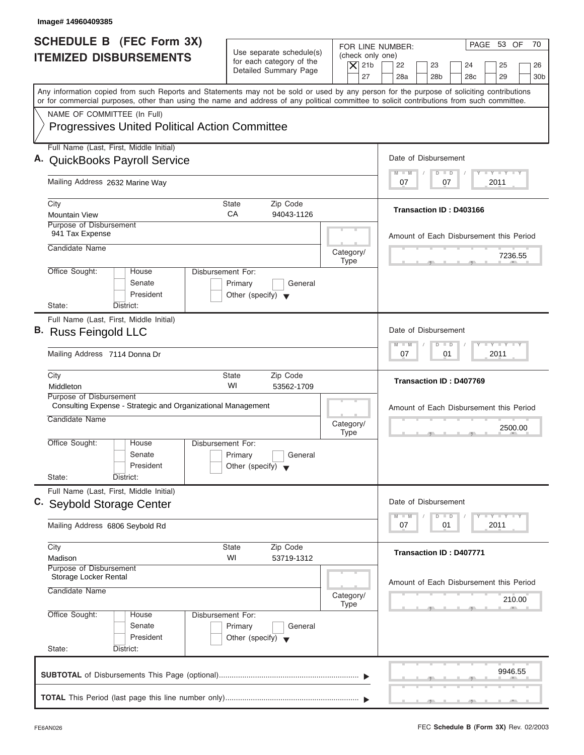| Image# 14960409385                                                                                                                                                                                                                                                                      |                                                                                                     |                                                                                                                                                                    |
|-----------------------------------------------------------------------------------------------------------------------------------------------------------------------------------------------------------------------------------------------------------------------------------------|-----------------------------------------------------------------------------------------------------|--------------------------------------------------------------------------------------------------------------------------------------------------------------------|
| <b>SCHEDULE B (FEC Form 3X)</b><br><b>ITEMIZED DISBURSEMENTS</b>                                                                                                                                                                                                                        | Use separate schedule(s)<br>for each category of the<br>$\overline{X}$ 21b<br>Detailed Summary Page | PAGE 53 OF<br>70<br>FOR LINE NUMBER:<br>(check only one)<br>22<br>23<br>24<br>25<br>26<br>27<br>28a<br>28 <sub>b</sub><br>29<br>28 <sub>c</sub><br>30 <sub>b</sub> |
| Any information copied from such Reports and Statements may not be sold or used by any person for the purpose of soliciting contributions<br>or for commercial purposes, other than using the name and address of any political committee to solicit contributions from such committee. |                                                                                                     |                                                                                                                                                                    |
| NAME OF COMMITTEE (In Full)<br><b>Progressives United Political Action Committee</b>                                                                                                                                                                                                    |                                                                                                     |                                                                                                                                                                    |
| Full Name (Last, First, Middle Initial)<br>A. QuickBooks Payroll Service                                                                                                                                                                                                                |                                                                                                     | Date of Disbursement                                                                                                                                               |
| Mailing Address 2632 Marine Way                                                                                                                                                                                                                                                         |                                                                                                     | $T - Y = T - Y = T - Y$<br>$M - M$<br>$D$ $D$<br>2011<br>07<br>07                                                                                                  |
| City<br><b>Mountain View</b>                                                                                                                                                                                                                                                            | State<br>Zip Code<br>CA<br>94043-1126                                                               | <b>Transaction ID: D403166</b>                                                                                                                                     |
| Purpose of Disbursement<br>941 Tax Expense<br>Candidate Name                                                                                                                                                                                                                            |                                                                                                     | Amount of Each Disbursement this Period                                                                                                                            |
| Office Sought:<br>House                                                                                                                                                                                                                                                                 | Category/<br><b>Type</b><br>Disbursement For:                                                       | 7236.55                                                                                                                                                            |
| Senate<br>President<br>State:<br>District:                                                                                                                                                                                                                                              | Primary<br>General<br>Other (specify) $\blacktriangledown$                                          |                                                                                                                                                                    |
| Full Name (Last, First, Middle Initial)<br>B. Russ Feingold LLC                                                                                                                                                                                                                         |                                                                                                     | Date of Disbursement                                                                                                                                               |
| Mailing Address 7114 Donna Dr                                                                                                                                                                                                                                                           |                                                                                                     | $-$ Y $-$ Y $-$ Y<br>$M - M$<br>$\overline{D}$<br>$\Box$<br>2011<br>07<br>01                                                                                       |
| City<br>Middleton                                                                                                                                                                                                                                                                       | Zip Code<br><b>State</b><br>WI<br>53562-1709                                                        | Transaction ID: D407769                                                                                                                                            |
| Purpose of Disbursement<br>Consulting Expense - Strategic and Organizational Management<br>Candidate Name                                                                                                                                                                               | Category/<br><b>Type</b>                                                                            | Amount of Each Disbursement this Period<br>2500.00<br>$-7$                                                                                                         |
| Office Sought:<br>House<br>Senate<br>President                                                                                                                                                                                                                                          | Disbursement For:<br>Primary<br>General<br>Other (specify) $\blacktriangledown$                     |                                                                                                                                                                    |
| State:<br>District:<br>Full Name (Last, First, Middle Initial)                                                                                                                                                                                                                          |                                                                                                     |                                                                                                                                                                    |
| C. Seybold Storage Center<br>Mailing Address 6806 Seybold Rd                                                                                                                                                                                                                            |                                                                                                     | Date of Disbursement<br>$T - Y - T - Y - T - Y$<br>$M - M$<br>D<br>$\Box$<br>2011<br>07<br>01                                                                      |
| City<br>Madison                                                                                                                                                                                                                                                                         | Zip Code<br>State<br>WI<br>53719-1312                                                               | Transaction ID: D407771                                                                                                                                            |
| Purpose of Disbursement<br>Storage Locker Rental<br>Candidate Name                                                                                                                                                                                                                      | Category/                                                                                           | Amount of Each Disbursement this Period<br>210.00                                                                                                                  |
| Office Sought:<br>House<br>Senate<br>President<br>State:<br>District:                                                                                                                                                                                                                   | Type<br>Disbursement For:<br>Primary<br>General<br>Other (specify) $\blacktriangledown$             |                                                                                                                                                                    |
|                                                                                                                                                                                                                                                                                         |                                                                                                     | 9946.55                                                                                                                                                            |
|                                                                                                                                                                                                                                                                                         |                                                                                                     | ____                                                                                                                                                               |

ı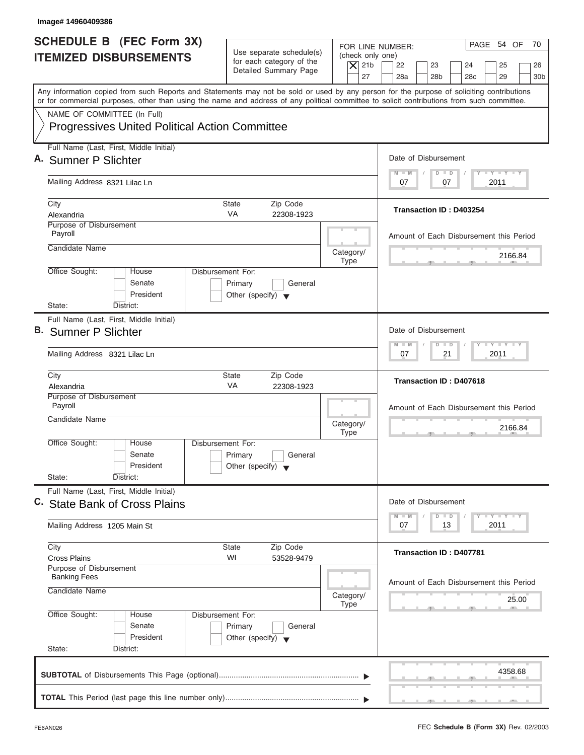| Image# 14960409386                                                                                                                                                                                                                                                                      |                                                                               |                                                                                                                                                                                          |
|-----------------------------------------------------------------------------------------------------------------------------------------------------------------------------------------------------------------------------------------------------------------------------------------|-------------------------------------------------------------------------------|------------------------------------------------------------------------------------------------------------------------------------------------------------------------------------------|
| <b>SCHEDULE B</b> (FEC Form 3X)<br><b>ITEMIZED DISBURSEMENTS</b>                                                                                                                                                                                                                        | Use separate schedule(s)<br>for each category of the<br>Detailed Summary Page | PAGE 54 OF<br>70<br>FOR LINE NUMBER:<br>(check only one)<br>$\overline{X}$ 21b<br>22<br>23<br>24<br>25<br>26<br>27<br>28a<br>28 <sub>b</sub><br>29<br>30 <sub>b</sub><br>28 <sub>c</sub> |
| Any information copied from such Reports and Statements may not be sold or used by any person for the purpose of soliciting contributions<br>or for commercial purposes, other than using the name and address of any political committee to solicit contributions from such committee. |                                                                               |                                                                                                                                                                                          |
| NAME OF COMMITTEE (In Full)<br><b>Progressives United Political Action Committee</b>                                                                                                                                                                                                    |                                                                               |                                                                                                                                                                                          |
| Full Name (Last, First, Middle Initial)<br>A. Sumner P Slichter                                                                                                                                                                                                                         |                                                                               | Date of Disbursement                                                                                                                                                                     |
| Mailing Address 8321 Lilac Ln                                                                                                                                                                                                                                                           |                                                                               | $T - Y = T - Y = T - Y$<br>$D$ $D$<br>$M - M$<br>2011<br>07<br>07                                                                                                                        |
| City<br>Alexandria                                                                                                                                                                                                                                                                      | State<br>Zip Code<br><b>VA</b><br>22308-1923                                  | <b>Transaction ID: D403254</b>                                                                                                                                                           |
| Purpose of Disbursement<br>Payroll                                                                                                                                                                                                                                                      |                                                                               | Amount of Each Disbursement this Period                                                                                                                                                  |
| Candidate Name                                                                                                                                                                                                                                                                          | Category/<br>Type                                                             | 2166.84                                                                                                                                                                                  |
| Office Sought:<br>Disbursement For:<br>House<br>Senate<br>President<br>State:<br>District:                                                                                                                                                                                              | Primary<br>General<br>Other (specify) $\blacktriangledown$                    |                                                                                                                                                                                          |
| Full Name (Last, First, Middle Initial)<br><b>B.</b> Sumner P Slichter                                                                                                                                                                                                                  |                                                                               | Date of Disbursement                                                                                                                                                                     |
| Mailing Address 8321 Lilac Ln                                                                                                                                                                                                                                                           |                                                                               | <b>LEYTEY LEY</b><br>$M - M$<br>$\Box$<br>$\overline{D}$<br>2011<br>07<br>21                                                                                                             |
| City<br>Alexandria                                                                                                                                                                                                                                                                      | Zip Code<br><b>State</b><br>VA<br>22308-1923                                  | Transaction ID: D407618                                                                                                                                                                  |
| Purpose of Disbursement<br>Payroll<br>Candidate Name                                                                                                                                                                                                                                    | Category/<br><b>Type</b>                                                      | Amount of Each Disbursement this Period<br>2166.84<br>$-5$                                                                                                                               |
| Office Sought:<br>House<br>Disbursement For:<br>Senate<br>President<br>State:<br>District:                                                                                                                                                                                              | Primary<br>General<br>Other (specify) $\blacktriangledown$                    |                                                                                                                                                                                          |
| Full Name (Last, First, Middle Initial)<br>C. State Bank of Cross Plains                                                                                                                                                                                                                |                                                                               | Date of Disbursement                                                                                                                                                                     |
| Mailing Address 1205 Main St                                                                                                                                                                                                                                                            |                                                                               | $T - Y = T - Y = T - Y$<br>$M - M$<br>$\overline{D}$<br>$\Box$<br>2011<br>07<br>13                                                                                                       |
| City<br><b>Cross Plains</b>                                                                                                                                                                                                                                                             | Zip Code<br>State<br>WI<br>53528-9479                                         | <b>Transaction ID: D407781</b>                                                                                                                                                           |
| Purpose of Disbursement<br><b>Banking Fees</b><br>Candidate Name                                                                                                                                                                                                                        | Category/<br>Type                                                             | Amount of Each Disbursement this Period<br>25.00                                                                                                                                         |
| Office Sought:<br>Disbursement For:<br>House<br>Senate<br>President<br>State:<br>District:                                                                                                                                                                                              | Primary<br>General<br>Other (specify) $\blacktriangledown$                    |                                                                                                                                                                                          |
|                                                                                                                                                                                                                                                                                         |                                                                               | 4358.68                                                                                                                                                                                  |
|                                                                                                                                                                                                                                                                                         |                                                                               |                                                                                                                                                                                          |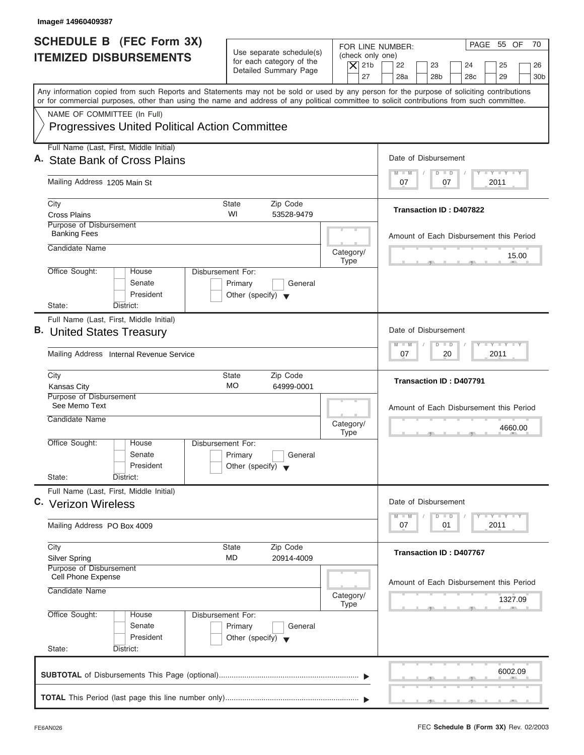| Image# 14960409387                                                                                                                                                                                                                                                                      |                                                                                 |                                              |                                                                                                  |
|-----------------------------------------------------------------------------------------------------------------------------------------------------------------------------------------------------------------------------------------------------------------------------------------|---------------------------------------------------------------------------------|----------------------------------------------|--------------------------------------------------------------------------------------------------|
| <b>SCHEDULE B (FEC Form 3X)</b>                                                                                                                                                                                                                                                         | Use separate schedule(s)                                                        |                                              | PAGE 55 OF<br>70<br>FOR LINE NUMBER:                                                             |
| <b>ITEMIZED DISBURSEMENTS</b>                                                                                                                                                                                                                                                           | for each category of the<br>Detailed Summary Page                               | (check only one)<br>$\overline{X}$ 21b<br>27 | 22<br>23<br>24<br>25<br>26<br>28a<br>28 <sub>b</sub><br>28 <sub>c</sub><br>29<br>30 <sub>b</sub> |
| Any information copied from such Reports and Statements may not be sold or used by any person for the purpose of soliciting contributions<br>or for commercial purposes, other than using the name and address of any political committee to solicit contributions from such committee. |                                                                                 |                                              |                                                                                                  |
| NAME OF COMMITTEE (In Full)<br><b>Progressives United Political Action Committee</b>                                                                                                                                                                                                    |                                                                                 |                                              |                                                                                                  |
| Full Name (Last, First, Middle Initial)<br>A. State Bank of Cross Plains                                                                                                                                                                                                                |                                                                                 |                                              | Date of Disbursement                                                                             |
| Mailing Address 1205 Main St                                                                                                                                                                                                                                                            |                                                                                 |                                              | $T - Y = T - Y = T - Y$<br>$M - M$<br>$D$ $D$<br>07<br>2011<br>07                                |
| City<br><b>Cross Plains</b>                                                                                                                                                                                                                                                             | <b>State</b><br>Zip Code<br>WI<br>53528-9479                                    |                                              | Transaction ID: D407822                                                                          |
| Purpose of Disbursement<br><b>Banking Fees</b><br>Candidate Name                                                                                                                                                                                                                        |                                                                                 |                                              | Amount of Each Disbursement this Period                                                          |
|                                                                                                                                                                                                                                                                                         |                                                                                 | Category/<br>Type                            | 15.00                                                                                            |
| Office Sought:<br>House<br>Senate<br>President<br>State:<br>District:                                                                                                                                                                                                                   | Disbursement For:<br>Primary<br>General<br>Other (specify) $\blacktriangledown$ |                                              |                                                                                                  |
| Full Name (Last, First, Middle Initial)                                                                                                                                                                                                                                                 |                                                                                 |                                              |                                                                                                  |
| B. United States Treasury                                                                                                                                                                                                                                                               |                                                                                 |                                              | Date of Disbursement<br>$-1 - Y - 1 - Y - 1 - Y$<br>$M - M$                                      |
| Mailing Address Internal Revenue Service                                                                                                                                                                                                                                                |                                                                                 |                                              | $D$ $D$<br>2011<br>07<br>20                                                                      |
| City<br>Kansas City                                                                                                                                                                                                                                                                     | <b>State</b><br>Zip Code<br><b>MO</b><br>64999-0001                             |                                              | Transaction ID: D407791                                                                          |
| Purpose of Disbursement<br>See Memo Text<br>Candidate Name                                                                                                                                                                                                                              |                                                                                 | Category/                                    | Amount of Each Disbursement this Period                                                          |
| Office Sought:<br>House<br>Senate<br>President                                                                                                                                                                                                                                          | Disbursement For:<br>Primary<br>General<br>Other (specify) $\blacktriangledown$ | <b>Type</b>                                  | 4660.00<br>$-5$                                                                                  |
| State:<br>District:                                                                                                                                                                                                                                                                     |                                                                                 |                                              |                                                                                                  |
| Full Name (Last, First, Middle Initial)<br>C. Verizon Wireless                                                                                                                                                                                                                          |                                                                                 |                                              | Date of Disbursement<br>$T - Y - T - Y - T - Y$<br>$M - M$<br>D<br>$\Box$                        |
| Mailing Address PO Box 4009                                                                                                                                                                                                                                                             |                                                                                 |                                              | 2011<br>07<br>01                                                                                 |
| City<br><b>Silver Spring</b>                                                                                                                                                                                                                                                            | <b>State</b><br>Zip Code<br>MD<br>20914-4009                                    |                                              | Transaction ID: D407767                                                                          |
| Purpose of Disbursement<br>Cell Phone Expense<br>Candidate Name                                                                                                                                                                                                                         |                                                                                 |                                              | Amount of Each Disbursement this Period                                                          |
|                                                                                                                                                                                                                                                                                         |                                                                                 | Category/<br>Type                            | 1327.09                                                                                          |
| Office Sought:<br>House<br>Senate<br>President                                                                                                                                                                                                                                          | Disbursement For:<br>Primary<br>General<br>Other (specify) $\blacktriangledown$ |                                              |                                                                                                  |
| State:<br>District:                                                                                                                                                                                                                                                                     |                                                                                 |                                              | 6002.09                                                                                          |
|                                                                                                                                                                                                                                                                                         |                                                                                 |                                              |                                                                                                  |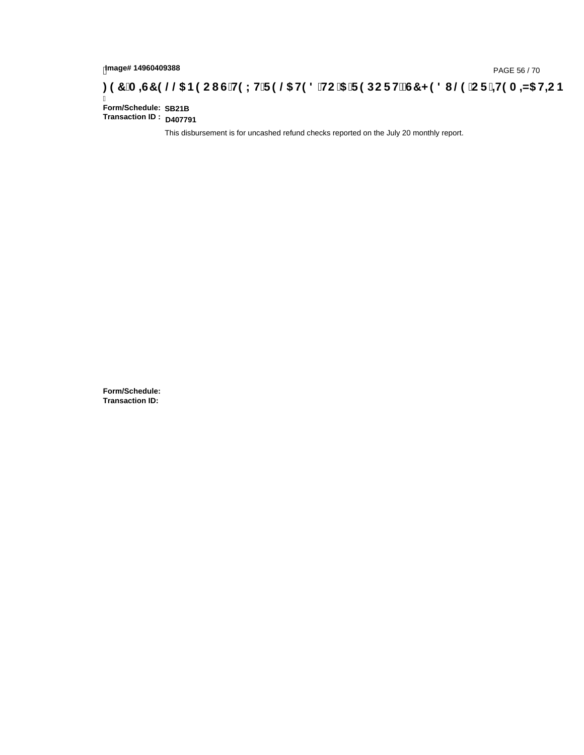# hmage#14960409388<br>DAGE 56 / 70, PAGE 56 / 70<br>**DAGE 56 / TO GOOD IS THE LITE 9 @ H9 8 `HC `5 `F 9 DC F HŽ G7 < 9 8 I @ `C F `<del>J 1</del>9 A =N5 H=C B : 97 `A =N5 H=C B**

Ī **Form/Schedule: Transaction ID : D407791 SB21B**

This disbursement is for uncashed refund checks reported on the July 20 monthly report.

**Form/Schedule: Transaction ID:**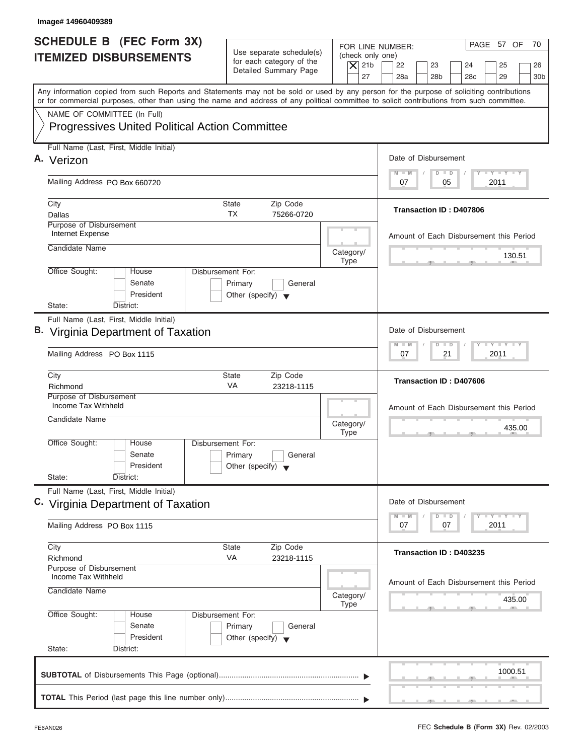| Image# 14960409389                                                                                                                                                                                                                                                                      |                                                                                 |                                                                                                                                                                                          |
|-----------------------------------------------------------------------------------------------------------------------------------------------------------------------------------------------------------------------------------------------------------------------------------------|---------------------------------------------------------------------------------|------------------------------------------------------------------------------------------------------------------------------------------------------------------------------------------|
| <b>SCHEDULE B</b> (FEC Form 3X)<br><b>ITEMIZED DISBURSEMENTS</b>                                                                                                                                                                                                                        | Use separate schedule(s)<br>for each category of the<br>Detailed Summary Page   | PAGE 57 OF<br>70<br>FOR LINE NUMBER:<br>(check only one)<br>$\overline{X}$ 21b<br>22<br>23<br>24<br>25<br>26<br>27<br>28a<br>28 <sub>b</sub><br>29<br>28 <sub>c</sub><br>30 <sub>b</sub> |
| Any information copied from such Reports and Statements may not be sold or used by any person for the purpose of soliciting contributions<br>or for commercial purposes, other than using the name and address of any political committee to solicit contributions from such committee. |                                                                                 |                                                                                                                                                                                          |
| NAME OF COMMITTEE (In Full)<br><b>Progressives United Political Action Committee</b>                                                                                                                                                                                                    |                                                                                 |                                                                                                                                                                                          |
| Full Name (Last, First, Middle Initial)<br>A. Verizon                                                                                                                                                                                                                                   |                                                                                 | Date of Disbursement                                                                                                                                                                     |
| Mailing Address PO Box 660720                                                                                                                                                                                                                                                           |                                                                                 | $T - Y = T - Y = T - Y$<br>$M - M$<br>$D$ $D$<br>2011<br>07<br>05                                                                                                                        |
| City<br>Dallas                                                                                                                                                                                                                                                                          | State<br>Zip Code<br><b>TX</b><br>75266-0720                                    | <b>Transaction ID: D407806</b>                                                                                                                                                           |
| Purpose of Disbursement<br>Internet Expense<br>Candidate Name                                                                                                                                                                                                                           |                                                                                 | Amount of Each Disbursement this Period                                                                                                                                                  |
| Office Sought:<br>House                                                                                                                                                                                                                                                                 | Category/<br><b>Type</b><br>Disbursement For:                                   | 130.51                                                                                                                                                                                   |
| Senate<br>President<br>State:<br>District:                                                                                                                                                                                                                                              | Primary<br>General<br>Other (specify) $\blacktriangledown$                      |                                                                                                                                                                                          |
| Full Name (Last, First, Middle Initial)<br><b>B.</b> Virginia Department of Taxation                                                                                                                                                                                                    |                                                                                 | Date of Disbursement<br>$-$ Y $-$ Y $-$ Y<br>$M - M$<br>$\overline{D}$<br>$\Box$                                                                                                         |
| Mailing Address PO Box 1115                                                                                                                                                                                                                                                             |                                                                                 | 2011<br>07<br>21                                                                                                                                                                         |
| City<br>Richmond<br>Purpose of Disbursement                                                                                                                                                                                                                                             | <b>State</b><br>Zip Code<br>VA<br>23218-1115                                    | Transaction ID: D407606                                                                                                                                                                  |
| Income Tax Withheld<br>Candidate Name                                                                                                                                                                                                                                                   | Category/<br><b>Type</b>                                                        | Amount of Each Disbursement this Period<br>435.00                                                                                                                                        |
| Office Sought:<br>House<br>Senate<br>President<br>State:<br>District:                                                                                                                                                                                                                   | Disbursement For:<br>Primary<br>General<br>Other (specify) $\blacktriangledown$ |                                                                                                                                                                                          |
| Full Name (Last, First, Middle Initial)<br>C. Virginia Department of Taxation                                                                                                                                                                                                           |                                                                                 | Date of Disbursement<br>$T - Y$ $T - Y$<br>$M - M$<br>D<br>$\Box$                                                                                                                        |
| Mailing Address PO Box 1115                                                                                                                                                                                                                                                             |                                                                                 | 07<br>07<br>2011                                                                                                                                                                         |
| City<br>Richmond<br>Purpose of Disbursement                                                                                                                                                                                                                                             | Zip Code<br>State<br>VA<br>23218-1115                                           | Transaction ID: D403235                                                                                                                                                                  |
| Income Tax Withheld<br>Candidate Name                                                                                                                                                                                                                                                   | Category/<br><b>Type</b>                                                        | Amount of Each Disbursement this Period<br>435.00                                                                                                                                        |
| Office Sought:<br>House<br>Senate<br>President<br>State:<br>District:                                                                                                                                                                                                                   | Disbursement For:<br>Primary<br>General<br>Other (specify) $\blacktriangledown$ |                                                                                                                                                                                          |
|                                                                                                                                                                                                                                                                                         |                                                                                 | 1000.51                                                                                                                                                                                  |
|                                                                                                                                                                                                                                                                                         |                                                                                 |                                                                                                                                                                                          |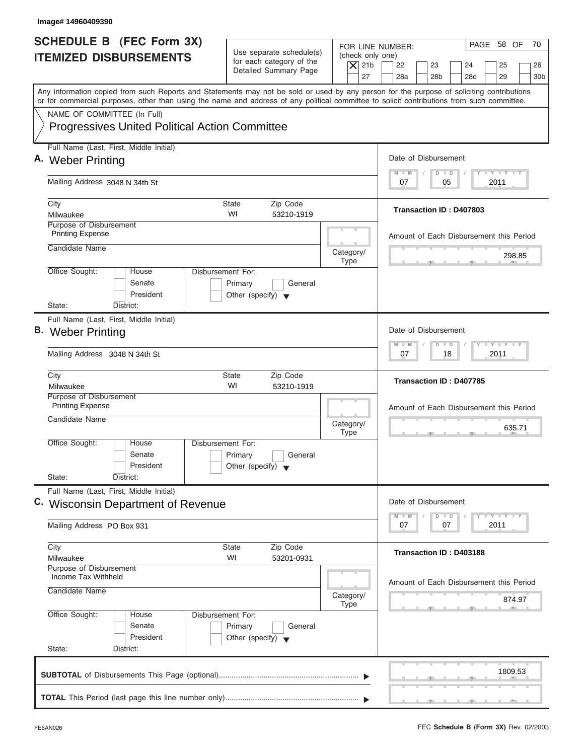| Image# 14960409390                                                                                                                                                                                                                                                                      |                                                                                 |                                        |                                                                                     |
|-----------------------------------------------------------------------------------------------------------------------------------------------------------------------------------------------------------------------------------------------------------------------------------------|---------------------------------------------------------------------------------|----------------------------------------|-------------------------------------------------------------------------------------|
| <b>SCHEDULE B</b> (FEC Form 3X)<br><b>ITEMIZED DISBURSEMENTS</b>                                                                                                                                                                                                                        | Use separate schedule(s)<br>for each category of the                            | (check only one)<br>$ \mathsf{X} $ 21b | PAGE 58 OF<br>70<br>FOR LINE NUMBER:<br>22<br>23<br>24<br>25<br>26                  |
|                                                                                                                                                                                                                                                                                         | Detailed Summary Page                                                           | 27                                     | 28a<br>28 <sub>b</sub><br>28 <sub>c</sub><br>29<br>30 <sub>b</sub>                  |
| Any information copied from such Reports and Statements may not be sold or used by any person for the purpose of soliciting contributions<br>or for commercial purposes, other than using the name and address of any political committee to solicit contributions from such committee. |                                                                                 |                                        |                                                                                     |
| NAME OF COMMITTEE (In Full)                                                                                                                                                                                                                                                             |                                                                                 |                                        |                                                                                     |
| <b>Progressives United Political Action Committee</b>                                                                                                                                                                                                                                   |                                                                                 |                                        |                                                                                     |
| Full Name (Last, First, Middle Initial)                                                                                                                                                                                                                                                 |                                                                                 |                                        |                                                                                     |
| A. Weber Printing                                                                                                                                                                                                                                                                       |                                                                                 |                                        | Date of Disbursement<br><b>LY LY LY</b><br>$M - M$<br>$D$ $D$                       |
| Mailing Address 3048 N 34th St                                                                                                                                                                                                                                                          |                                                                                 |                                        | 2011<br>07<br>05                                                                    |
| City                                                                                                                                                                                                                                                                                    | <b>State</b><br>Zip Code                                                        |                                        |                                                                                     |
| Milwaukee                                                                                                                                                                                                                                                                               | WI<br>53210-1919                                                                |                                        | Transaction ID: D407803                                                             |
| Purpose of Disbursement<br><b>Printing Expense</b>                                                                                                                                                                                                                                      |                                                                                 |                                        | Amount of Each Disbursement this Period                                             |
| Candidate Name                                                                                                                                                                                                                                                                          |                                                                                 | Category/                              |                                                                                     |
|                                                                                                                                                                                                                                                                                         |                                                                                 | <b>Type</b>                            | 298.85                                                                              |
| Office Sought:<br>House<br>Senate<br>President                                                                                                                                                                                                                                          | Disbursement For:<br>Primary<br>General<br>Other (specify) $\blacktriangledown$ |                                        |                                                                                     |
| State:<br>District:                                                                                                                                                                                                                                                                     |                                                                                 |                                        |                                                                                     |
| Full Name (Last, First, Middle Initial)<br><b>B.</b> Weber Printing                                                                                                                                                                                                                     |                                                                                 |                                        | Date of Disbursement                                                                |
| Mailing Address 3048 N 34th St                                                                                                                                                                                                                                                          |                                                                                 |                                        | $-1 - Y - 1 - Y - 1 - Y$<br>$M - M$<br>$\overline{D}$<br>$\Box$<br>2011<br>07<br>18 |
| City                                                                                                                                                                                                                                                                                    | <b>State</b><br>Zip Code                                                        |                                        | Transaction ID: D407785                                                             |
| Milwaukee<br>Purpose of Disbursement                                                                                                                                                                                                                                                    | WI<br>53210-1919                                                                |                                        |                                                                                     |
| <b>Printing Expense</b>                                                                                                                                                                                                                                                                 |                                                                                 |                                        | Amount of Each Disbursement this Period                                             |
| Candidate Name                                                                                                                                                                                                                                                                          |                                                                                 | Category/<br><b>Type</b>               | 635.71<br>$-5$                                                                      |
| Office Sought:<br>House                                                                                                                                                                                                                                                                 | Disbursement For:                                                               |                                        |                                                                                     |
| Senate                                                                                                                                                                                                                                                                                  | Primary<br>General                                                              |                                        |                                                                                     |
| President<br>State:<br>District:                                                                                                                                                                                                                                                        | Other (specify) $\blacktriangledown$                                            |                                        |                                                                                     |
| Full Name (Last, First, Middle Initial)                                                                                                                                                                                                                                                 |                                                                                 |                                        |                                                                                     |
| C. Wisconsin Department of Revenue                                                                                                                                                                                                                                                      |                                                                                 |                                        | Date of Disbursement                                                                |
| Mailing Address PO Box 931                                                                                                                                                                                                                                                              |                                                                                 |                                        | $T - Y$ $T - Y$ $T - Y$<br>$M - M$<br>D<br>$\Box$<br>2011<br>07<br>07               |
| City                                                                                                                                                                                                                                                                                    | Zip Code<br><b>State</b>                                                        |                                        | Transaction ID: D403188                                                             |
| Milwaukee<br>Purpose of Disbursement                                                                                                                                                                                                                                                    | WI<br>53201-0931                                                                |                                        |                                                                                     |
| Income Tax Withheld                                                                                                                                                                                                                                                                     |                                                                                 |                                        | Amount of Each Disbursement this Period                                             |
| Candidate Name                                                                                                                                                                                                                                                                          |                                                                                 | Category/<br><b>Type</b>               | 874.97                                                                              |
| Office Sought:<br>House                                                                                                                                                                                                                                                                 | Disbursement For:                                                               |                                        |                                                                                     |
| Senate                                                                                                                                                                                                                                                                                  | Primary<br>General                                                              |                                        |                                                                                     |
| President                                                                                                                                                                                                                                                                               | Other (specify) $\blacktriangledown$                                            |                                        |                                                                                     |
| State:<br>District:                                                                                                                                                                                                                                                                     |                                                                                 |                                        |                                                                                     |
|                                                                                                                                                                                                                                                                                         |                                                                                 |                                        | 1809.53                                                                             |
|                                                                                                                                                                                                                                                                                         |                                                                                 |                                        |                                                                                     |
|                                                                                                                                                                                                                                                                                         |                                                                                 |                                        |                                                                                     |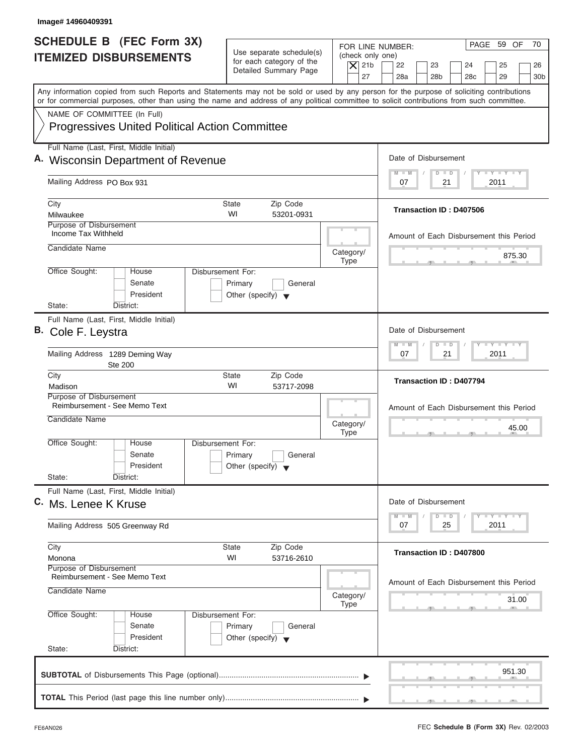| Image# 14960409391                                                                                                                                                                                                                                                                      |                                                                                 |                                                                                                                                                                                          |
|-----------------------------------------------------------------------------------------------------------------------------------------------------------------------------------------------------------------------------------------------------------------------------------------|---------------------------------------------------------------------------------|------------------------------------------------------------------------------------------------------------------------------------------------------------------------------------------|
| <b>SCHEDULE B</b> (FEC Form 3X)<br><b>ITEMIZED DISBURSEMENTS</b>                                                                                                                                                                                                                        | Use separate schedule(s)<br>for each category of the<br>Detailed Summary Page   | PAGE 59 OF<br>70<br>FOR LINE NUMBER:<br>(check only one)<br>$\overline{X}$ 21b<br>22<br>23<br>24<br>25<br>26<br>27<br>28a<br>28 <sub>b</sub><br>29<br>28 <sub>c</sub><br>30 <sub>b</sub> |
| Any information copied from such Reports and Statements may not be sold or used by any person for the purpose of soliciting contributions<br>or for commercial purposes, other than using the name and address of any political committee to solicit contributions from such committee. |                                                                                 |                                                                                                                                                                                          |
| NAME OF COMMITTEE (In Full)<br><b>Progressives United Political Action Committee</b>                                                                                                                                                                                                    |                                                                                 |                                                                                                                                                                                          |
| Full Name (Last, First, Middle Initial)<br>A. Wisconsin Department of Revenue                                                                                                                                                                                                           |                                                                                 | Date of Disbursement                                                                                                                                                                     |
| Mailing Address PO Box 931                                                                                                                                                                                                                                                              |                                                                                 | $T - Y = T - Y = T - Y$<br>$M - M$<br>$D$ $D$<br>2011<br>07<br>21                                                                                                                        |
| City<br>Milwaukee                                                                                                                                                                                                                                                                       | <b>State</b><br>Zip Code<br>WI<br>53201-0931                                    | <b>Transaction ID: D407506</b>                                                                                                                                                           |
| Purpose of Disbursement<br>Income Tax Withheld<br>Candidate Name                                                                                                                                                                                                                        | Category/<br><b>Type</b>                                                        | Amount of Each Disbursement this Period<br>875.30                                                                                                                                        |
| Office Sought:<br>House<br>Senate<br>President<br>State:<br>District:                                                                                                                                                                                                                   | Disbursement For:<br>Primary<br>General<br>Other (specify) $\blacktriangledown$ |                                                                                                                                                                                          |
| Full Name (Last, First, Middle Initial)<br>B. Cole F. Leystra                                                                                                                                                                                                                           |                                                                                 | Date of Disbursement<br>$-$ Y $-$ Y $-$ Y<br>$M - M$<br>$\overline{D}$<br>$\Box$                                                                                                         |
| Mailing Address 1289 Deming Way<br><b>Ste 200</b>                                                                                                                                                                                                                                       |                                                                                 | 2011<br>07<br>21                                                                                                                                                                         |
| City<br>Madison                                                                                                                                                                                                                                                                         | <b>State</b><br>Zip Code<br>WI<br>53717-2098                                    | <b>Transaction ID: D407794</b>                                                                                                                                                           |
| Purpose of Disbursement<br>Reimbursement - See Memo Text<br>Candidate Name                                                                                                                                                                                                              | Category/<br><b>Type</b>                                                        | Amount of Each Disbursement this Period<br>45.00                                                                                                                                         |
| Office Sought:<br>House<br>Senate<br>President<br>State:<br>District:                                                                                                                                                                                                                   | Disbursement For:<br>Primary<br>General<br>Other (specify) $\blacktriangledown$ |                                                                                                                                                                                          |
| Full Name (Last, First, Middle Initial)<br>C. Ms. Lenee K Kruse                                                                                                                                                                                                                         |                                                                                 | Date of Disbursement<br>$T - Y - T - Y - T - Y$<br>$M - M$<br>D<br>$\Box$                                                                                                                |
| Mailing Address 505 Greenway Rd                                                                                                                                                                                                                                                         |                                                                                 | 07<br>25<br>2011                                                                                                                                                                         |
| City<br>Monona                                                                                                                                                                                                                                                                          | Zip Code<br>State<br>WI<br>53716-2610                                           | Transaction ID: D407800                                                                                                                                                                  |
| Purpose of Disbursement<br>Reimbursement - See Memo Text<br>Candidate Name                                                                                                                                                                                                              | Category/<br>Type                                                               | Amount of Each Disbursement this Period<br>31.00                                                                                                                                         |
| Office Sought:<br>House<br>Senate<br>President<br>State:<br>District:                                                                                                                                                                                                                   | Disbursement For:<br>Primary<br>General<br>Other (specify) $\blacktriangledown$ |                                                                                                                                                                                          |
|                                                                                                                                                                                                                                                                                         |                                                                                 | 951.30                                                                                                                                                                                   |
|                                                                                                                                                                                                                                                                                         |                                                                                 |                                                                                                                                                                                          |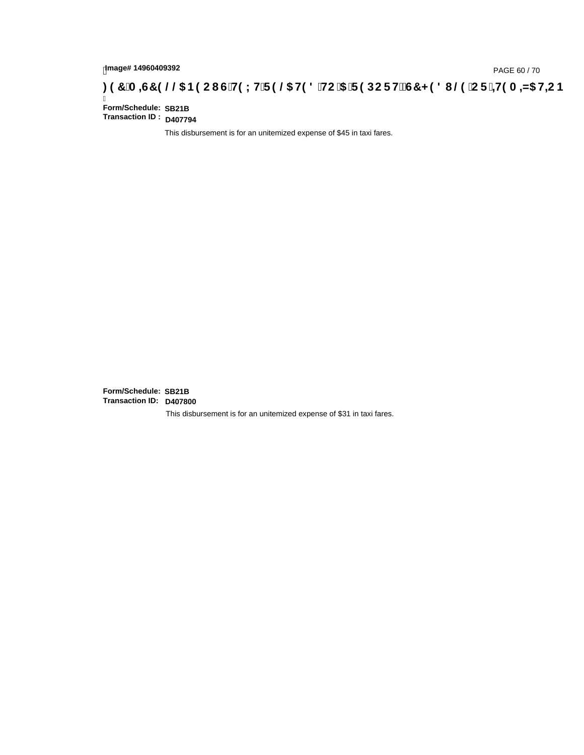# hmage#14960409392<br>DAGE 60 / 70, PAGE 60 / 70<br>**DAGE 7 (A =G7 9 @@ B9 CI G`H9 LH`F 9 @ H9 8 `HC `5 `F 9 DC F H** $\breve{c}$ **G7 < 9 8 I @ `C F `<del>I 1</del>9 A =N5 H=C B**

Ī **Form/Schedule: Transaction ID : D407794**

This disbursement is for an unitemized expense of \$45 in taxi fares.

**Form/Schedule: Transaction ID: D407800 SB21B SB21B**

This disbursement is for an unitemized expense of \$31 in taxi fares.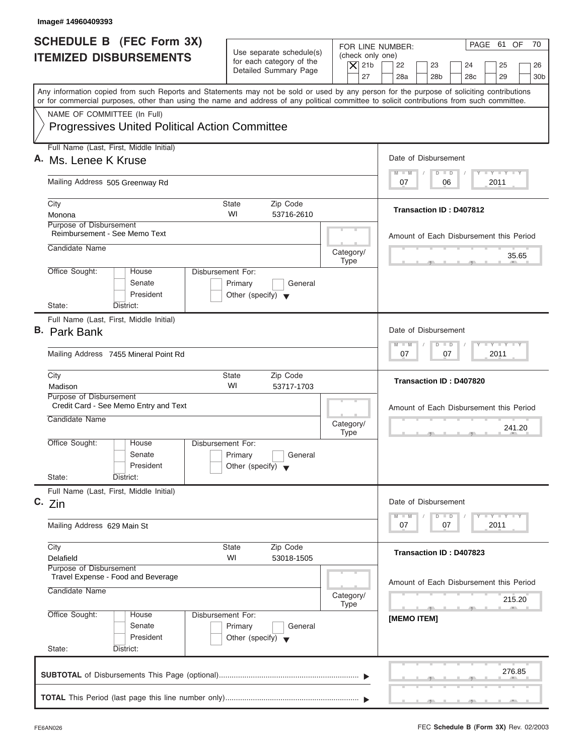| Image# 14960409393                                                                                                                                                                                                                                                                      |                                                                                 |                                                                  |                                                                                                                      |
|-----------------------------------------------------------------------------------------------------------------------------------------------------------------------------------------------------------------------------------------------------------------------------------------|---------------------------------------------------------------------------------|------------------------------------------------------------------|----------------------------------------------------------------------------------------------------------------------|
| <b>SCHEDULE B (FEC Form 3X)</b><br><b>ITEMIZED DISBURSEMENTS</b>                                                                                                                                                                                                                        | Use separate schedule(s)<br>for each category of the<br>Detailed Summary Page   | FOR LINE NUMBER:<br>(check only one)<br>$\overline{X}$ 21b<br>27 | PAGE 61 OF<br>70<br>22<br>23<br>24<br>25<br>26<br>28a<br>28 <sub>b</sub><br>29<br>28 <sub>c</sub><br>30 <sub>b</sub> |
| Any information copied from such Reports and Statements may not be sold or used by any person for the purpose of soliciting contributions<br>or for commercial purposes, other than using the name and address of any political committee to solicit contributions from such committee. |                                                                                 |                                                                  |                                                                                                                      |
| NAME OF COMMITTEE (In Full)<br><b>Progressives United Political Action Committee</b>                                                                                                                                                                                                    |                                                                                 |                                                                  |                                                                                                                      |
| Full Name (Last, First, Middle Initial)                                                                                                                                                                                                                                                 |                                                                                 |                                                                  | Date of Disbursement                                                                                                 |
| A. Ms. Lenee K Kruse                                                                                                                                                                                                                                                                    |                                                                                 |                                                                  | $T - Y = T - Y = T - Y$<br>$D$ $D$<br>$M - M$                                                                        |
| Mailing Address 505 Greenway Rd                                                                                                                                                                                                                                                         |                                                                                 |                                                                  | 2011<br>07<br>06                                                                                                     |
| City<br>Monona                                                                                                                                                                                                                                                                          | <b>State</b><br>Zip Code<br>WI<br>53716-2610                                    |                                                                  | Transaction ID: D407812                                                                                              |
| Purpose of Disbursement<br>Reimbursement - See Memo Text                                                                                                                                                                                                                                |                                                                                 |                                                                  | Amount of Each Disbursement this Period                                                                              |
| Candidate Name                                                                                                                                                                                                                                                                          |                                                                                 | Category/<br><b>Type</b>                                         | 35.65                                                                                                                |
| Office Sought:<br>House<br>Senate<br>President<br>State:<br>District:                                                                                                                                                                                                                   | Disbursement For:<br>Primary<br>General<br>Other (specify) $\blacktriangledown$ |                                                                  |                                                                                                                      |
| Full Name (Last, First, Middle Initial)                                                                                                                                                                                                                                                 |                                                                                 |                                                                  |                                                                                                                      |
| <b>B.</b> Park Bank                                                                                                                                                                                                                                                                     |                                                                                 |                                                                  | Date of Disbursement                                                                                                 |
| Mailing Address 7455 Mineral Point Rd                                                                                                                                                                                                                                                   |                                                                                 |                                                                  | $-$ Y $-$ Y $-$ Y<br>$M - M$<br>$D$ $D$<br>2011<br>07<br>07                                                          |
| City<br>Madison                                                                                                                                                                                                                                                                         | <b>State</b><br>Zip Code<br>WI<br>53717-1703                                    |                                                                  | Transaction ID: D407820                                                                                              |
| Purpose of Disbursement<br>Credit Card - See Memo Entry and Text<br>Candidate Name                                                                                                                                                                                                      |                                                                                 |                                                                  | Amount of Each Disbursement this Period                                                                              |
|                                                                                                                                                                                                                                                                                         |                                                                                 | Category/<br><b>Type</b>                                         | 241.20                                                                                                               |
| Office Sought:<br>House<br>Senate<br>President                                                                                                                                                                                                                                          | Disbursement For:<br>Primary<br>General<br>Other (specify) $\blacktriangledown$ |                                                                  |                                                                                                                      |
| State:<br>District:<br>Full Name (Last, First, Middle Initial)                                                                                                                                                                                                                          |                                                                                 |                                                                  |                                                                                                                      |
| C. Zin                                                                                                                                                                                                                                                                                  |                                                                                 |                                                                  | Date of Disbursement<br><b>LY LY LY</b><br>$M - M$<br>$\overline{D}$<br>$\Box$                                       |
| Mailing Address 629 Main St                                                                                                                                                                                                                                                             |                                                                                 |                                                                  | 2011<br>07<br>07                                                                                                     |
| City<br>Delafield                                                                                                                                                                                                                                                                       | Zip Code<br>State<br>WI<br>53018-1505                                           |                                                                  | Transaction ID: D407823                                                                                              |
| Purpose of Disbursement<br>Travel Expense - Food and Beverage<br>Candidate Name                                                                                                                                                                                                         |                                                                                 | Category/                                                        | Amount of Each Disbursement this Period<br>215.20                                                                    |
| Office Sought:<br>House<br>Senate<br>President<br>State:<br>District:                                                                                                                                                                                                                   | Disbursement For:<br>Primary<br>General<br>Other (specify) $\blacktriangledown$ | Type                                                             | - 51<br>[MEMO ITEM]                                                                                                  |
|                                                                                                                                                                                                                                                                                         |                                                                                 |                                                                  | 276.85                                                                                                               |

ı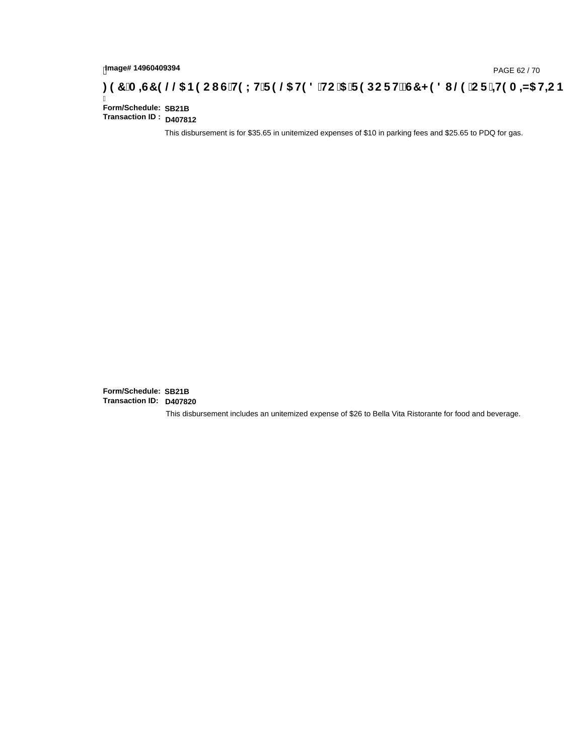# hmage#14960409394<br>DAGE 62 / 70, PAGE 62 / 70, PAGE 62 / 70, PAGE **5 / 211() CDF FDS CDF FDS CDF FDS CDF FDS CDF FDS CDF** .

Ī **Form/Schedule: Transaction ID : D407812**

This disbursement is for \$35.65 in unitemized expenses of \$10 in parking fees and \$25.65 to PDQ for gas.

**Form/Schedule: Transaction ID: D407820 SB21B SB21B**

This disbursement includes an unitemized expense of \$26 to Bella Vita Ristorante for food and beverage.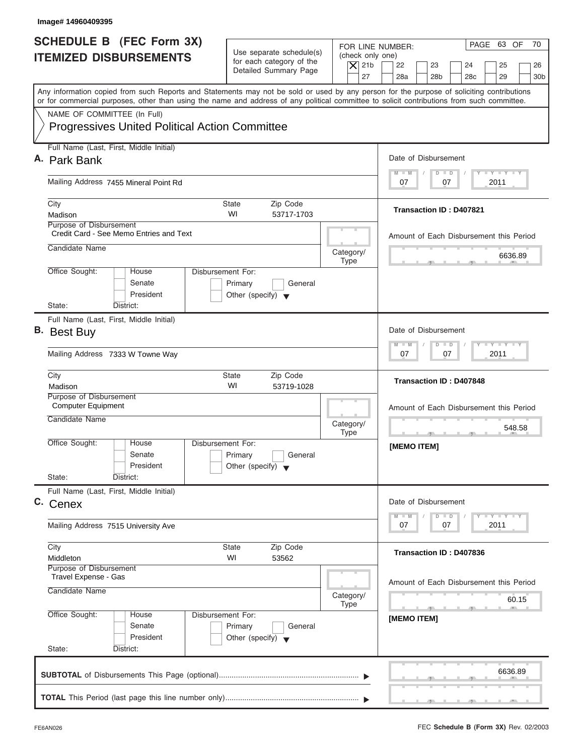|                    | SCHEDULE B (FEC Form 3X)                              |                                                      |                          | PAGE 63 OF<br>70<br>FOR LINE NUMBER:                                                                                                       |
|--------------------|-------------------------------------------------------|------------------------------------------------------|--------------------------|--------------------------------------------------------------------------------------------------------------------------------------------|
|                    | <b>ITEMIZED DISBURSEMENTS</b>                         | Use separate schedule(s)<br>for each category of the | (check only one)         |                                                                                                                                            |
|                    |                                                       | Detailed Summary Page                                | $\overline{X}$ 21b<br>27 | 22<br>23<br>24<br>25<br>26<br>28a<br>28 <sub>b</sub><br>28 <sub>c</sub><br>29<br>30 <sub>b</sub>                                           |
|                    |                                                       |                                                      |                          | Any information copied from such Reports and Statements may not be sold or used by any person for the purpose of soliciting contributions  |
|                    |                                                       |                                                      |                          | or for commercial purposes, other than using the name and address of any political committee to solicit contributions from such committee. |
|                    | NAME OF COMMITTEE (In Full)                           |                                                      |                          |                                                                                                                                            |
|                    | <b>Progressives United Political Action Committee</b> |                                                      |                          |                                                                                                                                            |
|                    | Full Name (Last, First, Middle Initial)               |                                                      |                          |                                                                                                                                            |
| A. Park Bank       |                                                       |                                                      |                          | Date of Disbursement                                                                                                                       |
|                    | Mailing Address 7455 Mineral Point Rd                 |                                                      |                          | $T - Y = T - Y = T - Y$<br>$D$ $D$<br>$M - M$<br>2011<br>07<br>07                                                                          |
|                    |                                                       |                                                      |                          |                                                                                                                                            |
| City<br>Madison    |                                                       | <b>State</b><br>Zip Code<br>WI<br>53717-1703         |                          | Transaction ID: D407821                                                                                                                    |
|                    | <b>Purpose of Disbursement</b>                        |                                                      |                          |                                                                                                                                            |
|                    | Credit Card - See Memo Entries and Text               |                                                      |                          | Amount of Each Disbursement this Period                                                                                                    |
| Candidate Name     |                                                       |                                                      | Category/<br><b>Type</b> | 6636.89                                                                                                                                    |
| Office Sought:     | House                                                 | Disbursement For:                                    |                          |                                                                                                                                            |
|                    | Senate                                                | Primary<br>General                                   |                          |                                                                                                                                            |
|                    | President                                             | Other (specify) $\blacktriangledown$                 |                          |                                                                                                                                            |
| State:             | District:<br>Full Name (Last, First, Middle Initial)  |                                                      |                          |                                                                                                                                            |
| <b>B.</b> Best Buy |                                                       |                                                      |                          | Date of Disbursement                                                                                                                       |
|                    |                                                       |                                                      |                          | <b>LEYTEY LEY</b><br>$M - M$<br>$D$ $D$                                                                                                    |
|                    | Mailing Address 7333 W Towne Way                      |                                                      |                          | 07<br>2011<br>07                                                                                                                           |
| City               |                                                       | Zip Code<br><b>State</b>                             |                          | Transaction ID: D407848                                                                                                                    |
| Madison            | Purpose of Disbursement                               | WI<br>53719-1028                                     |                          |                                                                                                                                            |
|                    | <b>Computer Equipment</b>                             |                                                      |                          | Amount of Each Disbursement this Period                                                                                                    |
| Candidate Name     |                                                       |                                                      | Category/                |                                                                                                                                            |
|                    |                                                       |                                                      | <b>Type</b>              | 548.58                                                                                                                                     |
| Office Sought:     | House<br>Senate                                       | Disbursement For:<br>Primary<br>General              |                          | [MEMO ITEM]                                                                                                                                |
|                    | President                                             | Other (specify) $\blacktriangledown$                 |                          |                                                                                                                                            |
| State:             | District:                                             |                                                      |                          |                                                                                                                                            |
|                    | Full Name (Last, First, Middle Initial)               |                                                      |                          |                                                                                                                                            |
| C. Cenex           |                                                       |                                                      |                          | Date of Disbursement<br><b>LY LY LY</b>                                                                                                    |
|                    | Mailing Address 7515 University Ave                   |                                                      |                          | $M - M$<br>$\overline{D}$<br>$\Box$<br>2011<br>07<br>07                                                                                    |
| City               |                                                       | Zip Code<br><b>State</b>                             |                          |                                                                                                                                            |
| Middleton          |                                                       | WI<br>53562                                          |                          | Transaction ID: D407836                                                                                                                    |
|                    | Purpose of Disbursement<br>Travel Expense - Gas       |                                                      |                          |                                                                                                                                            |
| Candidate Name     |                                                       |                                                      |                          | Amount of Each Disbursement this Period                                                                                                    |
|                    |                                                       |                                                      | Category/<br><b>Type</b> | 60.15                                                                                                                                      |
| Office Sought:     | House                                                 | Disbursement For:                                    |                          | [MEMO ITEM]                                                                                                                                |
|                    | Senate                                                | Primary<br>General                                   |                          |                                                                                                                                            |
| State:             | President<br>District:                                | Other (specify) $\blacktriangledown$                 |                          |                                                                                                                                            |
|                    |                                                       |                                                      |                          |                                                                                                                                            |
|                    |                                                       |                                                      |                          |                                                                                                                                            |

J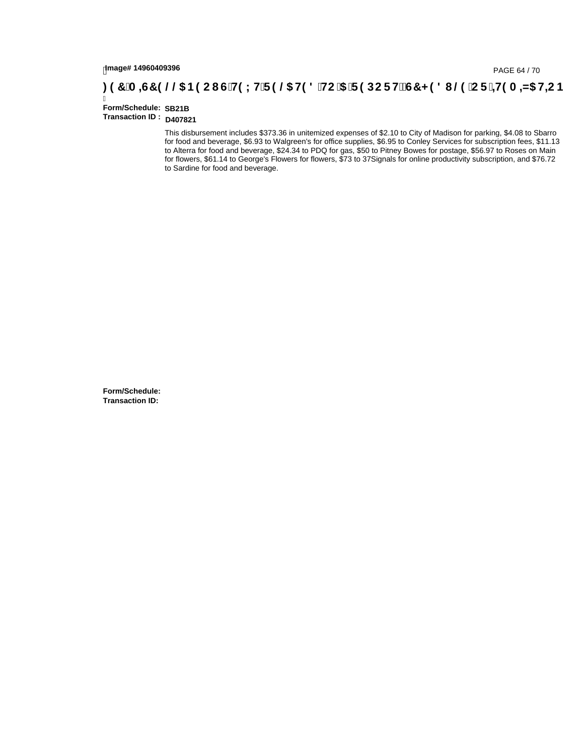# hmage#14960409396<br>DAGE 64 / 70, PAGE 64 / 70<br>**DAGE 7 / 28 / C F :±H9 A =N5 H=C B** ( C F H9 L H F 9 @ H9 8 `HC `5 `F 9 DC F H $\breve{c}$ G7 < 9 8 I . @ `C F `=H9 A =N5 H=C B

#### Ī **Form/Schedule: Transaction ID : D407821 SB21B**

This disbursement includes \$373.36 in unitemized expenses of \$2.10 to City of Madison for parking, \$4.08 to Sbarro for food and beverage, \$6.93 to Walgreen's for office supplies, \$6.95 to Conley Services for subscription fees, \$11.13 to Alterra for food and beverage, \$24.34 to PDQ for gas, \$50 to Pitney Bowes for postage, \$56.97 to Roses on Main for flowers, \$61.14 to George's Flowers for flowers, \$73 to 37Signals for online productivity subscription, and \$76.72 to Sardine for food and beverage.

**Form/Schedule: Transaction ID:**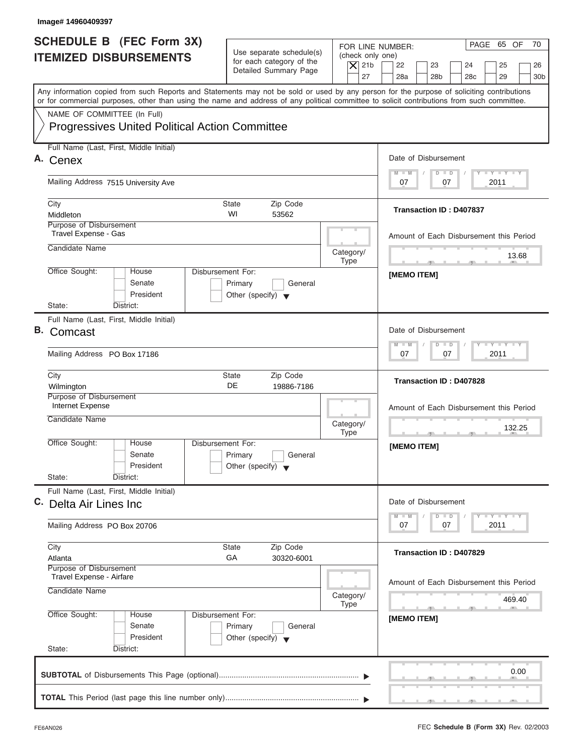| <b>SCHEDULE B</b> (FEC Form 3X)<br><b>ITEMIZED DISBURSEMENTS</b><br>or for commercial purposes, other than using the name and address of any political committee to solicit contributions from such committee.<br>NAME OF COMMITTEE (In Full) | Use separate schedule(s)<br>for each category of the<br>Detailed Summary Page | $\overline{X}$ 21b | PAGE 65 OF<br>70<br>FOR LINE NUMBER:<br>(check only one)                                                                                  |
|-----------------------------------------------------------------------------------------------------------------------------------------------------------------------------------------------------------------------------------------------|-------------------------------------------------------------------------------|--------------------|-------------------------------------------------------------------------------------------------------------------------------------------|
|                                                                                                                                                                                                                                               |                                                                               |                    |                                                                                                                                           |
|                                                                                                                                                                                                                                               |                                                                               |                    | 22<br>23<br>24<br>25<br>26<br>27<br>28a<br>28 <sub>b</sub><br>28 <sub>c</sub><br>29<br>30 <sub>b</sub>                                    |
|                                                                                                                                                                                                                                               |                                                                               |                    | Any information copied from such Reports and Statements may not be sold or used by any person for the purpose of soliciting contributions |
|                                                                                                                                                                                                                                               |                                                                               |                    |                                                                                                                                           |
| <b>Progressives United Political Action Committee</b>                                                                                                                                                                                         |                                                                               |                    |                                                                                                                                           |
| Full Name (Last, First, Middle Initial)                                                                                                                                                                                                       |                                                                               |                    |                                                                                                                                           |
| Cenex                                                                                                                                                                                                                                         |                                                                               |                    | Date of Disbursement                                                                                                                      |
| Mailing Address 7515 University Ave                                                                                                                                                                                                           |                                                                               |                    | $T - Y = T - Y = T - Y$<br>$D$ $D$<br>$M - M$<br>2011<br>07<br>07                                                                         |
| City                                                                                                                                                                                                                                          | <b>State</b><br>Zip Code                                                      |                    |                                                                                                                                           |
| Middleton                                                                                                                                                                                                                                     | WI<br>53562                                                                   |                    | <b>Transaction ID: D407837</b>                                                                                                            |
| Purpose of Disbursement<br>Travel Expense - Gas                                                                                                                                                                                               |                                                                               |                    | Amount of Each Disbursement this Period                                                                                                   |
| Candidate Name                                                                                                                                                                                                                                |                                                                               | Category/          |                                                                                                                                           |
| Office Sought:<br>House                                                                                                                                                                                                                       | Disbursement For:                                                             | <b>Type</b>        | 13.68<br><b>The Contract Contract Contract Contract</b><br>$-7$                                                                           |
| Senate                                                                                                                                                                                                                                        | Primary<br>General                                                            |                    | <b>IMEMO ITEMI</b>                                                                                                                        |
| President                                                                                                                                                                                                                                     | Other (specify) $\blacktriangledown$                                          |                    |                                                                                                                                           |
| State:<br>District:                                                                                                                                                                                                                           |                                                                               |                    |                                                                                                                                           |
| Full Name (Last, First, Middle Initial)<br>Comcast                                                                                                                                                                                            |                                                                               |                    | Date of Disbursement                                                                                                                      |
| Mailing Address PO Box 17186                                                                                                                                                                                                                  |                                                                               |                    | $-1 - Y - 1 - Y - 1 - Y$<br>$M - M$<br>$D$ $D$<br>07<br>2011<br>07                                                                        |
|                                                                                                                                                                                                                                               |                                                                               |                    |                                                                                                                                           |
| City<br>Wilmington                                                                                                                                                                                                                            | Zip Code<br><b>State</b><br>DE<br>19886-7186                                  |                    | Transaction ID: D407828                                                                                                                   |
| Purpose of Disbursement<br>Internet Expense                                                                                                                                                                                                   |                                                                               |                    | Amount of Each Disbursement this Period                                                                                                   |
| Candidate Name                                                                                                                                                                                                                                |                                                                               | Category/          |                                                                                                                                           |
|                                                                                                                                                                                                                                               |                                                                               | <b>Type</b>        | 132.25<br>$\overline{2}$                                                                                                                  |
| Office Sought:<br>House<br>Senate                                                                                                                                                                                                             | Disbursement For:<br>Primary<br>General                                       |                    | [MEMO ITEM]                                                                                                                               |
| President                                                                                                                                                                                                                                     | Other (specify) $\blacktriangledown$                                          |                    |                                                                                                                                           |
| State:<br>District:                                                                                                                                                                                                                           |                                                                               |                    |                                                                                                                                           |
| Full Name (Last, First, Middle Initial)<br>C. Delta Air Lines Inc.                                                                                                                                                                            |                                                                               |                    | Date of Disbursement                                                                                                                      |
|                                                                                                                                                                                                                                               |                                                                               |                    | <b>LY LY LY</b><br>$M - M$<br>$\overline{D}$<br>$\Box$                                                                                    |
| Mailing Address PO Box 20706                                                                                                                                                                                                                  |                                                                               |                    | 2011<br>07<br>07                                                                                                                          |
| City                                                                                                                                                                                                                                          | Zip Code<br><b>State</b>                                                      |                    | <b>Transaction ID: D407829</b>                                                                                                            |
| Atlanta<br>Purpose of Disbursement                                                                                                                                                                                                            | GA<br>30320-6001                                                              |                    |                                                                                                                                           |
| Travel Expense - Airfare                                                                                                                                                                                                                      |                                                                               |                    | Amount of Each Disbursement this Period                                                                                                   |
| Candidate Name                                                                                                                                                                                                                                |                                                                               | Category/          | 469.40                                                                                                                                    |
| Office Sought:<br>House                                                                                                                                                                                                                       | Disbursement For:                                                             | <b>Type</b>        |                                                                                                                                           |
| Senate                                                                                                                                                                                                                                        | Primary<br>General                                                            |                    | [MEMO ITEM]                                                                                                                               |
| President                                                                                                                                                                                                                                     | Other (specify) $\blacktriangledown$                                          |                    |                                                                                                                                           |
| State:<br>District:                                                                                                                                                                                                                           |                                                                               |                    |                                                                                                                                           |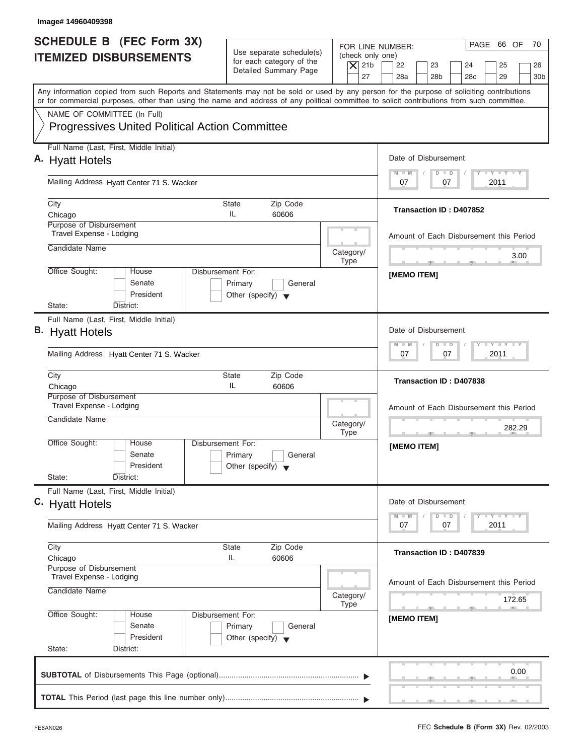| PAGE 66 OF<br>70<br>FOR LINE NUMBER:<br>Use separate schedule(s)<br>(check only one)<br>for each category of the<br>$\overline{X}$ 21b<br>22<br>23<br>24<br>25<br>26<br>Detailed Summary Page<br>27<br>28a<br>28 <sub>b</sub><br>29<br>28 <sub>c</sub><br>30 <sub>b</sub>               |
|-----------------------------------------------------------------------------------------------------------------------------------------------------------------------------------------------------------------------------------------------------------------------------------------|
| Any information copied from such Reports and Statements may not be sold or used by any person for the purpose of soliciting contributions<br>or for commercial purposes, other than using the name and address of any political committee to solicit contributions from such committee. |
|                                                                                                                                                                                                                                                                                         |
| Date of Disbursement                                                                                                                                                                                                                                                                    |
| $T - Y = T - Y = T - Y$<br>$M - M$<br>$D$ $D$                                                                                                                                                                                                                                           |
| 2011<br>07<br>07                                                                                                                                                                                                                                                                        |
| Transaction ID: D407852                                                                                                                                                                                                                                                                 |
| Amount of Each Disbursement this Period                                                                                                                                                                                                                                                 |
| Category/<br>3.00<br><b>Type</b><br><b>State of the Contract of the Contract of the Contract of the Contract of the Contract of the Contract of the Contract of the Contract of the Contract of the Contract of the Contract of the Contract of The Contract of The </b>                |
| [MEMO ITEM]<br>General                                                                                                                                                                                                                                                                  |
|                                                                                                                                                                                                                                                                                         |
| Date of Disbursement                                                                                                                                                                                                                                                                    |
| <b>LEYTEY LEY</b><br>$M - M$<br>$D$ $D$<br>2011<br>07<br>07                                                                                                                                                                                                                             |
| Transaction ID: D407838                                                                                                                                                                                                                                                                 |
| Amount of Each Disbursement this Period<br>Category/<br>282.29<br><b>Type</b>                                                                                                                                                                                                           |
| [MEMO ITEM]<br>General                                                                                                                                                                                                                                                                  |
| Date of Disbursement                                                                                                                                                                                                                                                                    |
| $T - Y - T - Y - T - Y$<br>$M - M$<br>$\overline{D}$<br>$\Box$<br>2011<br>07<br>07                                                                                                                                                                                                      |
| Transaction ID: D407839                                                                                                                                                                                                                                                                 |
| Amount of Each Disbursement this Period<br>Category/<br>172.65<br>Type                                                                                                                                                                                                                  |
| $\sqrt{2}$<br>[MEMO ITEM]<br>General                                                                                                                                                                                                                                                    |
|                                                                                                                                                                                                                                                                                         |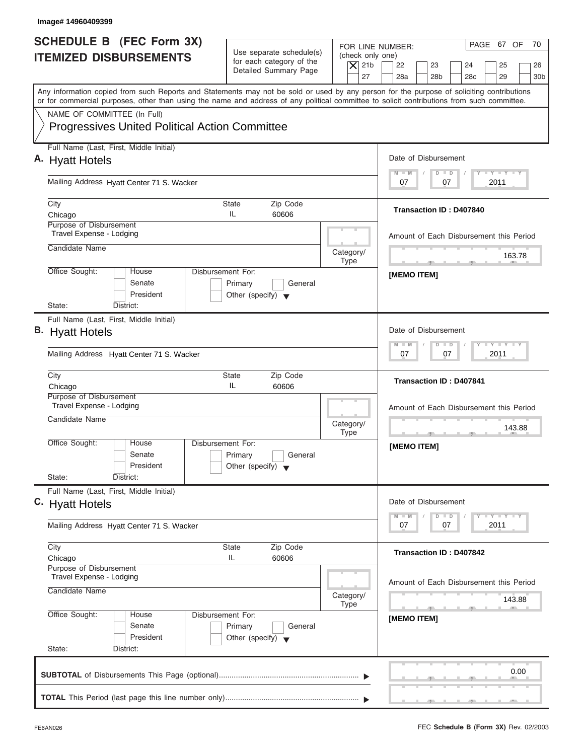| Image# 14960409399                                                    |                                                       |                                                                               |                   |                                                                  |                                                                                                                                                                                                                                                                                         |
|-----------------------------------------------------------------------|-------------------------------------------------------|-------------------------------------------------------------------------------|-------------------|------------------------------------------------------------------|-----------------------------------------------------------------------------------------------------------------------------------------------------------------------------------------------------------------------------------------------------------------------------------------|
| <b>SCHEDULE B (FEC Form 3X)</b><br><b>ITEMIZED DISBURSEMENTS</b>      |                                                       | Use separate schedule(s)<br>for each category of the<br>Detailed Summary Page |                   | FOR LINE NUMBER:<br>(check only one)<br>$\overline{X}$ 21b<br>27 | PAGE 67 OF<br>70<br>22<br>23<br>24<br>25<br>26<br>28a<br>28 <sub>b</sub><br>29<br>28 <sub>c</sub><br>30 <sub>b</sub>                                                                                                                                                                    |
|                                                                       |                                                       |                                                                               |                   |                                                                  | Any information copied from such Reports and Statements may not be sold or used by any person for the purpose of soliciting contributions<br>or for commercial purposes, other than using the name and address of any political committee to solicit contributions from such committee. |
| NAME OF COMMITTEE (In Full)                                           | <b>Progressives United Political Action Committee</b> |                                                                               |                   |                                                                  |                                                                                                                                                                                                                                                                                         |
| Full Name (Last, First, Middle Initial)                               |                                                       |                                                                               |                   |                                                                  |                                                                                                                                                                                                                                                                                         |
| A. Hyatt Hotels                                                       |                                                       |                                                                               |                   |                                                                  | Date of Disbursement<br>$T - Y = T - Y = T - Y$<br>$M - M$<br>$D$ $D$                                                                                                                                                                                                                   |
| Mailing Address Hyatt Center 71 S. Wacker                             |                                                       |                                                                               |                   |                                                                  | 2011<br>07<br>07                                                                                                                                                                                                                                                                        |
| City<br>Chicago                                                       |                                                       | State<br>IL                                                                   | Zip Code<br>60606 |                                                                  | <b>Transaction ID: D407840</b>                                                                                                                                                                                                                                                          |
| Purpose of Disbursement<br>Travel Expense - Lodging                   |                                                       |                                                                               |                   |                                                                  | Amount of Each Disbursement this Period                                                                                                                                                                                                                                                 |
| Candidate Name                                                        |                                                       |                                                                               |                   | Category/                                                        | 163.78                                                                                                                                                                                                                                                                                  |
| Office Sought:                                                        | House<br>Senate<br>President                          | Disbursement For:<br>Primary<br>Other (specify) $\blacktriangledown$          | General           | <b>Type</b>                                                      | <b>All 1</b><br>[MEMO ITEM]                                                                                                                                                                                                                                                             |
| State:<br>District:<br>Full Name (Last, First, Middle Initial)        |                                                       |                                                                               |                   |                                                                  |                                                                                                                                                                                                                                                                                         |
| <b>B.</b> Hyatt Hotels                                                |                                                       |                                                                               |                   |                                                                  | Date of Disbursement                                                                                                                                                                                                                                                                    |
| Mailing Address Hyatt Center 71 S. Wacker                             |                                                       |                                                                               |                   |                                                                  | <b>LEYTEY LEY</b><br>$M - M$<br>$D$ $D$<br>2011<br>07<br>07                                                                                                                                                                                                                             |
| City<br>Chicago                                                       |                                                       | State<br>IL                                                                   | Zip Code<br>60606 |                                                                  | <b>Transaction ID: D407841</b>                                                                                                                                                                                                                                                          |
| Purpose of Disbursement<br>Travel Expense - Lodging<br>Candidate Name |                                                       |                                                                               |                   | Category/<br><b>Type</b>                                         | Amount of Each Disbursement this Period<br>143.88                                                                                                                                                                                                                                       |
| Office Sought:<br>State:<br>District:                                 | House<br>Senate<br>President                          | Disbursement For:<br>Primary<br>Other (specify) $\blacktriangledown$          | General           |                                                                  | [MEMO ITEM]                                                                                                                                                                                                                                                                             |
| Full Name (Last, First, Middle Initial)<br>C. Hyatt Hotels            |                                                       |                                                                               |                   |                                                                  | Date of Disbursement                                                                                                                                                                                                                                                                    |
| Mailing Address Hyatt Center 71 S. Wacker                             |                                                       |                                                                               |                   |                                                                  | <b>LY LY LY</b><br>$M - M$<br>$\overline{D}$<br>$\Box$<br>2011<br>07<br>07                                                                                                                                                                                                              |
| City<br>Chicago                                                       |                                                       | State<br>IL                                                                   | Zip Code<br>60606 |                                                                  | Transaction ID: D407842                                                                                                                                                                                                                                                                 |
| Purpose of Disbursement<br>Travel Expense - Lodging<br>Candidate Name |                                                       |                                                                               |                   | Category/<br>Type                                                | Amount of Each Disbursement this Period<br>143.88                                                                                                                                                                                                                                       |
| Office Sought:                                                        | House<br>Senate                                       | Disbursement For:<br>Primary                                                  | General           |                                                                  | [MEMO ITEM]                                                                                                                                                                                                                                                                             |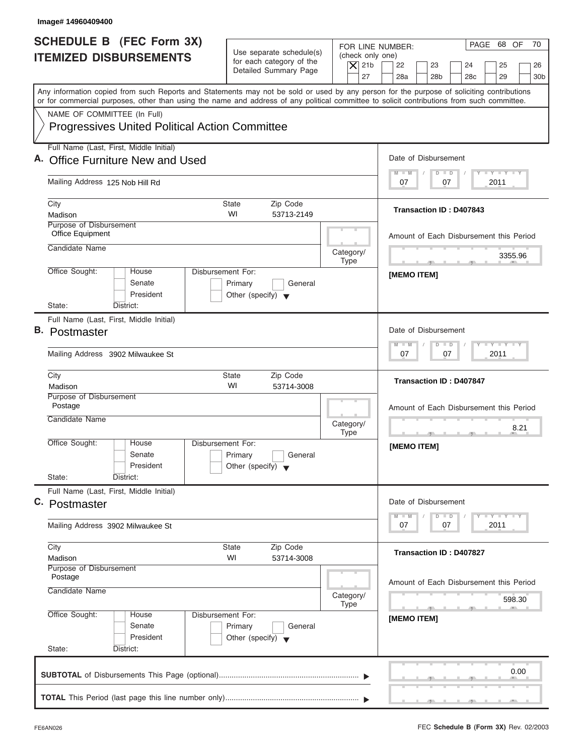| Image# 14960409400                                                                                                                                                                                                                                                                      |                                                                               |                                                                                                                                                                                          |
|-----------------------------------------------------------------------------------------------------------------------------------------------------------------------------------------------------------------------------------------------------------------------------------------|-------------------------------------------------------------------------------|------------------------------------------------------------------------------------------------------------------------------------------------------------------------------------------|
| <b>SCHEDULE B (FEC Form 3X)</b><br><b>ITEMIZED DISBURSEMENTS</b>                                                                                                                                                                                                                        | Use separate schedule(s)<br>for each category of the<br>Detailed Summary Page | PAGE 68 OF<br>70<br>FOR LINE NUMBER:<br>(check only one)<br>$\overline{X}$ 21b<br>22<br>23<br>24<br>25<br>26<br>27<br>28a<br>28 <sub>b</sub><br>29<br>28 <sub>c</sub><br>30 <sub>b</sub> |
| Any information copied from such Reports and Statements may not be sold or used by any person for the purpose of soliciting contributions<br>or for commercial purposes, other than using the name and address of any political committee to solicit contributions from such committee. |                                                                               |                                                                                                                                                                                          |
| NAME OF COMMITTEE (In Full)<br><b>Progressives United Political Action Committee</b>                                                                                                                                                                                                    |                                                                               |                                                                                                                                                                                          |
| Full Name (Last, First, Middle Initial)<br>A. Office Furniture New and Used                                                                                                                                                                                                             |                                                                               | Date of Disbursement                                                                                                                                                                     |
| Mailing Address 125 Nob Hill Rd                                                                                                                                                                                                                                                         |                                                                               | $T - Y = T - Y = T - Y$<br>$D$ $D$<br>$M - M$<br>2011<br>07<br>07                                                                                                                        |
| City<br>Madison                                                                                                                                                                                                                                                                         | State<br>Zip Code<br>WI<br>53713-2149                                         | Transaction ID: D407843                                                                                                                                                                  |
| Purpose of Disbursement<br>Office Equipment                                                                                                                                                                                                                                             |                                                                               | Amount of Each Disbursement this Period                                                                                                                                                  |
| Candidate Name                                                                                                                                                                                                                                                                          |                                                                               | Category/<br>3355.96<br><b>Type</b><br><b>All 10</b>                                                                                                                                     |
| Office Sought:<br>Disbursement For:<br>House<br>Senate<br>President<br>State:<br>District:                                                                                                                                                                                              | Primary<br>General<br>Other (specify) $\blacktriangledown$                    | [MEMO ITEM]                                                                                                                                                                              |
| Full Name (Last, First, Middle Initial)<br><b>B.</b> Postmaster                                                                                                                                                                                                                         |                                                                               | Date of Disbursement<br><b>LEYTEY LEY</b><br>$M - M$<br>$D$ $D$                                                                                                                          |
| Mailing Address 3902 Milwaukee St                                                                                                                                                                                                                                                       |                                                                               | 2011<br>07<br>07                                                                                                                                                                         |
| City<br>Madison                                                                                                                                                                                                                                                                         | <b>State</b><br>Zip Code<br>WI<br>53714-3008                                  | <b>Transaction ID: D407847</b>                                                                                                                                                           |
| Purpose of Disbursement<br>Postage<br>Candidate Name                                                                                                                                                                                                                                    |                                                                               | Amount of Each Disbursement this Period<br>Category/<br>8.21<br><b>Type</b>                                                                                                              |
| Office Sought:<br>House<br>Disbursement For:<br>Senate<br>President<br>State:<br>District:                                                                                                                                                                                              | Primary<br>General<br>Other (specify) $\blacktriangledown$                    | [MEMO ITEM]                                                                                                                                                                              |
| Full Name (Last, First, Middle Initial)<br>C. Postmaster                                                                                                                                                                                                                                |                                                                               | Date of Disbursement<br>$T - Y$ $T - Y$<br>$M - M$<br>$\overline{D}$<br>$\Box$                                                                                                           |
| Mailing Address 3902 Milwaukee St                                                                                                                                                                                                                                                       |                                                                               | 2011<br>07<br>07                                                                                                                                                                         |
| City<br>Madison                                                                                                                                                                                                                                                                         | Zip Code<br>State<br>WI<br>53714-3008                                         | Transaction ID: D407827                                                                                                                                                                  |
| Purpose of Disbursement<br>Postage<br>Candidate Name                                                                                                                                                                                                                                    |                                                                               | Amount of Each Disbursement this Period<br>Category/<br>598.30                                                                                                                           |
| Office Sought:<br>Disbursement For:<br>House<br>Senate<br>President<br>State:<br>District:                                                                                                                                                                                              | Primary<br>General<br>Other (specify) $\blacktriangledown$                    | Type<br>[MEMO ITEM]                                                                                                                                                                      |
|                                                                                                                                                                                                                                                                                         |                                                                               | 0.00                                                                                                                                                                                     |

J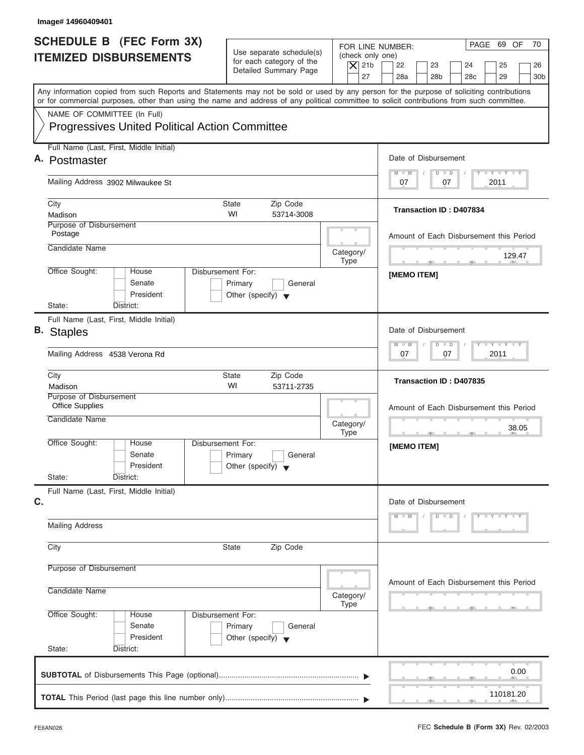| Image# 14960409401                                                                                                                                                                                                                                                                      |                                                                               |                                                                  |                                                                                                          |
|-----------------------------------------------------------------------------------------------------------------------------------------------------------------------------------------------------------------------------------------------------------------------------------------|-------------------------------------------------------------------------------|------------------------------------------------------------------|----------------------------------------------------------------------------------------------------------|
| <b>SCHEDULE B</b> (FEC Form 3X)<br><b>ITEMIZED DISBURSEMENTS</b>                                                                                                                                                                                                                        | Use separate schedule(s)<br>for each category of the<br>Detailed Summary Page | FOR LINE NUMBER:<br>(check only one)<br>$\overline{X}$ 21b<br>27 | PAGE 69 OF<br>70<br>22<br>23<br>24<br>25<br>26<br>28a<br>28 <sub>b</sub><br>29<br>30b<br>28 <sub>c</sub> |
| Any information copied from such Reports and Statements may not be sold or used by any person for the purpose of soliciting contributions<br>or for commercial purposes, other than using the name and address of any political committee to solicit contributions from such committee. |                                                                               |                                                                  |                                                                                                          |
| NAME OF COMMITTEE (In Full)<br><b>Progressives United Political Action Committee</b>                                                                                                                                                                                                    |                                                                               |                                                                  |                                                                                                          |
| Full Name (Last, First, Middle Initial)<br>A. Postmaster                                                                                                                                                                                                                                |                                                                               |                                                                  | Date of Disbursement                                                                                     |
| Mailing Address 3902 Milwaukee St                                                                                                                                                                                                                                                       |                                                                               |                                                                  | $T - Y = T - Y = T - Y$<br>$D$ $D$<br>$M - M$<br>2011<br>07<br>07                                        |
| City<br>Madison<br>Purpose of Disbursement                                                                                                                                                                                                                                              | State<br>Zip Code<br>WI<br>53714-3008                                         |                                                                  | <b>Transaction ID: D407834</b>                                                                           |
| Postage<br>Candidate Name                                                                                                                                                                                                                                                               |                                                                               | Category/                                                        | Amount of Each Disbursement this Period                                                                  |
| Office Sought:<br>Disbursement For:<br>House<br>Senate<br>President                                                                                                                                                                                                                     | Primary<br>General<br>Other (specify) $\blacktriangledown$                    | <b>Type</b>                                                      | 129.47<br>$-$<br>a Bar<br>[MEMO ITEM]                                                                    |
| State:<br>District:<br>Full Name (Last, First, Middle Initial)                                                                                                                                                                                                                          |                                                                               |                                                                  | Date of Disbursement                                                                                     |
| <b>B.</b> Staples<br>Mailing Address 4538 Verona Rd                                                                                                                                                                                                                                     |                                                                               |                                                                  | <b>LEYTEY LEY</b><br>$M - M$<br>$D$ $D$<br>2011<br>07<br>07                                              |
| City<br>Madison                                                                                                                                                                                                                                                                         | Zip Code<br>State<br>WI<br>53711-2735                                         |                                                                  | Transaction ID: D407835                                                                                  |
| Purpose of Disbursement<br><b>Office Supplies</b><br>Candidate Name                                                                                                                                                                                                                     |                                                                               | Category/<br><b>Type</b>                                         | Amount of Each Disbursement this Period<br>38.05<br>$\cdots$                                             |
| Office Sought:<br>House<br>Disbursement For:<br>Senate<br>President<br>State:<br>District:                                                                                                                                                                                              | Primary<br>General<br>Other (specify) $\blacktriangledown$                    |                                                                  | [MEMO ITEM]                                                                                              |
| Full Name (Last, First, Middle Initial)<br>C.                                                                                                                                                                                                                                           |                                                                               |                                                                  | Date of Disbursement<br>$D$ $D$<br>$Y - Y - Y - Y$<br>$M - M$                                            |
| <b>Mailing Address</b>                                                                                                                                                                                                                                                                  |                                                                               |                                                                  |                                                                                                          |
| City                                                                                                                                                                                                                                                                                    | Zip Code<br><b>State</b>                                                      |                                                                  |                                                                                                          |
| Purpose of Disbursement<br>Candidate Name                                                                                                                                                                                                                                               |                                                                               | Category/<br>Type                                                | Amount of Each Disbursement this Period                                                                  |
| Office Sought:<br>Disbursement For:<br>House<br>Senate<br>President<br>State:<br>District:                                                                                                                                                                                              | Primary<br>General<br>Other (specify) $\blacktriangledown$                    |                                                                  |                                                                                                          |
|                                                                                                                                                                                                                                                                                         |                                                                               |                                                                  | 0.00                                                                                                     |
|                                                                                                                                                                                                                                                                                         |                                                                               |                                                                  | 110181.20                                                                                                |